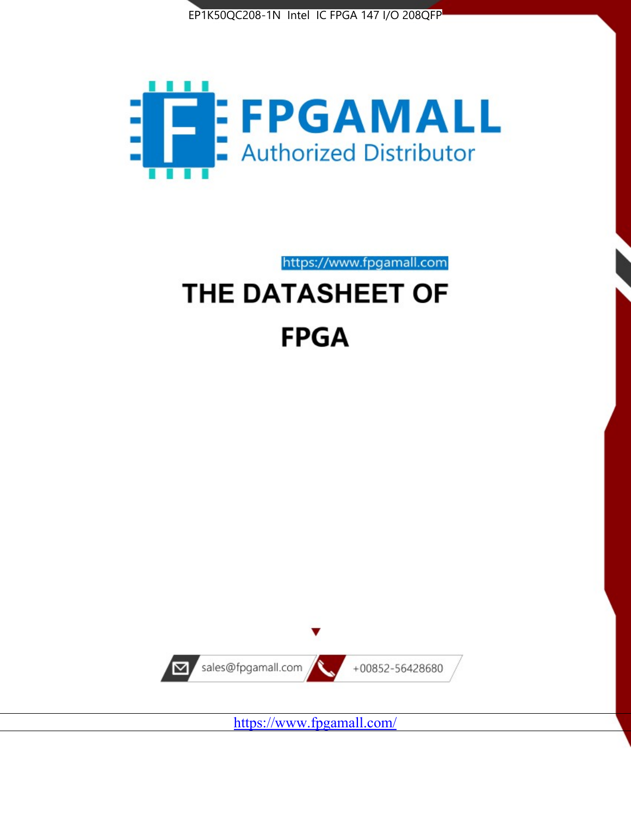



https://www.fpgamall.com THE DATASHEET OF

# **FPGA**



<https://www.fpgamall.com/>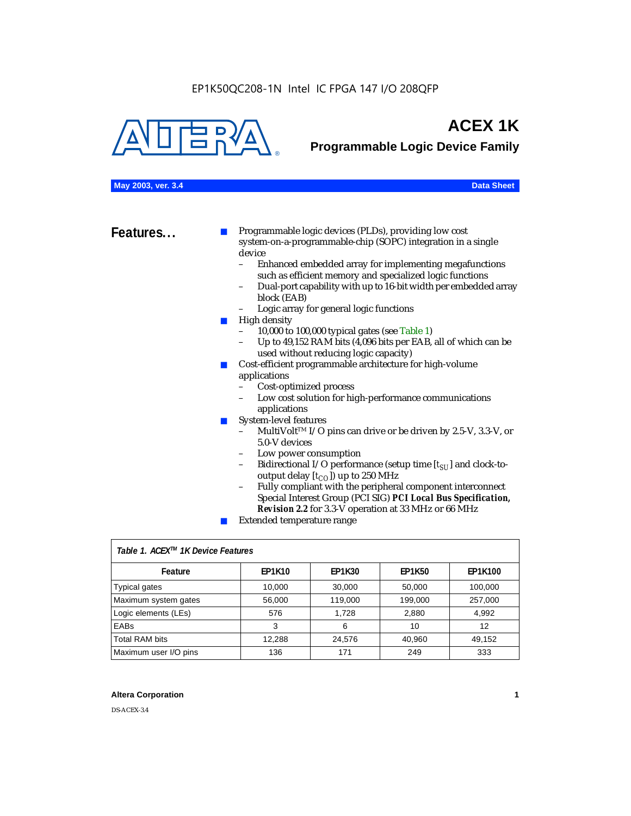

## **ACEX 1K**

**Programmable Logic Device Family**

| May 2003, ver. 3.4 | <b>Data Sheet</b> |
|--------------------|-------------------|
|--------------------|-------------------|

|  |  |  |  | <b>Data Sheet</b> |  |
|--|--|--|--|-------------------|--|
|--|--|--|--|-------------------|--|

**Features...** ■ Programmable logic devices (PLDs), providing low cost system-on-a-programmable-chip (SOPC) integration in a single device<br>- Fr

- Enhanced embedded array for implementing megafunctions such as efficient memory and specialized logic functions
- Dual-port capability with up to 16-bit width per embedded array block (EAB)
- Logic array for general logic functions
- High density
	- 10,000 to 100,000 typical gates (see Table 1)
	- Up to 49,152 RAM bits (4,096 bits per EAB, all of which can be used without reducing logic capacity)
- Cost-efficient programmable architecture for high-volume applications
	- Cost-optimized process
	- Low cost solution for high-performance communications applications
- System-level features
	- MultiVolt<sup>™</sup> I/O pins can drive or be driven by 2.5-V, 3.3-V, or 5.0-V devices
	- Low power consumption
	- Bidirectional I/O performance (setup time [ $t_{SU}$ ] and clock-tooutput delay  $[t_{CO}]$ ) up to 250 MHz
	- Fully compliant with the peripheral component interconnect Special Interest Group (PCI SIG) *PCI Local Bus Specification, Revision 2.2* for 3.3-V operation at 33 MHz or 66 MHz
	- Extended temperature range

| Table 1. ACEX™ 1K Device Features |               |               |               |         |  |  |
|-----------------------------------|---------------|---------------|---------------|---------|--|--|
| Feature                           | <b>EP1K10</b> | <b>EP1K30</b> | <b>EP1K50</b> | EP1K100 |  |  |
| <b>Typical gates</b>              | 10,000        | 30,000        | 50,000        | 100,000 |  |  |
| Maximum system gates              | 56,000        | 119,000       | 199,000       | 257,000 |  |  |
| Logic elements (LEs)              | 576           | 1.728         | 2,880         | 4,992   |  |  |
| <b>EABs</b>                       | 3             | 6             | 10            | 12      |  |  |
| <b>Total RAM bits</b>             | 12,288        | 24,576        | 40,960        | 49,152  |  |  |
| Maximum user I/O pins             | 136           | 171           | 249           | 333     |  |  |

#### **Altera Corporation 1**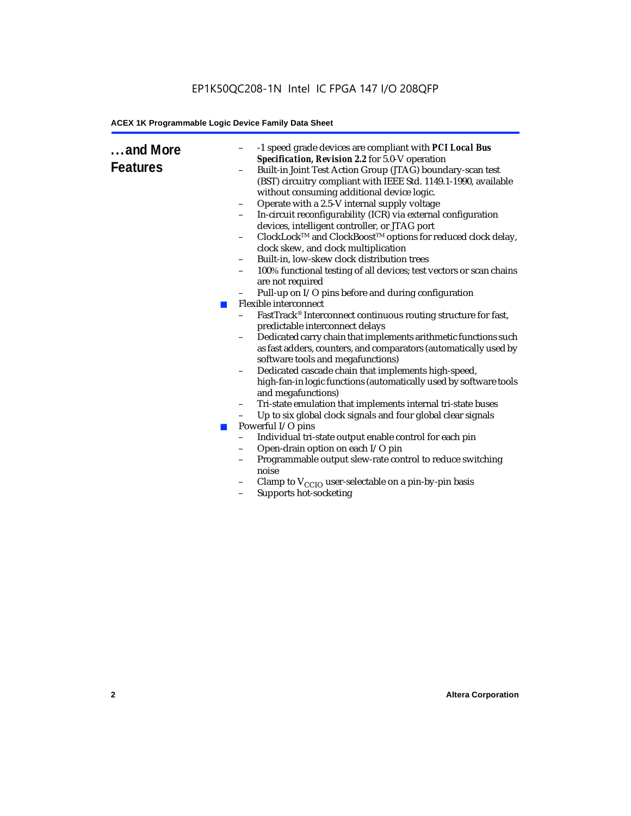| and More<br><b>Features</b><br><b>The Second</b><br>$\mathcal{L}_{\mathcal{A}}$ | -1 speed grade devices are compliant with PCI Local Bus<br>Specification, Revision 2.2 for 5.0-V operation<br>Built-in Joint Test Action Group (JTAG) boundary-scan test<br>(BST) circuitry compliant with IEEE Std. 1149.1-1990, available<br>without consuming additional device logic.<br>Operate with a 2.5-V internal supply voltage<br>$\qquad \qquad -$<br>In-circuit reconfigurability (ICR) via external configuration<br>devices, intelligent controller, or JTAG port<br>ClockLock™ and ClockBoost™ options for reduced clock delay,<br>$\qquad \qquad -$<br>clock skew, and clock multiplication<br>Built-in, low-skew clock distribution trees<br>-<br>100% functional testing of all devices; test vectors or scan chains<br>$\overline{\phantom{0}}$<br>are not required<br>Pull-up on I/O pins before and during configuration<br><b>Flexible interconnect</b><br>FastTrack® Interconnect continuous routing structure for fast,<br>predictable interconnect delays<br>Dedicated carry chain that implements arithmetic functions such<br>$\qquad \qquad -$<br>as fast adders, counters, and comparators (automatically used by<br>software tools and megafunctions)<br>Dedicated cascade chain that implements high-speed,<br>$\qquad \qquad -$<br>high-fan-in logic functions (automatically used by software tools<br>and megafunctions)<br>Tri-state emulation that implements internal tri-state buses<br>-<br>Up to six global clock signals and four global clear signals<br>Powerful I/O pins<br>Individual tri-state output enable control for each pin<br>$\qquad \qquad -$<br>Open-drain option on each I/O pin<br>$\qquad \qquad -$<br>Programmable output slew-rate control to reduce switching<br>noise<br>Clamp to $V_{\text{CCIO}}$ user-selectable on a pin-by-pin basis<br>Supports hot-socketing<br>$\qquad \qquad -$ |
|---------------------------------------------------------------------------------|----------------------------------------------------------------------------------------------------------------------------------------------------------------------------------------------------------------------------------------------------------------------------------------------------------------------------------------------------------------------------------------------------------------------------------------------------------------------------------------------------------------------------------------------------------------------------------------------------------------------------------------------------------------------------------------------------------------------------------------------------------------------------------------------------------------------------------------------------------------------------------------------------------------------------------------------------------------------------------------------------------------------------------------------------------------------------------------------------------------------------------------------------------------------------------------------------------------------------------------------------------------------------------------------------------------------------------------------------------------------------------------------------------------------------------------------------------------------------------------------------------------------------------------------------------------------------------------------------------------------------------------------------------------------------------------------------------------------------------------------------------------------------------------------------------------------------------------------------------|
|                                                                                 |                                                                                                                                                                                                                                                                                                                                                                                                                                                                                                                                                                                                                                                                                                                                                                                                                                                                                                                                                                                                                                                                                                                                                                                                                                                                                                                                                                                                                                                                                                                                                                                                                                                                                                                                                                                                                                                          |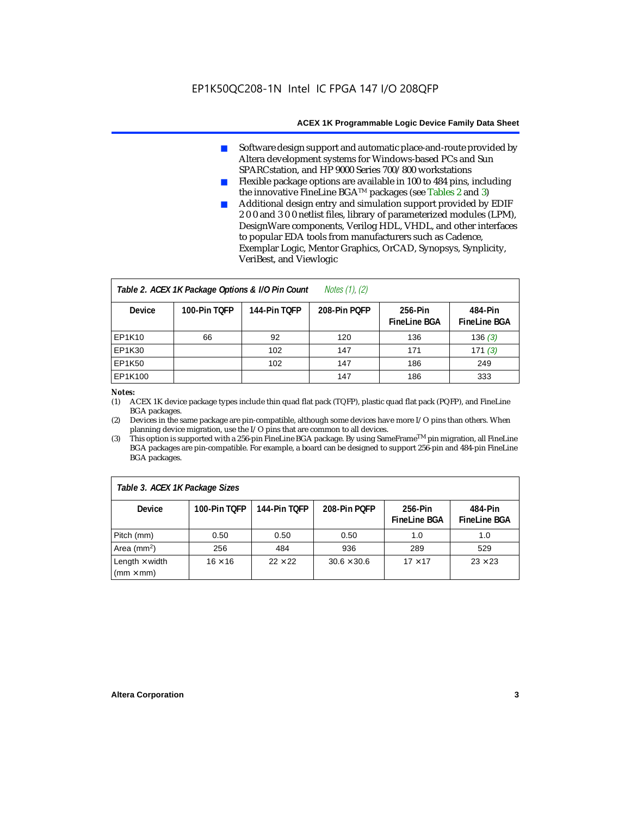- Software design support and automatic place-and-route provided by Altera development systems for Windows-based PCs and Sun SPARCstation, and HP 9000 Series 700/800 workstations
- Flexible package options are available in 100 to 484 pins, including the innovative FineLine BGATM packages (see Tables 2 and 3)
- Additional design entry and simulation support provided by EDIF 2 0 0 and 3 0 0 netlist files, library of parameterized modules (LPM), DesignWare components, Verilog HDL, VHDL, and other interfaces to popular EDA tools from manufacturers such as Cadence, Exemplar Logic, Mentor Graphics, OrCAD, Synopsys, Synplicity, VeriBest, and Viewlogic

| Notes $(1)$ , $(2)$<br>Table 2. ACEX 1K Package Options & I/O Pin Count |              |              |              |                                |                                |  |  |
|-------------------------------------------------------------------------|--------------|--------------|--------------|--------------------------------|--------------------------------|--|--|
| <b>Device</b>                                                           | 100-Pin TOFP | 144-Pin TOFP | 208-Pin POFP | 256-Pin<br><b>FineLine BGA</b> | 484-Pin<br><b>FineLine BGA</b> |  |  |
| <b>EP1K10</b>                                                           | 66           | 92           | 120          | 136                            | 136(3)                         |  |  |
| <b>EP1K30</b>                                                           |              | 102          | 147          | 171                            | 171(3)                         |  |  |
| <b>EP1K50</b>                                                           |              | 102          | 147          | 186                            | 249                            |  |  |
| EP1K100                                                                 |              |              | 147          | 186                            | 333                            |  |  |

#### *Notes:*

(1) ACEX 1K device package types include thin quad flat pack (TQFP), plastic quad flat pack (PQFP), and FineLine BGA packages.

(2) Devices in the same package are pin-compatible, although some devices have more I/O pins than others. When planning device migration, use the I/O pins that are common to all devices.

(3) This option is supported with a 256-pin FineLine BGA package. By using SameFrameTM pin migration, all FineLine BGA packages are pin-compatible. For example, a board can be designed to support 256-pin and 484-pin FineLine BGA packages.

| Table 3. ACEX 1K Package Sizes                           |                |                |                    |                                |                                |  |
|----------------------------------------------------------|----------------|----------------|--------------------|--------------------------------|--------------------------------|--|
| <b>Device</b>                                            | 100-Pin TOFP   | 144-Pin TOFP   | 208-Pin POFP       | 256-Pin<br><b>FineLine BGA</b> | 484-Pin<br><b>FineLine BGA</b> |  |
| Pitch (mm)                                               | 0.50           | 0.50           | 0.50               | 1.0                            | 1.0                            |  |
| Area ( $mm2$ )                                           | 256            | 484            | 936                | 289                            | 529                            |  |
| Length $\times$ width<br>$\mathsf{mmm}\times\mathsf{mm}$ | $16 \times 16$ | $22 \times 22$ | $30.6 \times 30.6$ | $17 \times 17$                 | $23 \times 23$                 |  |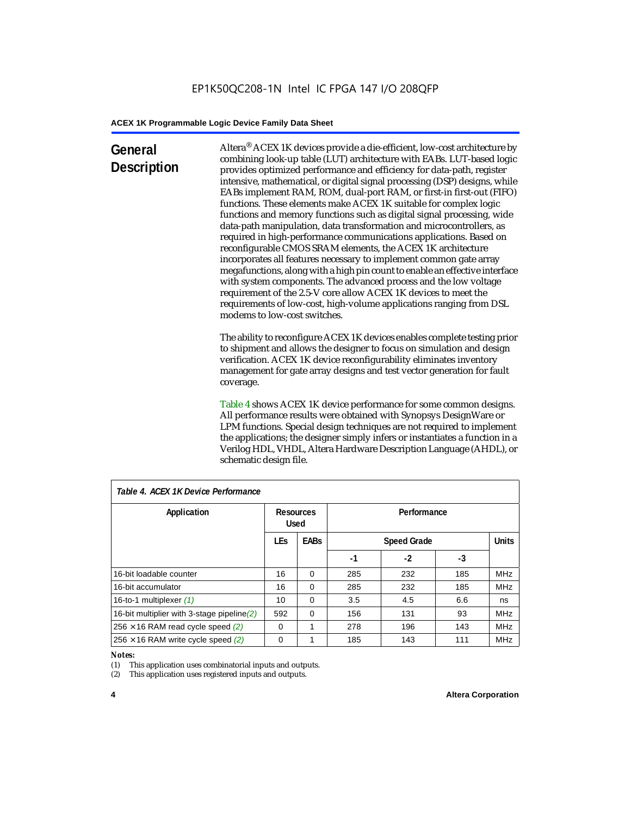### **General Description**

Altera® ACEX 1K devices provide a die-efficient, low-cost architecture by combining look-up table (LUT) architecture with EABs. LUT-based logic provides optimized performance and efficiency for data-path, register intensive, mathematical, or digital signal processing (DSP) designs, while EABs implement RAM, ROM, dual-port RAM, or first-in first-out (FIFO) functions. These elements make ACEX 1K suitable for complex logic functions and memory functions such as digital signal processing, wide data-path manipulation, data transformation and microcontrollers, as required in high-performance communications applications. Based on reconfigurable CMOS SRAM elements, the ACEX 1K architecture incorporates all features necessary to implement common gate array megafunctions, along with a high pin count to enable an effective interface with system components. The advanced process and the low voltage requirement of the 2.5-V core allow ACEX 1K devices to meet the requirements of low-cost, high-volume applications ranging from DSL modems to low-cost switches.

The ability to reconfigure ACEX 1K devices enables complete testing prior to shipment and allows the designer to focus on simulation and design verification. ACEX 1K device reconfigurability eliminates inventory management for gate array designs and test vector generation for fault coverage.

Table 4 shows ACEX 1K device performance for some common designs. All performance results were obtained with Synopsys DesignWare or LPM functions. Special design techniques are not required to implement the applications; the designer simply infers or instantiates a function in a Verilog HDL, VHDL, Altera Hardware Description Language (AHDL), or schematic design file.

| Table 4. ACEX 1K Device Performance           |            |                                 |     |                    |     |              |  |
|-----------------------------------------------|------------|---------------------------------|-----|--------------------|-----|--------------|--|
| Application                                   |            | <b>Resources</b><br><b>Used</b> |     | Performance        |     |              |  |
|                                               | <b>LEs</b> | <b>EABs</b>                     |     | <b>Speed Grade</b> |     | <b>Units</b> |  |
|                                               |            |                                 | -1  | -2                 | -3  |              |  |
| 16-bit loadable counter                       | 16         | $\Omega$                        | 285 | 232                | 185 | <b>MHz</b>   |  |
| 16-bit accumulator                            | 16         | $\Omega$                        | 285 | 232                | 185 | <b>MHz</b>   |  |
| 16-to-1 multiplexer (1)                       | 10         | $\Omega$                        | 3.5 | 4.5                | 6.6 | ns           |  |
| 16-bit multiplier with 3-stage pipeline $(2)$ | 592        | $\Omega$                        | 156 | 131                | 93  | <b>MHz</b>   |  |
| $256 \times 16$ RAM read cycle speed (2)      | $\Omega$   | 1                               | 278 | 196                | 143 | <b>MHz</b>   |  |
| $256 \times 16$ RAM write cycle speed (2)     | 0          |                                 | 185 | 143                | 111 | <b>MHz</b>   |  |

#### *Table 4. ACEX 1K Device Performance*

#### *Notes:*

(1) This application uses combinatorial inputs and outputs.

(2) This application uses registered inputs and outputs.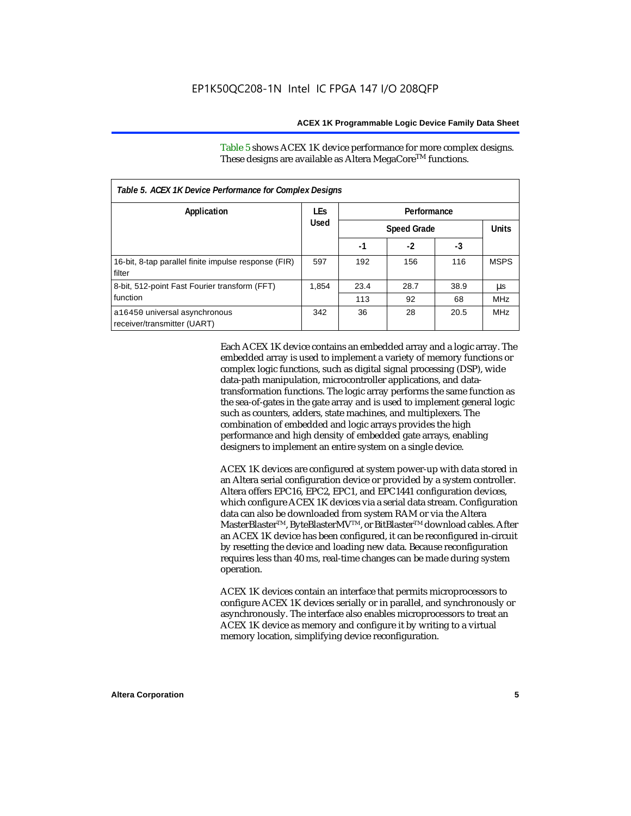Table 5 shows ACEX 1K device performance for more complex designs. These designs are available as Altera MegaCore<sup>TM</sup> functions.

| Table 5. ACEX 1K Device Performance for Complex Designs        |            |             |                    |      |              |  |
|----------------------------------------------------------------|------------|-------------|--------------------|------|--------------|--|
| Application                                                    | <b>LEs</b> | Performance |                    |      |              |  |
|                                                                | Used       |             | <b>Speed Grade</b> |      | <b>Units</b> |  |
|                                                                |            | -1          | $-2$               | -3   |              |  |
| 16-bit, 8-tap parallel finite impulse response (FIR)<br>filter | 597        | 192         | 156                | 116  | <b>MSPS</b>  |  |
| 8-bit, 512-point Fast Fourier transform (FFT)                  | 1.854      | 23.4        | 28.7               | 38.9 | μs           |  |
| function                                                       |            | 113         | 92                 | 68   | <b>MHz</b>   |  |
| a16450 universal asynchronous<br>receiver/transmitter (UART)   | 342        | 36          | 28                 | 20.5 | <b>MHz</b>   |  |

Each ACEX 1K device contains an embedded array and a logic array. The embedded array is used to implement a variety of memory functions or complex logic functions, such as digital signal processing (DSP), wide data-path manipulation, microcontroller applications, and datatransformation functions. The logic array performs the same function as the sea-of-gates in the gate array and is used to implement general logic such as counters, adders, state machines, and multiplexers. The combination of embedded and logic arrays provides the high performance and high density of embedded gate arrays, enabling designers to implement an entire system on a single device.

ACEX 1K devices are configured at system power-up with data stored in an Altera serial configuration device or provided by a system controller. Altera offers EPC16, EPC2, EPC1, and EPC1441 configuration devices, which configure ACEX 1K devices via a serial data stream. Configuration data can also be downloaded from system RAM or via the Altera MasterBlaster™, ByteBlasterMV™, or BitBlaster™ download cables. After an ACEX 1K device has been configured, it can be reconfigured in-circuit by resetting the device and loading new data. Because reconfiguration requires less than 40 ms, real-time changes can be made during system operation.

ACEX 1K devices contain an interface that permits microprocessors to configure ACEX 1K devices serially or in parallel, and synchronously or asynchronously. The interface also enables microprocessors to treat an ACEX 1K device as memory and configure it by writing to a virtual memory location, simplifying device reconfiguration.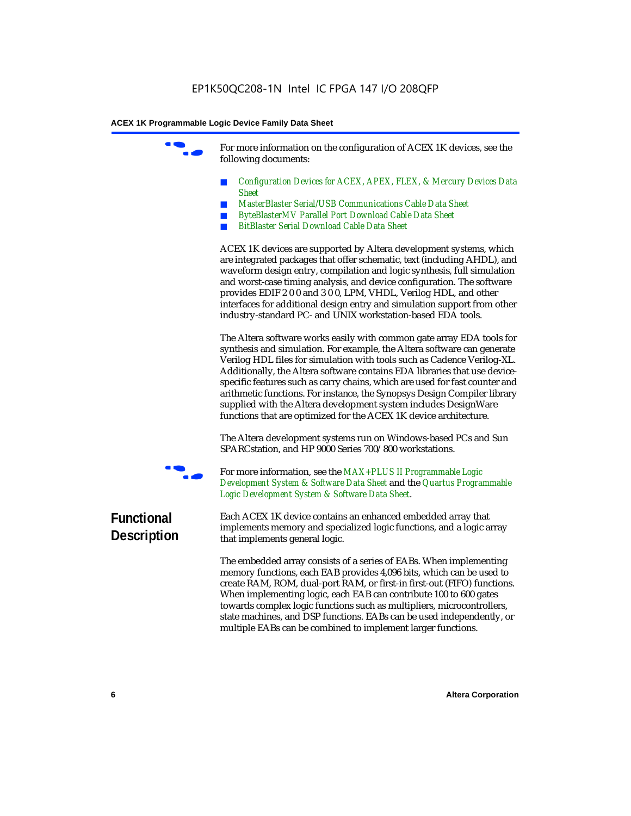For more information on the configuration of ACEX 1K devices, see the following documents:

- *Configuration Devices for ACEX, APEX, FLEX, & Mercury Devices Data Sheet*
- *MasterBlaster Serial/USB Communications Cable Data Sheet*
- *ByteBlasterMV Parallel Port Download Cable Data Sheet*
- *BitBlaster Serial Download Cable Data Sheet*

ACEX 1K devices are supported by Altera development systems, which are integrated packages that offer schematic, text (including AHDL), and waveform design entry, compilation and logic synthesis, full simulation and worst-case timing analysis, and device configuration. The software provides EDIF 2 0 0 and 3 0 0, LPM, VHDL, Verilog HDL, and other interfaces for additional design entry and simulation support from other industry-standard PC- and UNIX workstation-based EDA tools.

The Altera software works easily with common gate array EDA tools for synthesis and simulation. For example, the Altera software can generate Verilog HDL files for simulation with tools such as Cadence Verilog-XL. Additionally, the Altera software contains EDA libraries that use devicespecific features such as carry chains, which are used for fast counter and arithmetic functions. For instance, the Synopsys Design Compiler library supplied with the Altera development system includes DesignWare functions that are optimized for the ACEX 1K device architecture.

The Altera development systems run on Windows-based PCs and Sun SPARCstation, and HP 9000 Series 700/800 workstations.



For more information, see the *MAX+PLUS II Programmable Logic Development System & Software Data Sheet* and the *Quartus Programmable Logic Development System & Software Data Sheet*.

### **Functional Description**

Each ACEX 1K device contains an enhanced embedded array that implements memory and specialized logic functions, and a logic array that implements general logic.

The embedded array consists of a series of EABs. When implementing memory functions, each EAB provides 4,096 bits, which can be used to create RAM, ROM, dual-port RAM, or first-in first-out (FIFO) functions. When implementing logic, each EAB can contribute 100 to 600 gates towards complex logic functions such as multipliers, microcontrollers, state machines, and DSP functions. EABs can be used independently, or multiple EABs can be combined to implement larger functions.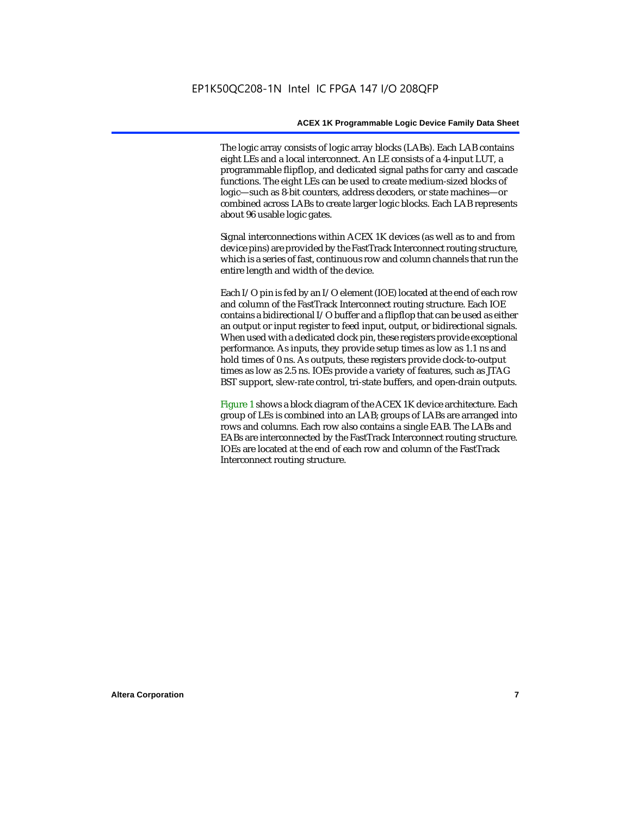The logic array consists of logic array blocks (LABs). Each LAB contains eight LEs and a local interconnect. An LE consists of a 4-input LUT, a programmable flipflop, and dedicated signal paths for carry and cascade functions. The eight LEs can be used to create medium-sized blocks of logic—such as 8-bit counters, address decoders, or state machines—or combined across LABs to create larger logic blocks. Each LAB represents about 96 usable logic gates.

Signal interconnections within ACEX 1K devices (as well as to and from device pins) are provided by the FastTrack Interconnect routing structure, which is a series of fast, continuous row and column channels that run the entire length and width of the device.

Each I/O pin is fed by an I/O element (IOE) located at the end of each row and column of the FastTrack Interconnect routing structure. Each IOE contains a bidirectional I/O buffer and a flipflop that can be used as either an output or input register to feed input, output, or bidirectional signals. When used with a dedicated clock pin, these registers provide exceptional performance. As inputs, they provide setup times as low as 1.1 ns and hold times of 0 ns. As outputs, these registers provide clock-to-output times as low as 2.5 ns. IOEs provide a variety of features, such as JTAG BST support, slew-rate control, tri-state buffers, and open-drain outputs.

Figure 1 shows a block diagram of the ACEX 1K device architecture. Each group of LEs is combined into an LAB; groups of LABs are arranged into rows and columns. Each row also contains a single EAB. The LABs and EABs are interconnected by the FastTrack Interconnect routing structure. IOEs are located at the end of each row and column of the FastTrack Interconnect routing structure.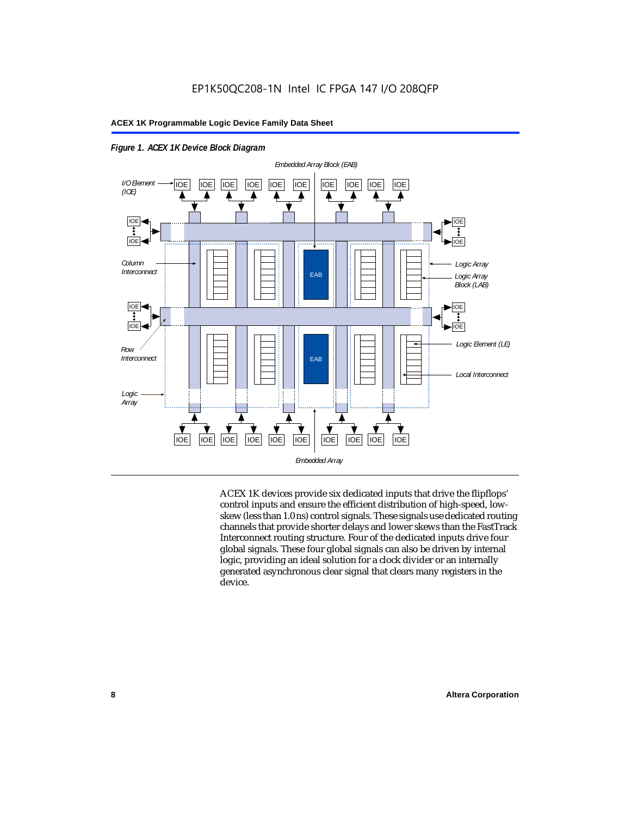

*Figure 1. ACEX 1K Device Block Diagram*

ACEX 1K devices provide six dedicated inputs that drive the flipflops' control inputs and ensure the efficient distribution of high-speed, lowskew (less than 1.0 ns) control signals. These signals use dedicated routing channels that provide shorter delays and lower skews than the FastTrack Interconnect routing structure. Four of the dedicated inputs drive four global signals. These four global signals can also be driven by internal logic, providing an ideal solution for a clock divider or an internally generated asynchronous clear signal that clears many registers in the device.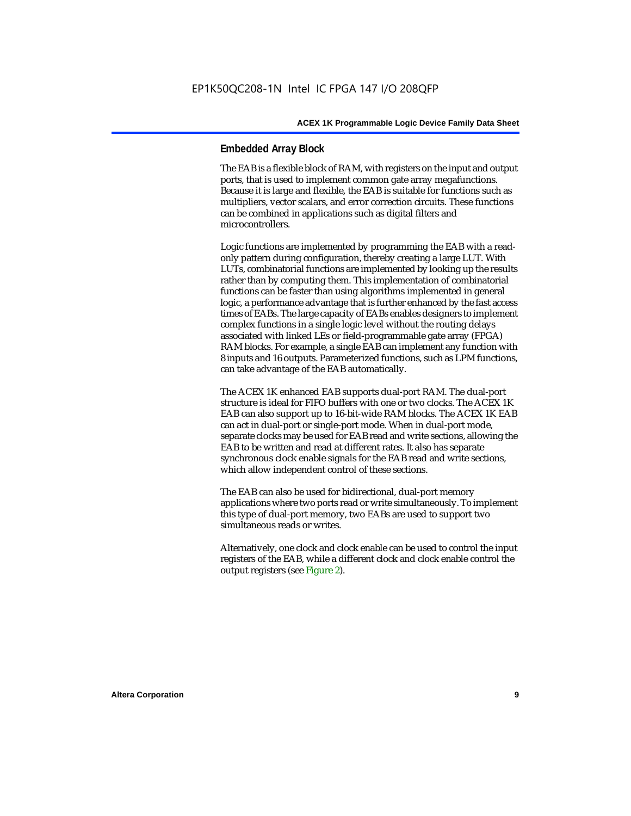#### **Embedded Array Block**

The EAB is a flexible block of RAM, with registers on the input and output ports, that is used to implement common gate array megafunctions. Because it is large and flexible, the EAB is suitable for functions such as multipliers, vector scalars, and error correction circuits. These functions can be combined in applications such as digital filters and microcontrollers.

Logic functions are implemented by programming the EAB with a readonly pattern during configuration, thereby creating a large LUT. With LUTs, combinatorial functions are implemented by looking up the results rather than by computing them. This implementation of combinatorial functions can be faster than using algorithms implemented in general logic, a performance advantage that is further enhanced by the fast access times of EABs. The large capacity of EABs enables designers to implement complex functions in a single logic level without the routing delays associated with linked LEs or field-programmable gate array (FPGA) RAM blocks. For example, a single EAB can implement any function with 8 inputs and 16 outputs. Parameterized functions, such as LPM functions, can take advantage of the EAB automatically.

The ACEX 1K enhanced EAB supports dual-port RAM. The dual-port structure is ideal for FIFO buffers with one or two clocks. The ACEX 1K EAB can also support up to 16-bit-wide RAM blocks. The ACEX 1K EAB can act in dual-port or single-port mode. When in dual-port mode, separate clocks may be used for EAB read and write sections, allowing the EAB to be written and read at different rates. It also has separate synchronous clock enable signals for the EAB read and write sections, which allow independent control of these sections.

The EAB can also be used for bidirectional, dual-port memory applications where two ports read or write simultaneously. To implement this type of dual-port memory, two EABs are used to support two simultaneous reads or writes.

Alternatively, one clock and clock enable can be used to control the input registers of the EAB, while a different clock and clock enable control the output registers (see Figure 2).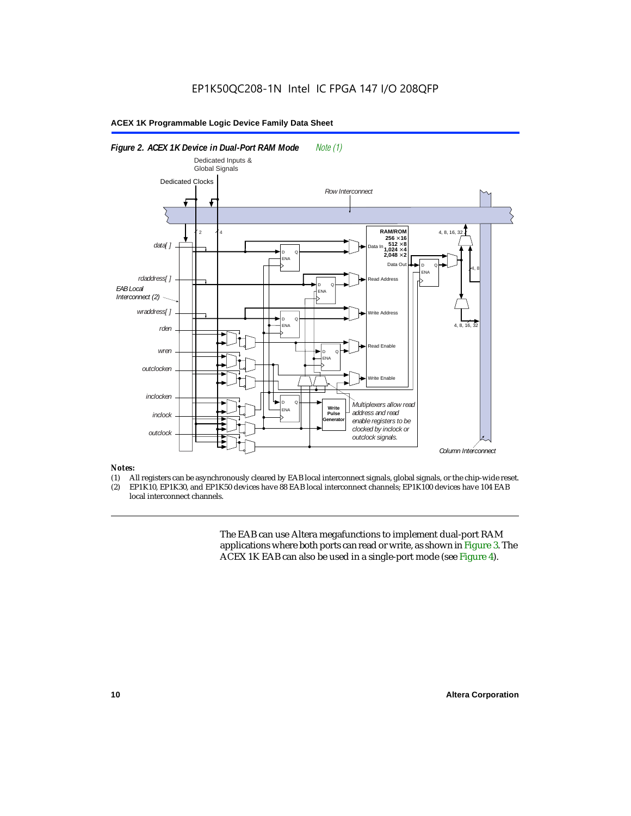

#### *Notes:*

- (1) All registers can be asynchronously cleared by EAB local interconnect signals, global signals, or the chip-wide reset.<br>(2) EP1K10. EP1K30. and EP1K50 devices have 88 EAB local interconnect channels: EP1K100 devices hav
- EP1K10, EP1K30, and EP1K50 devices have 88 EAB local interconnect channels; EP1K100 devices have 104 EAB local interconnect channels.

The EAB can use Altera megafunctions to implement dual-port RAM applications where both ports can read or write, as shown in Figure 3. The ACEX 1K EAB can also be used in a single-port mode (see Figure 4).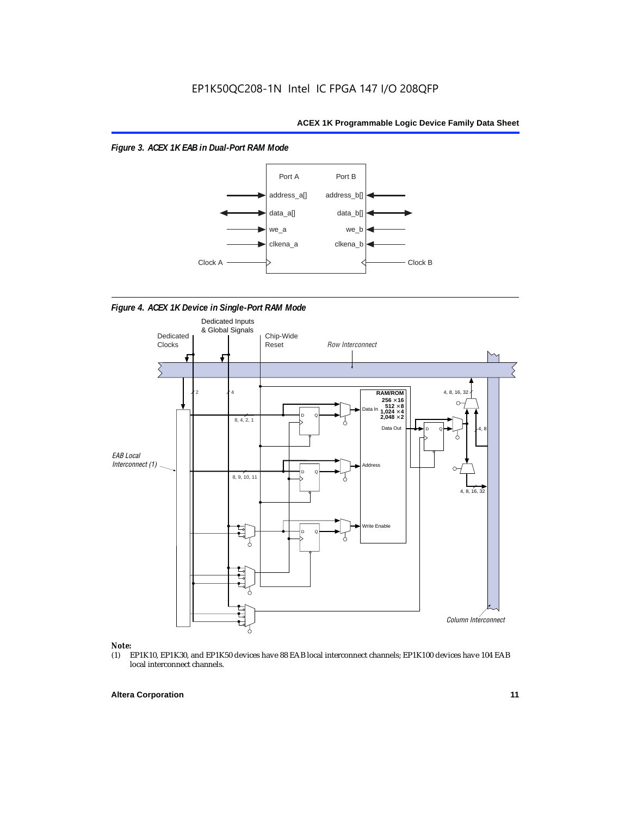



*Figure 4. ACEX 1K Device in Single-Port RAM Mode* 



## *Note:*<br>(1) **H**

EP1K10, EP1K30, and EP1K50 devices have 88 EAB local interconnect channels; EP1K100 devices have 104 EAB local interconnect channels.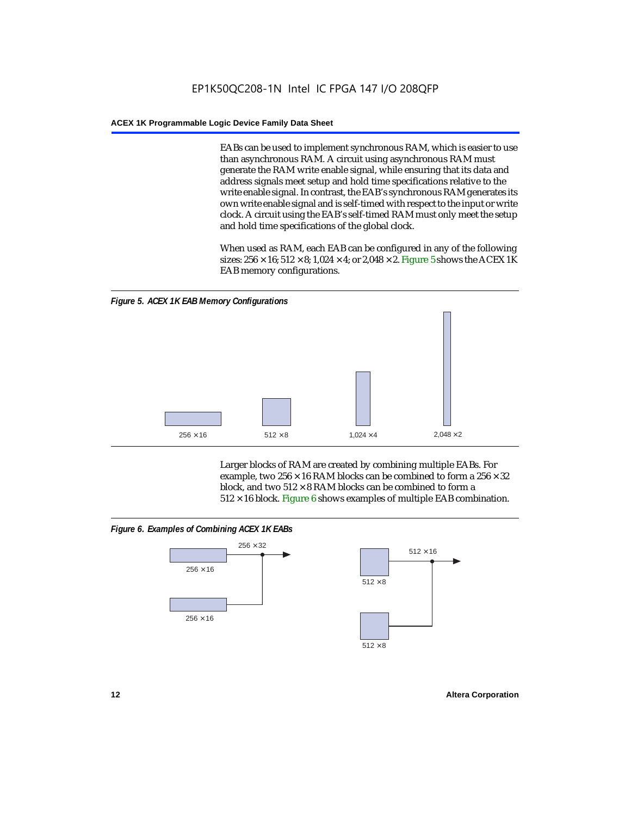EABs can be used to implement synchronous RAM, which is easier to use than asynchronous RAM. A circuit using asynchronous RAM must generate the RAM write enable signal, while ensuring that its data and address signals meet setup and hold time specifications relative to the write enable signal. In contrast, the EAB's synchronous RAM generates its own write enable signal and is self-timed with respect to the input or write clock. A circuit using the EAB's self-timed RAM must only meet the setup and hold time specifications of the global clock.

When used as RAM, each EAB can be configured in any of the following sizes:  $256 \times 16$ ;  $512 \times 8$ ;  $1,024 \times 4$ ; or  $2,048 \times 2$ . Figure 5 shows the ACEX 1K EAB memory configurations.



Larger blocks of RAM are created by combining multiple EABs. For example, two  $256 \times 16$  RAM blocks can be combined to form a  $256 \times 32$ block, and two  $512 \times 8$  RAM blocks can be combined to form a  $512 \times 16$  block. Figure 6 shows examples of multiple EAB combination.

#### *Figure 6. Examples of Combining ACEX 1K EABs*



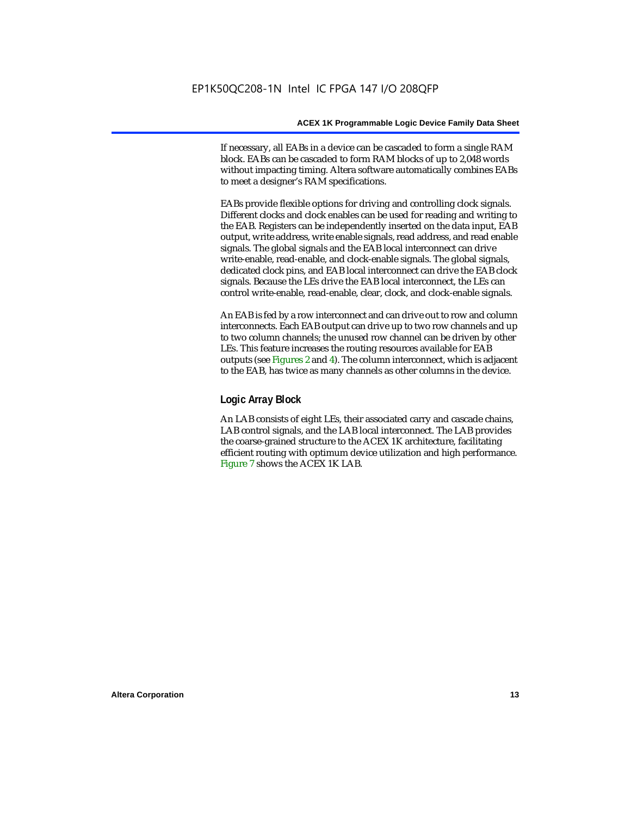If necessary, all EABs in a device can be cascaded to form a single RAM block. EABs can be cascaded to form RAM blocks of up to 2,048 words without impacting timing. Altera software automatically combines EABs to meet a designer's RAM specifications.

EABs provide flexible options for driving and controlling clock signals. Different clocks and clock enables can be used for reading and writing to the EAB. Registers can be independently inserted on the data input, EAB output, write address, write enable signals, read address, and read enable signals. The global signals and the EAB local interconnect can drive write-enable, read-enable, and clock-enable signals. The global signals, dedicated clock pins, and EAB local interconnect can drive the EAB clock signals. Because the LEs drive the EAB local interconnect, the LEs can control write-enable, read-enable, clear, clock, and clock-enable signals.

An EAB is fed by a row interconnect and can drive out to row and column interconnects. Each EAB output can drive up to two row channels and up to two column channels; the unused row channel can be driven by other LEs. This feature increases the routing resources available for EAB outputs (see Figures 2 and 4). The column interconnect, which is adjacent to the EAB, has twice as many channels as other columns in the device.

#### **Logic Array Block**

An LAB consists of eight LEs, their associated carry and cascade chains, LAB control signals, and the LAB local interconnect. The LAB provides the coarse-grained structure to the ACEX 1K architecture, facilitating efficient routing with optimum device utilization and high performance. Figure 7 shows the ACEX 1K LAB.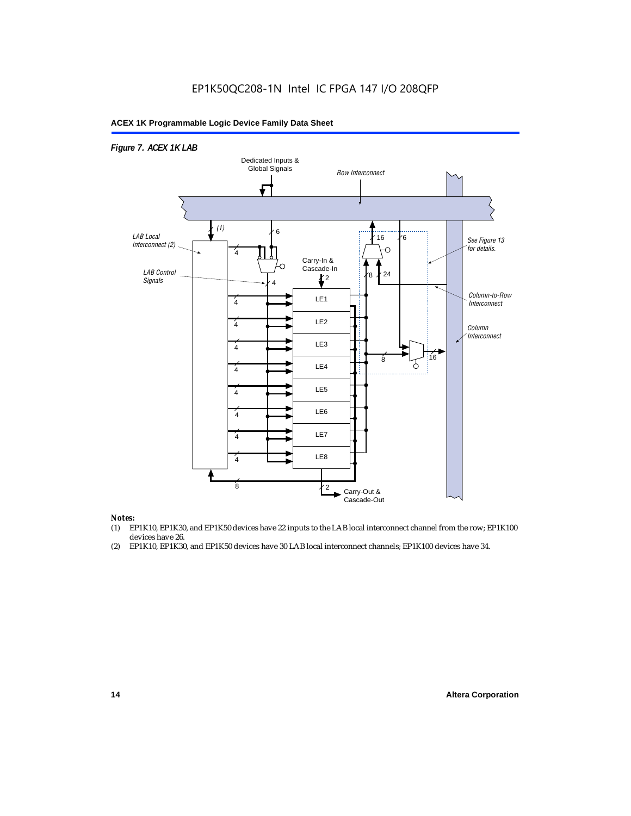### EP1K50QC208-1N Intel IC FPGA 147 I/O 208QFP

#### **ACEX 1K Programmable Logic Device Family Data Sheet**



#### *Notes:*

- (1) EP1K10, EP1K30, and EP1K50 devices have 22 inputs to the LAB local interconnect channel from the row; EP1K100 devices have 26.
- (2) EP1K10, EP1K30, and EP1K50 devices have 30 LAB local interconnect channels; EP1K100 devices have 34.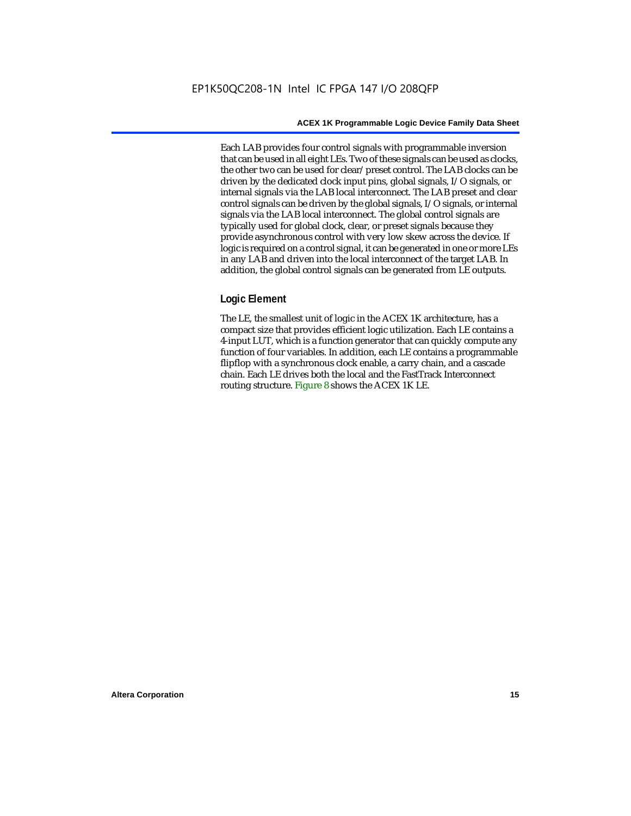Each LAB provides four control signals with programmable inversion that can be used in all eight LEs. Two of these signals can be used as clocks, the other two can be used for clear/preset control. The LAB clocks can be driven by the dedicated clock input pins, global signals, I/O signals, or internal signals via the LAB local interconnect. The LAB preset and clear control signals can be driven by the global signals, I/O signals, or internal signals via the LAB local interconnect. The global control signals are typically used for global clock, clear, or preset signals because they provide asynchronous control with very low skew across the device. If logic is required on a control signal, it can be generated in one or more LEs in any LAB and driven into the local interconnect of the target LAB. In addition, the global control signals can be generated from LE outputs.

#### **Logic Element**

The LE, the smallest unit of logic in the ACEX 1K architecture, has a compact size that provides efficient logic utilization. Each LE contains a 4-input LUT, which is a function generator that can quickly compute any function of four variables. In addition, each LE contains a programmable flipflop with a synchronous clock enable, a carry chain, and a cascade chain. Each LE drives both the local and the FastTrack Interconnect routing structure. Figure 8 shows the ACEX 1K LE.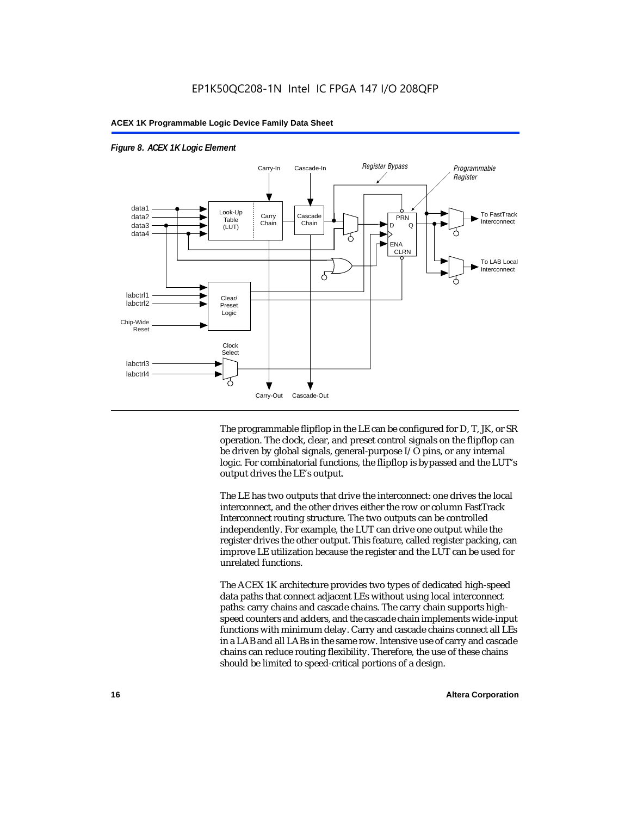

#### *Figure 8. ACEX 1K Logic Element*

The programmable flipflop in the LE can be configured for D, T, JK, or SR operation. The clock, clear, and preset control signals on the flipflop can be driven by global signals, general-purpose I/O pins, or any internal logic. For combinatorial functions, the flipflop is bypassed and the LUT's output drives the LE's output.

The LE has two outputs that drive the interconnect: one drives the local interconnect, and the other drives either the row or column FastTrack Interconnect routing structure. The two outputs can be controlled independently. For example, the LUT can drive one output while the register drives the other output. This feature, called register packing, can improve LE utilization because the register and the LUT can be used for unrelated functions.

The ACEX 1K architecture provides two types of dedicated high-speed data paths that connect adjacent LEs without using local interconnect paths: carry chains and cascade chains. The carry chain supports highspeed counters and adders, and the cascade chain implements wide-input functions with minimum delay. Carry and cascade chains connect all LEs in a LAB and all LABs in the same row. Intensive use of carry and cascade chains can reduce routing flexibility. Therefore, the use of these chains should be limited to speed-critical portions of a design.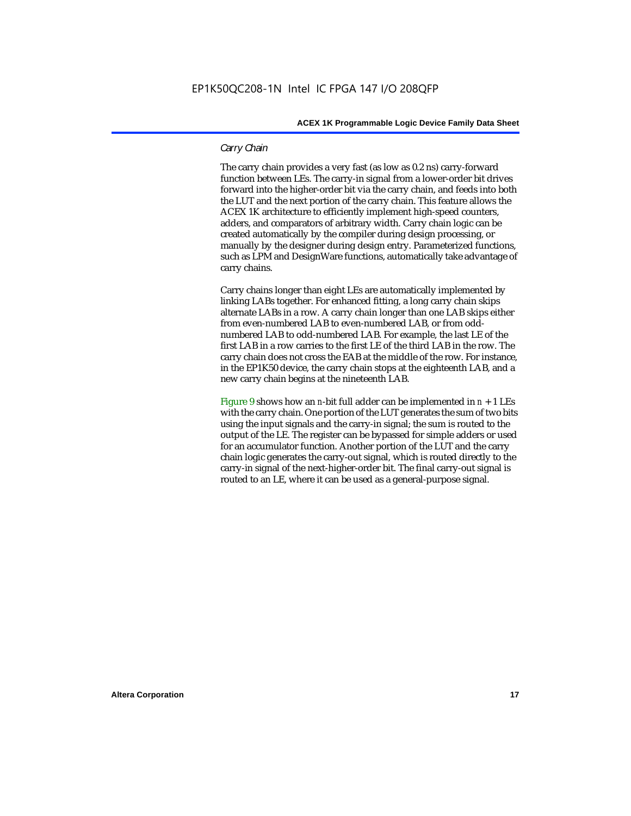#### *Carry Chain*

The carry chain provides a very fast (as low as 0.2 ns) carry-forward function between LEs. The carry-in signal from a lower-order bit drives forward into the higher-order bit via the carry chain, and feeds into both the LUT and the next portion of the carry chain. This feature allows the ACEX 1K architecture to efficiently implement high-speed counters, adders, and comparators of arbitrary width. Carry chain logic can be created automatically by the compiler during design processing, or manually by the designer during design entry. Parameterized functions, such as LPM and DesignWare functions, automatically take advantage of carry chains.

Carry chains longer than eight LEs are automatically implemented by linking LABs together. For enhanced fitting, a long carry chain skips alternate LABs in a row. A carry chain longer than one LAB skips either from even-numbered LAB to even-numbered LAB, or from oddnumbered LAB to odd-numbered LAB. For example, the last LE of the first LAB in a row carries to the first LE of the third LAB in the row. The carry chain does not cross the EAB at the middle of the row. For instance, in the EP1K50 device, the carry chain stops at the eighteenth LAB, and a new carry chain begins at the nineteenth LAB.

Figure 9 shows how an *n*-bit full adder can be implemented in  $n + 1$  LEs with the carry chain. One portion of the LUT generates the sum of two bits using the input signals and the carry-in signal; the sum is routed to the output of the LE. The register can be bypassed for simple adders or used for an accumulator function. Another portion of the LUT and the carry chain logic generates the carry-out signal, which is routed directly to the carry-in signal of the next-higher-order bit. The final carry-out signal is routed to an LE, where it can be used as a general-purpose signal.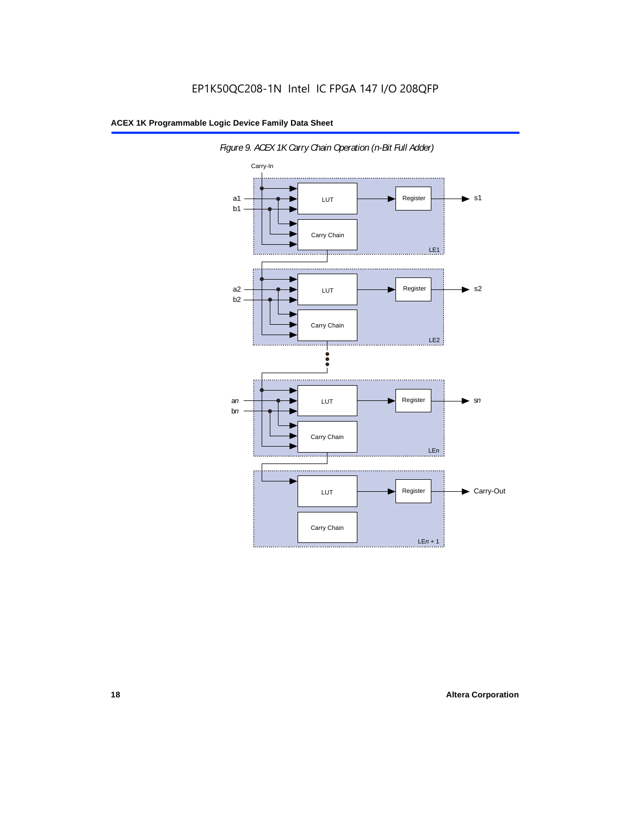

*Figure 9. ACEX 1K Carry Chain Operation (n-Bit Full Adder)*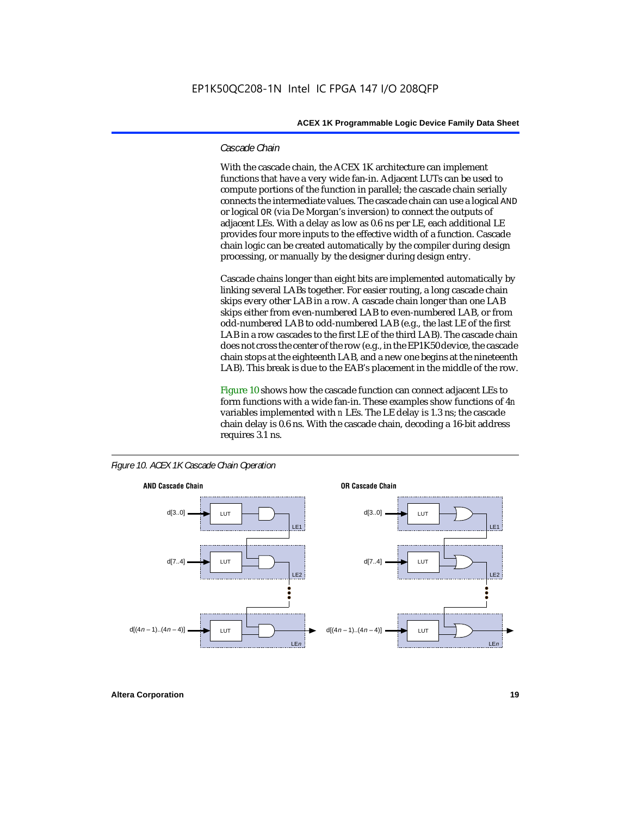#### *Cascade Chain*

With the cascade chain, the ACEX 1K architecture can implement functions that have a very wide fan-in. Adjacent LUTs can be used to compute portions of the function in parallel; the cascade chain serially connects the intermediate values. The cascade chain can use a logical AND or logical OR (via De Morgan's inversion) to connect the outputs of adjacent LEs. With a delay as low as 0.6 ns per LE, each additional LE provides four more inputs to the effective width of a function. Cascade chain logic can be created automatically by the compiler during design processing, or manually by the designer during design entry.

Cascade chains longer than eight bits are implemented automatically by linking several LABs together. For easier routing, a long cascade chain skips every other LAB in a row. A cascade chain longer than one LAB skips either from even-numbered LAB to even-numbered LAB, or from odd-numbered LAB to odd-numbered LAB (e.g., the last LE of the first LAB in a row cascades to the first LE of the third LAB). The cascade chain does not cross the center of the row (e.g., in the EP1K50 device, the cascade chain stops at the eighteenth LAB, and a new one begins at the nineteenth LAB). This break is due to the EAB's placement in the middle of the row.

Figure 10 shows how the cascade function can connect adjacent LEs to form functions with a wide fan-in. These examples show functions of 4*n* variables implemented with *n* LEs. The LE delay is 1.3 ns; the cascade chain delay is 0.6 ns. With the cascade chain, decoding a 16-bit address requires 3.1 ns.



*Figure 10. ACEX 1K Cascade Chain Operation*

**Altera Corporation 19**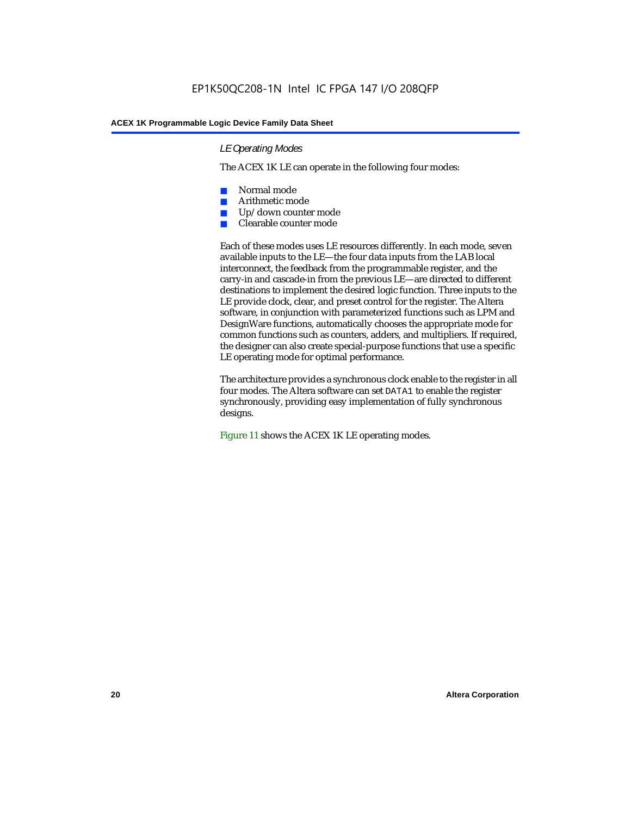#### *LE Operating Modes*

The ACEX 1K LE can operate in the following four modes:

- Normal mode
- Arithmetic mode
- Up/down counter mode
- Clearable counter mode

Each of these modes uses LE resources differently. In each mode, seven available inputs to the LE—the four data inputs from the LAB local interconnect, the feedback from the programmable register, and the carry-in and cascade-in from the previous LE—are directed to different destinations to implement the desired logic function. Three inputs to the LE provide clock, clear, and preset control for the register. The Altera software, in conjunction with parameterized functions such as LPM and DesignWare functions, automatically chooses the appropriate mode for common functions such as counters, adders, and multipliers. If required, the designer can also create special-purpose functions that use a specific LE operating mode for optimal performance.

The architecture provides a synchronous clock enable to the register in all four modes. The Altera software can set DATA1 to enable the register synchronously, providing easy implementation of fully synchronous designs.

Figure 11 shows the ACEX 1K LE operating modes.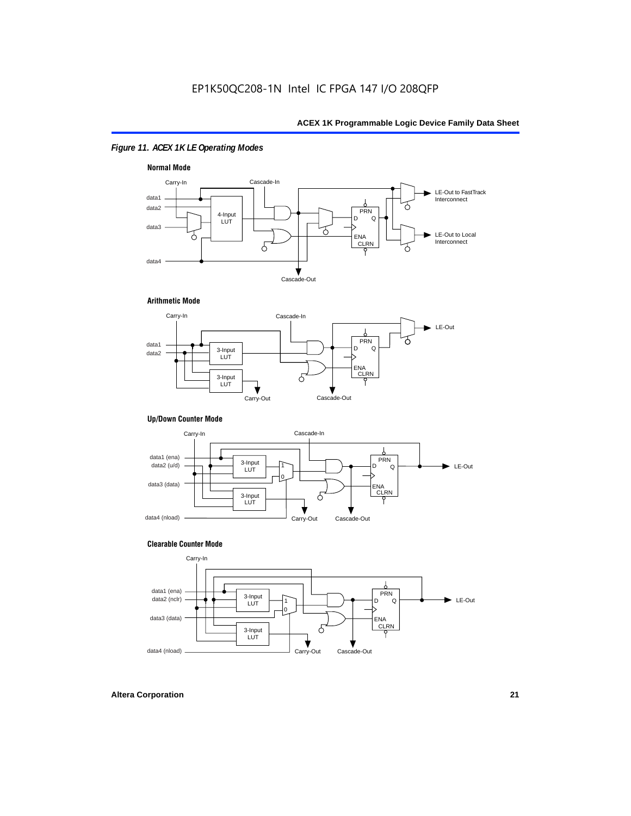#### *Figure 11. ACEX 1K LE Operating Modes*



#### **Arithmetic Mode**



#### **Up/Down Counter Mode**



#### **Clearable Counter Mode**

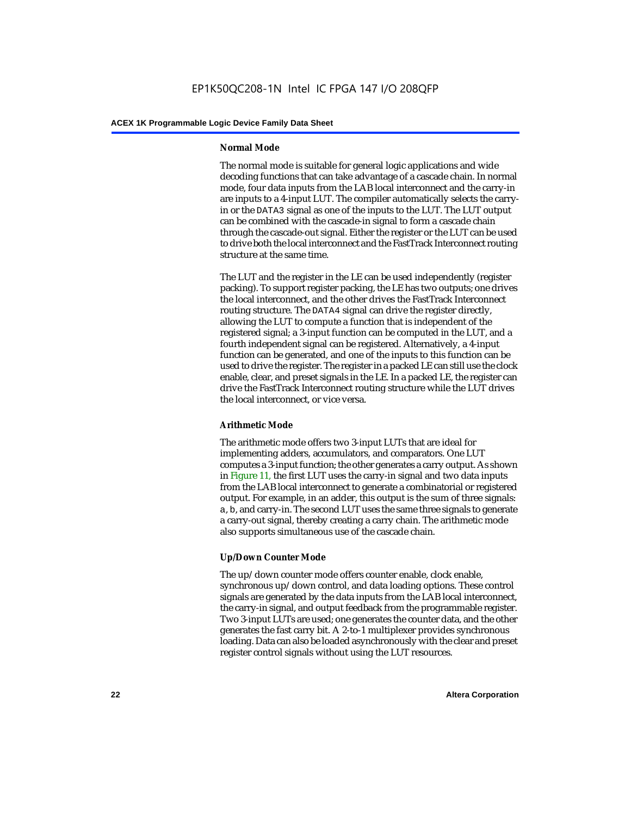#### **Normal Mode**

The normal mode is suitable for general logic applications and wide decoding functions that can take advantage of a cascade chain. In normal mode, four data inputs from the LAB local interconnect and the carry-in are inputs to a 4-input LUT. The compiler automatically selects the carryin or the DATA3 signal as one of the inputs to the LUT. The LUT output can be combined with the cascade-in signal to form a cascade chain through the cascade-out signal. Either the register or the LUT can be used to drive both the local interconnect and the FastTrack Interconnect routing structure at the same time.

The LUT and the register in the LE can be used independently (register packing). To support register packing, the LE has two outputs; one drives the local interconnect, and the other drives the FastTrack Interconnect routing structure. The DATA4 signal can drive the register directly, allowing the LUT to compute a function that is independent of the registered signal; a 3-input function can be computed in the LUT, and a fourth independent signal can be registered. Alternatively, a 4-input function can be generated, and one of the inputs to this function can be used to drive the register. The register in a packed LE can still use the clock enable, clear, and preset signals in the LE. In a packed LE, the register can drive the FastTrack Interconnect routing structure while the LUT drives the local interconnect, or vice versa.

#### **Arithmetic Mode**

The arithmetic mode offers two 3-input LUTs that are ideal for implementing adders, accumulators, and comparators. One LUT computes a 3-input function; the other generates a carry output. As shown in Figure 11, the first LUT uses the carry-in signal and two data inputs from the LAB local interconnect to generate a combinatorial or registered output. For example, in an adder, this output is the sum of three signals: a, b, and carry-in. The second LUT uses the same three signals to generate a carry-out signal, thereby creating a carry chain. The arithmetic mode also supports simultaneous use of the cascade chain.

#### **Up/Down Counter Mode**

The up/down counter mode offers counter enable, clock enable, synchronous up/down control, and data loading options. These control signals are generated by the data inputs from the LAB local interconnect, the carry-in signal, and output feedback from the programmable register. Two 3-input LUTs are used; one generates the counter data, and the other generates the fast carry bit. A 2-to-1 multiplexer provides synchronous loading. Data can also be loaded asynchronously with the clear and preset register control signals without using the LUT resources.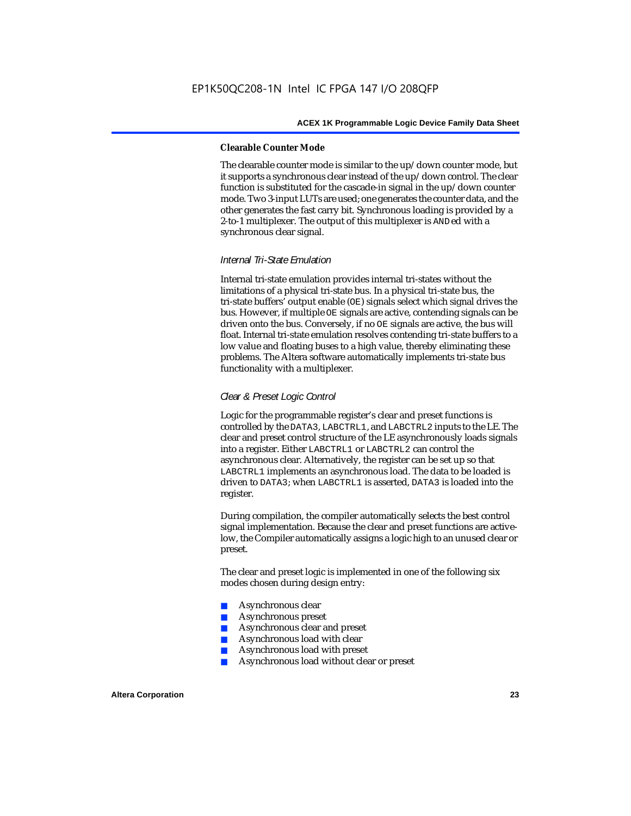#### **Clearable Counter Mode**

The clearable counter mode is similar to the up/down counter mode, but it supports a synchronous clear instead of the up/down control. The clear function is substituted for the cascade-in signal in the up/down counter mode. Two 3-input LUTs are used; one generates the counter data, and the other generates the fast carry bit. Synchronous loading is provided by a 2-to-1 multiplexer. The output of this multiplexer is ANDed with a synchronous clear signal.

#### *Internal Tri-State Emulation*

Internal tri-state emulation provides internal tri-states without the limitations of a physical tri-state bus. In a physical tri-state bus, the tri-state buffers' output enable (OE) signals select which signal drives the bus. However, if multiple OE signals are active, contending signals can be driven onto the bus. Conversely, if no OE signals are active, the bus will float. Internal tri-state emulation resolves contending tri-state buffers to a low value and floating buses to a high value, thereby eliminating these problems. The Altera software automatically implements tri-state bus functionality with a multiplexer.

#### *Clear & Preset Logic Control*

Logic for the programmable register's clear and preset functions is controlled by the DATA3, LABCTRL1, and LABCTRL2 inputs to the LE. The clear and preset control structure of the LE asynchronously loads signals into a register. Either LABCTRL1 or LABCTRL2 can control the asynchronous clear. Alternatively, the register can be set up so that LABCTRL1 implements an asynchronous load. The data to be loaded is driven to DATA3; when LABCTRL1 is asserted, DATA3 is loaded into the register.

During compilation, the compiler automatically selects the best control signal implementation. Because the clear and preset functions are activelow, the Compiler automatically assigns a logic high to an unused clear or preset.

The clear and preset logic is implemented in one of the following six modes chosen during design entry:

- Asynchronous clear
- Asynchronous preset
- Asynchronous clear and preset
- Asynchronous load with clear
- Asynchronous load with preset
- Asynchronous load without clear or preset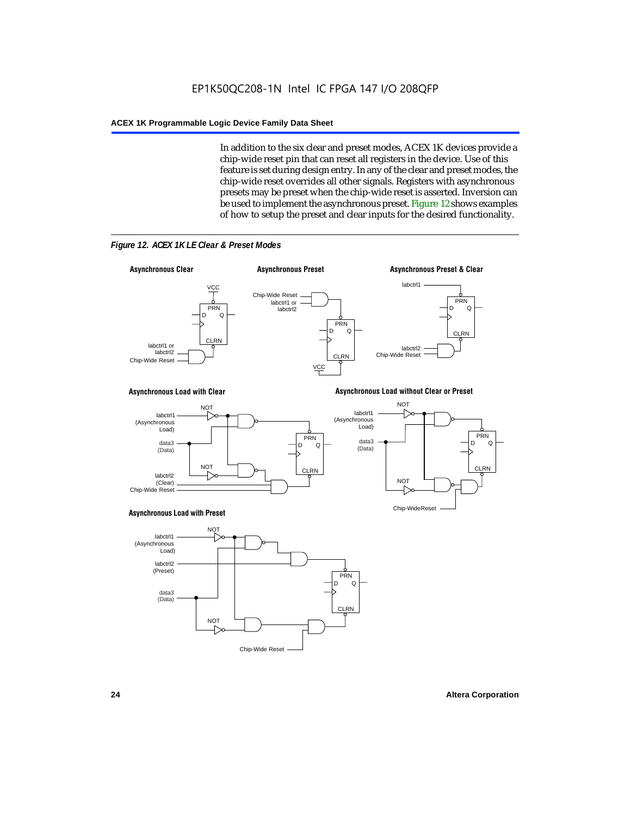In addition to the six clear and preset modes, ACEX 1K devices provide a chip-wide reset pin that can reset all registers in the device. Use of this feature is set during design entry. In any of the clear and preset modes, the chip-wide reset overrides all other signals. Registers with asynchronous presets may be preset when the chip-wide reset is asserted. Inversion can be used to implement the asynchronous preset. Figure 12 shows examples of how to setup the preset and clear inputs for the desired functionality.



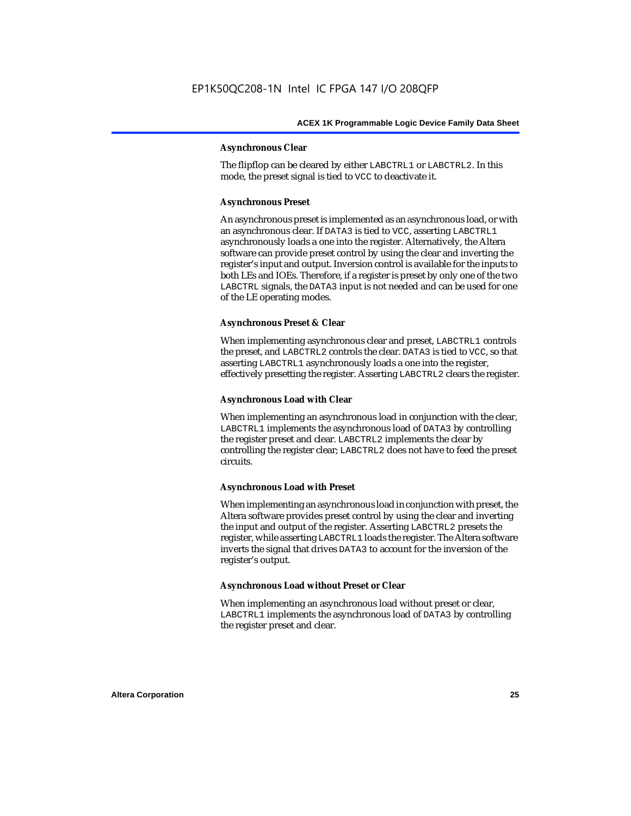#### **Asynchronous Clear**

The flipflop can be cleared by either LABCTRL1 or LABCTRL2. In this mode, the preset signal is tied to VCC to deactivate it.

#### **Asynchronous Preset**

An asynchronous preset is implemented as an asynchronous load, or with an asynchronous clear. If DATA3 is tied to VCC, asserting LABCTRL1 asynchronously loads a one into the register. Alternatively, the Altera software can provide preset control by using the clear and inverting the register's input and output. Inversion control is available for the inputs to both LEs and IOEs. Therefore, if a register is preset by only one of the two LABCTRL signals, the DATA3 input is not needed and can be used for one of the LE operating modes.

#### **Asynchronous Preset & Clear**

When implementing asynchronous clear and preset, LABCTRL1 controls the preset, and LABCTRL2 controls the clear. DATA3 is tied to VCC, so that asserting LABCTRL1 asynchronously loads a one into the register, effectively presetting the register. Asserting LABCTRL2 clears the register.

#### **Asynchronous Load with Clear**

When implementing an asynchronous load in conjunction with the clear, LABCTRL1 implements the asynchronous load of DATA3 by controlling the register preset and clear. LABCTRL2 implements the clear by controlling the register clear; LABCTRL2 does not have to feed the preset circuits.

#### **Asynchronous Load with Preset**

When implementing an asynchronous load in conjunction with preset, the Altera software provides preset control by using the clear and inverting the input and output of the register. Asserting LABCTRL2 presets the register, while asserting LABCTRL1 loads the register. The Altera software inverts the signal that drives DATA3 to account for the inversion of the register's output.

#### **Asynchronous Load without Preset or Clear**

When implementing an asynchronous load without preset or clear, LABCTRL1 implements the asynchronous load of DATA3 by controlling the register preset and clear.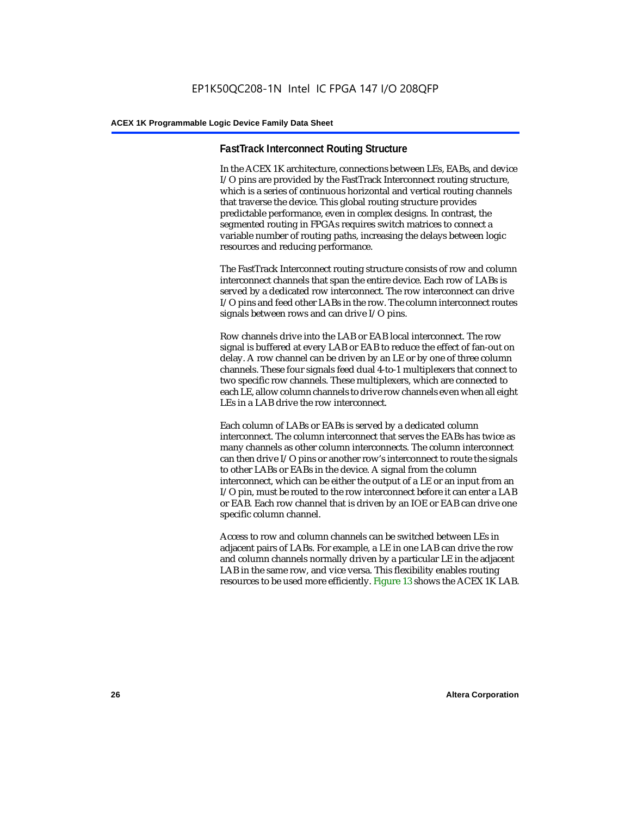#### **FastTrack Interconnect Routing Structure**

In the ACEX 1K architecture, connections between LEs, EABs, and device I/O pins are provided by the FastTrack Interconnect routing structure, which is a series of continuous horizontal and vertical routing channels that traverse the device. This global routing structure provides predictable performance, even in complex designs. In contrast, the segmented routing in FPGAs requires switch matrices to connect a variable number of routing paths, increasing the delays between logic resources and reducing performance.

The FastTrack Interconnect routing structure consists of row and column interconnect channels that span the entire device. Each row of LABs is served by a dedicated row interconnect. The row interconnect can drive I/O pins and feed other LABs in the row. The column interconnect routes signals between rows and can drive I/O pins.

Row channels drive into the LAB or EAB local interconnect. The row signal is buffered at every LAB or EAB to reduce the effect of fan-out on delay. A row channel can be driven by an LE or by one of three column channels. These four signals feed dual 4-to-1 multiplexers that connect to two specific row channels. These multiplexers, which are connected to each LE, allow column channels to drive row channels even when all eight LEs in a LAB drive the row interconnect.

Each column of LABs or EABs is served by a dedicated column interconnect. The column interconnect that serves the EABs has twice as many channels as other column interconnects. The column interconnect can then drive I/O pins or another row's interconnect to route the signals to other LABs or EABs in the device. A signal from the column interconnect, which can be either the output of a LE or an input from an I/O pin, must be routed to the row interconnect before it can enter a LAB or EAB. Each row channel that is driven by an IOE or EAB can drive one specific column channel.

Access to row and column channels can be switched between LEs in adjacent pairs of LABs. For example, a LE in one LAB can drive the row and column channels normally driven by a particular LE in the adjacent LAB in the same row, and vice versa. This flexibility enables routing resources to be used more efficiently. Figure 13 shows the ACEX 1K LAB.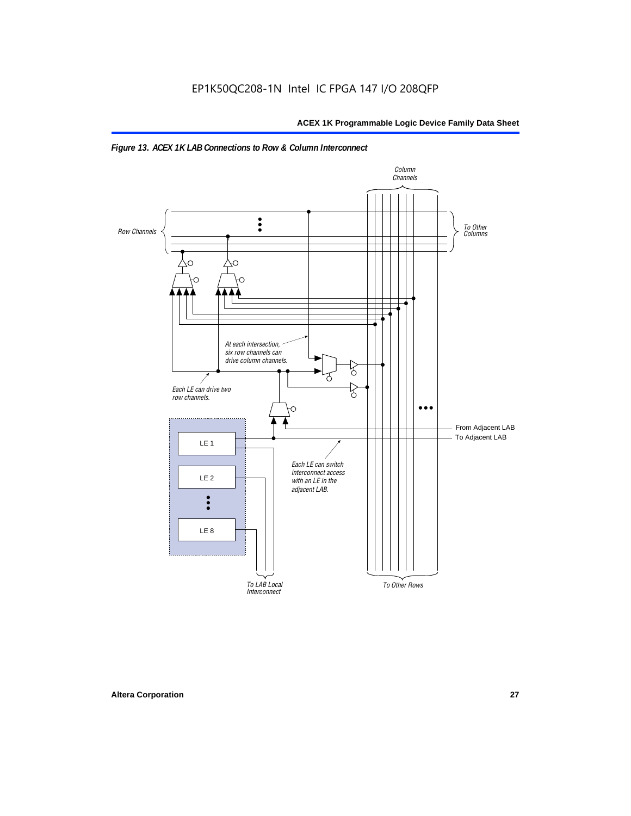

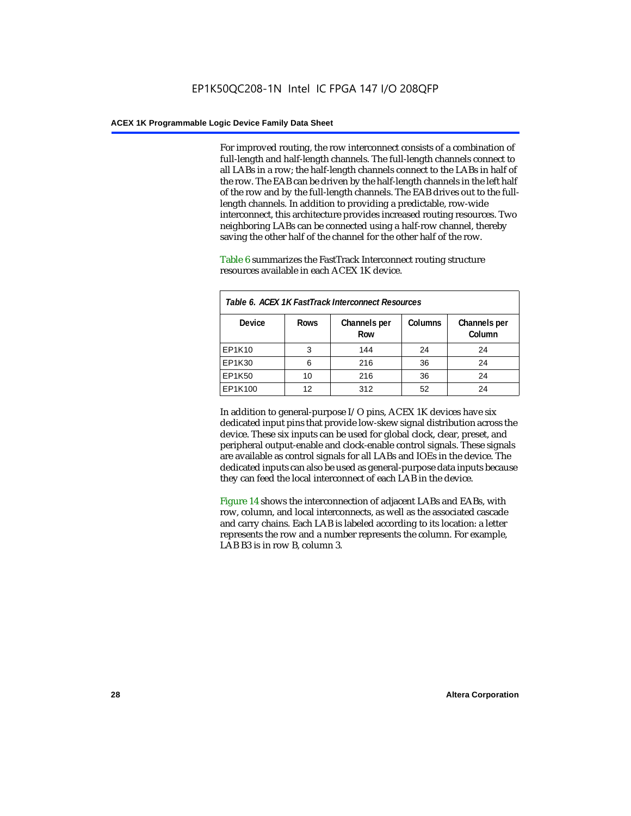For improved routing, the row interconnect consists of a combination of full-length and half-length channels. The full-length channels connect to all LABs in a row; the half-length channels connect to the LABs in half of the row. The EAB can be driven by the half-length channels in the left half of the row and by the full-length channels. The EAB drives out to the fulllength channels. In addition to providing a predictable, row-wide interconnect, this architecture provides increased routing resources. Two neighboring LABs can be connected using a half-row channel, thereby saving the other half of the channel for the other half of the row.

Table 6 summarizes the FastTrack Interconnect routing structure resources available in each ACEX 1K device.

| Table 6. ACEX 1K FastTrack Interconnect Resources |             |                     |                |                        |  |  |
|---------------------------------------------------|-------------|---------------------|----------------|------------------------|--|--|
| <b>Device</b>                                     | <b>Rows</b> | Channels per<br>Row | <b>Columns</b> | Channels per<br>Column |  |  |
| EP1K10                                            | 3           | 144                 | 24             | 24                     |  |  |
| EP1K30                                            | 6           | 216                 | 36             | 24                     |  |  |
| EP1K50                                            | 10          | 216                 | 36             | 24                     |  |  |
| EP1K100                                           | 12          | 312                 | 52             | 24                     |  |  |

In addition to general-purpose I/O pins, ACEX 1K devices have six dedicated input pins that provide low-skew signal distribution across the device. These six inputs can be used for global clock, clear, preset, and peripheral output-enable and clock-enable control signals. These signals are available as control signals for all LABs and IOEs in the device. The dedicated inputs can also be used as general-purpose data inputs because they can feed the local interconnect of each LAB in the device.

Figure 14 shows the interconnection of adjacent LABs and EABs, with row, column, and local interconnects, as well as the associated cascade and carry chains. Each LAB is labeled according to its location: a letter represents the row and a number represents the column. For example, LAB B3 is in row B, column 3.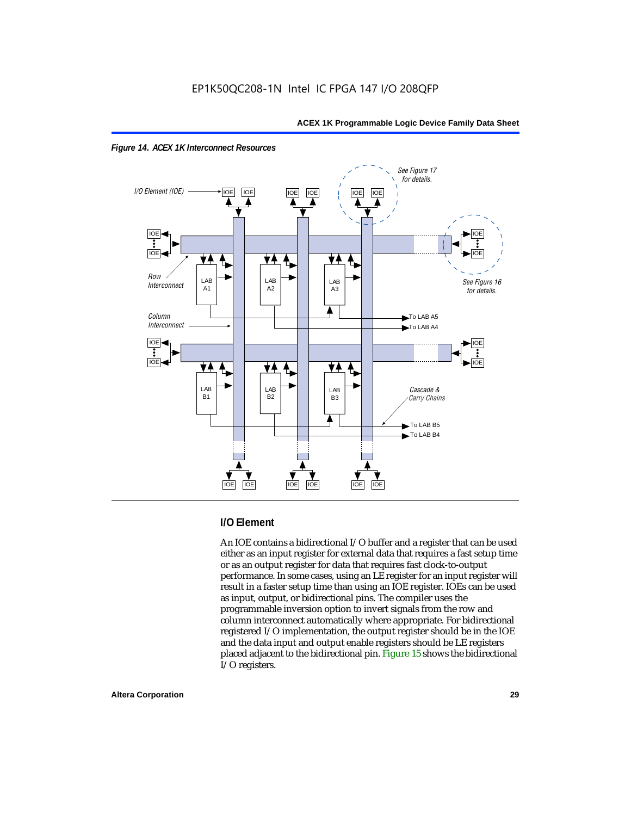



#### **I/O Element**

An IOE contains a bidirectional I/O buffer and a register that can be used either as an input register for external data that requires a fast setup time or as an output register for data that requires fast clock-to-output performance. In some cases, using an LE register for an input register will result in a faster setup time than using an IOE register. IOEs can be used as input, output, or bidirectional pins. The compiler uses the programmable inversion option to invert signals from the row and column interconnect automatically where appropriate. For bidirectional registered I/O implementation, the output register should be in the IOE and the data input and output enable registers should be LE registers placed adjacent to the bidirectional pin. Figure 15 shows the bidirectional I/O registers.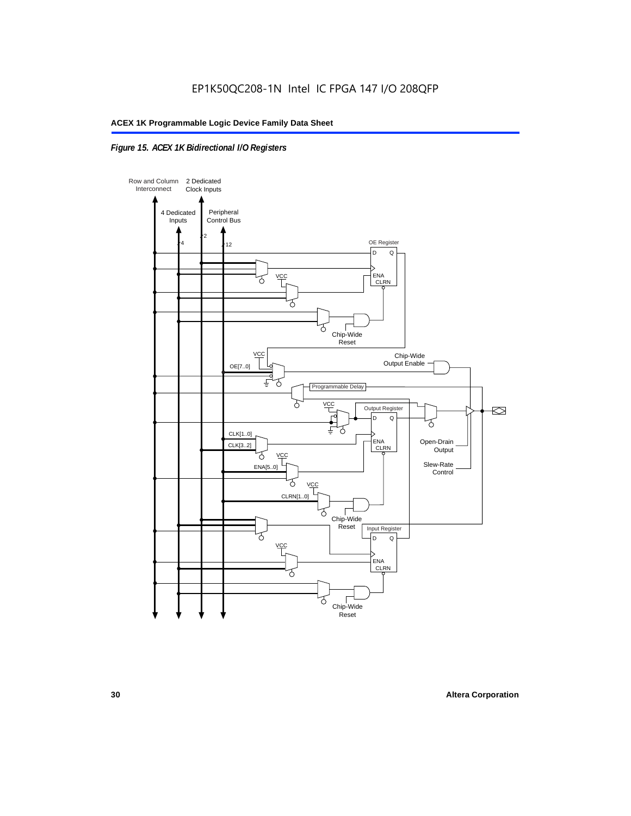### *Figure 15. ACEX 1K Bidirectional I/O Registers*

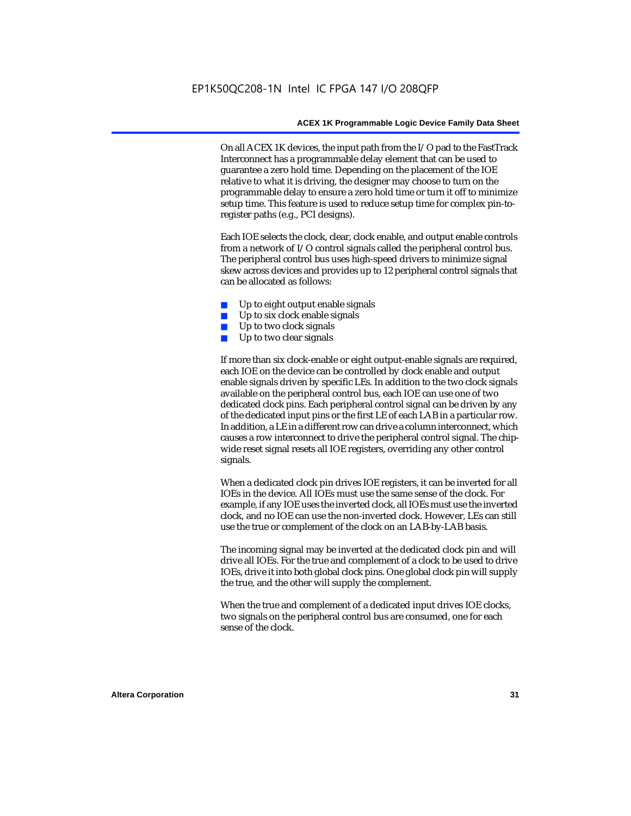On all ACEX 1K devices, the input path from the I/O pad to the FastTrack Interconnect has a programmable delay element that can be used to guarantee a zero hold time. Depending on the placement of the IOE relative to what it is driving, the designer may choose to turn on the programmable delay to ensure a zero hold time or turn it off to minimize setup time. This feature is used to reduce setup time for complex pin-toregister paths (e.g., PCI designs).

Each IOE selects the clock, clear, clock enable, and output enable controls from a network of I/O control signals called the peripheral control bus. The peripheral control bus uses high-speed drivers to minimize signal skew across devices and provides up to 12 peripheral control signals that can be allocated as follows:

- Up to eight output enable signals
- Up to six clock enable signals
- Up to two clock signals
- Up to two clear signals

If more than six clock-enable or eight output-enable signals are required, each IOE on the device can be controlled by clock enable and output enable signals driven by specific LEs. In addition to the two clock signals available on the peripheral control bus, each IOE can use one of two dedicated clock pins. Each peripheral control signal can be driven by any of the dedicated input pins or the first LE of each LAB in a particular row. In addition, a LE in a different row can drive a column interconnect, which causes a row interconnect to drive the peripheral control signal. The chipwide reset signal resets all IOE registers, overriding any other control signals.

When a dedicated clock pin drives IOE registers, it can be inverted for all IOEs in the device. All IOEs must use the same sense of the clock. For example, if any IOE uses the inverted clock, all IOEs must use the inverted clock, and no IOE can use the non-inverted clock. However, LEs can still use the true or complement of the clock on an LAB-by-LAB basis.

The incoming signal may be inverted at the dedicated clock pin and will drive all IOEs. For the true and complement of a clock to be used to drive IOEs, drive it into both global clock pins. One global clock pin will supply the true, and the other will supply the complement.

When the true and complement of a dedicated input drives IOE clocks, two signals on the peripheral control bus are consumed, one for each sense of the clock.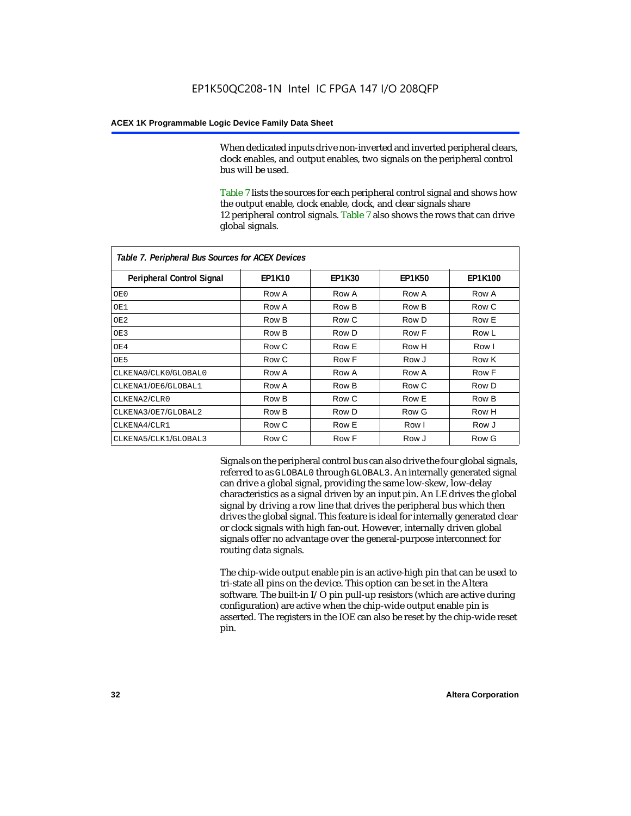When dedicated inputs drive non-inverted and inverted peripheral clears, clock enables, and output enables, two signals on the peripheral control bus will be used.

Table 7 lists the sources for each peripheral control signal and shows how the output enable, clock enable, clock, and clear signals share 12 peripheral control signals. Table 7 also shows the rows that can drive global signals.

| Table 7. Peripheral Bus Sources for ACEX Devices |               |               |               |                |  |  |  |
|--------------------------------------------------|---------------|---------------|---------------|----------------|--|--|--|
| Peripheral Control Signal                        | <b>EP1K10</b> | <b>EP1K30</b> | <b>EP1K50</b> | <b>EP1K100</b> |  |  |  |
| OE0                                              | Row A         | Row A         | Row A         | Row A          |  |  |  |
| OE1                                              | Row A         | Row B         | Row B         | Row C          |  |  |  |
| OE <sub>2</sub>                                  | Row B         | Row C         | Row D         | Row E          |  |  |  |
| OE3                                              | Row B         | Row D         | Row F         | Row L          |  |  |  |
| OE4                                              | Row C         | Row E         | Row H         | Row I          |  |  |  |
| OE5                                              | Row C         | Row F         | Row J         | Row K          |  |  |  |
| CLKENA0/CLK0/GLOBAL0                             | Row A         | Row A         | Row A         | Row F          |  |  |  |
| CLKENA1/OE6/GLOBAL1                              | Row A         | Row B         | Row C         | Row D          |  |  |  |
| CLKENA2/CLR0                                     | Row B         | Row C         | Row E         | Row B          |  |  |  |
| CLKENA3/OE7/GLOBAL2                              | Row B         | Row D         | Row G         | Row H          |  |  |  |
| CLKENA4/CLR1                                     | Row C         | Row E         | Row I         | Row J          |  |  |  |
| CLKENA5/CLK1/GLOBAL3                             | Row C         | Row F         | Row J         | Row G          |  |  |  |

Signals on the peripheral control bus can also drive the four global signals, referred to as GLOBAL0 through GLOBAL3. An internally generated signal can drive a global signal, providing the same low-skew, low-delay characteristics as a signal driven by an input pin. An LE drives the global signal by driving a row line that drives the peripheral bus which then drives the global signal. This feature is ideal for internally generated clear or clock signals with high fan-out. However, internally driven global signals offer no advantage over the general-purpose interconnect for routing data signals.

The chip-wide output enable pin is an active-high pin that can be used to tri-state all pins on the device. This option can be set in the Altera software. The built-in I/O pin pull-up resistors (which are active during configuration) are active when the chip-wide output enable pin is asserted. The registers in the IOE can also be reset by the chip-wide reset pin.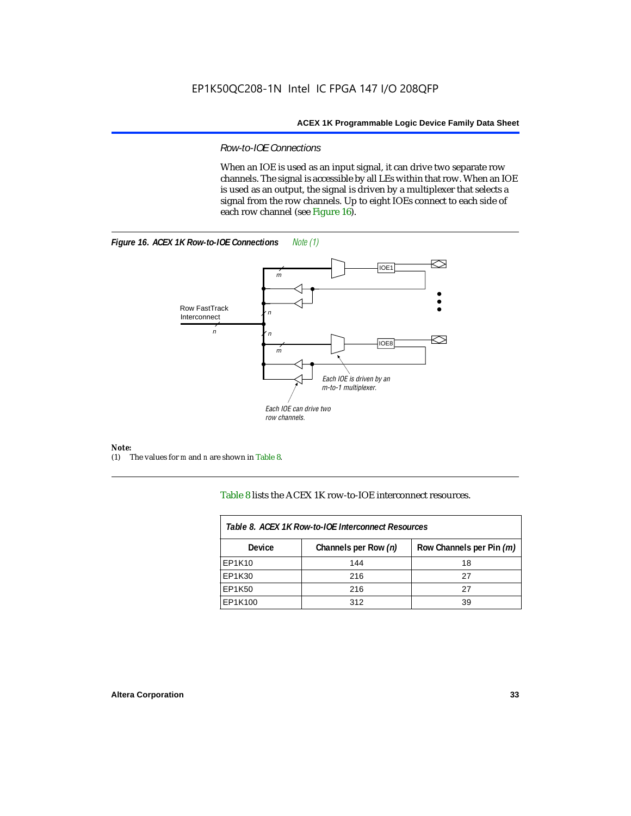#### *Row-to-IOE Connections*

When an IOE is used as an input signal, it can drive two separate row channels. The signal is accessible by all LEs within that row. When an IOE is used as an output, the signal is driven by a multiplexer that selects a signal from the row channels. Up to eight IOEs connect to each side of each row channel (see Figure 16).





*Note:*<br>(1) 7 (1) The values for *m* and *n* are shown in Table 8.

Table 8 lists the ACEX 1K row-to-IOE interconnect resources.

| Table 8. ACEX 1K Row-to-IOE Interconnect Resources |                      |                          |  |  |  |
|----------------------------------------------------|----------------------|--------------------------|--|--|--|
| Device                                             | Channels per Row (n) | Row Channels per Pin (m) |  |  |  |
| EP1K10                                             | 144                  | 18                       |  |  |  |
| EP1K30                                             | 216                  | 27                       |  |  |  |
| EP1K50                                             | 216                  | 27                       |  |  |  |
| EP1K100                                            | 312                  | 39                       |  |  |  |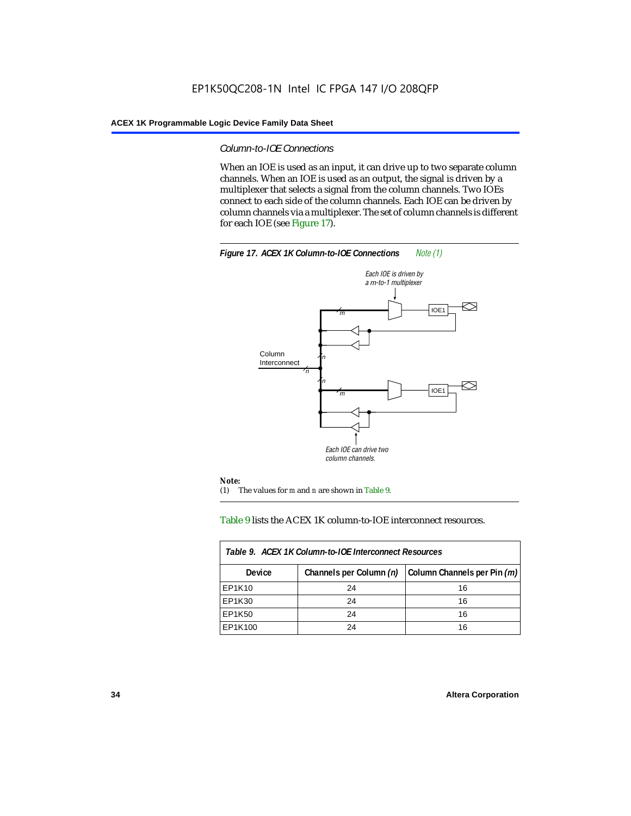#### *Column-to-IOE Connections*

When an IOE is used as an input, it can drive up to two separate column channels. When an IOE is used as an output, the signal is driven by a multiplexer that selects a signal from the column channels. Two IOEs connect to each side of the column channels. Each IOE can be driven by column channels via a multiplexer. The set of column channels is different for each IOE (see Figure 17).



#### Table 9 lists the ACEX 1K column-to-IOE interconnect resources.

| Table 9. ACEX 1K Column-to-IOE Interconnect Resources |                         |                             |  |  |  |
|-------------------------------------------------------|-------------------------|-----------------------------|--|--|--|
| <b>Device</b>                                         | Channels per Column (n) | Column Channels per Pin (m) |  |  |  |
| EP1K10                                                | 24                      | 16                          |  |  |  |
| EP1K30                                                | 24                      | 16                          |  |  |  |
| EP1K50                                                | 24                      | 16                          |  |  |  |
| EP1K100                                               | 24                      | 16                          |  |  |  |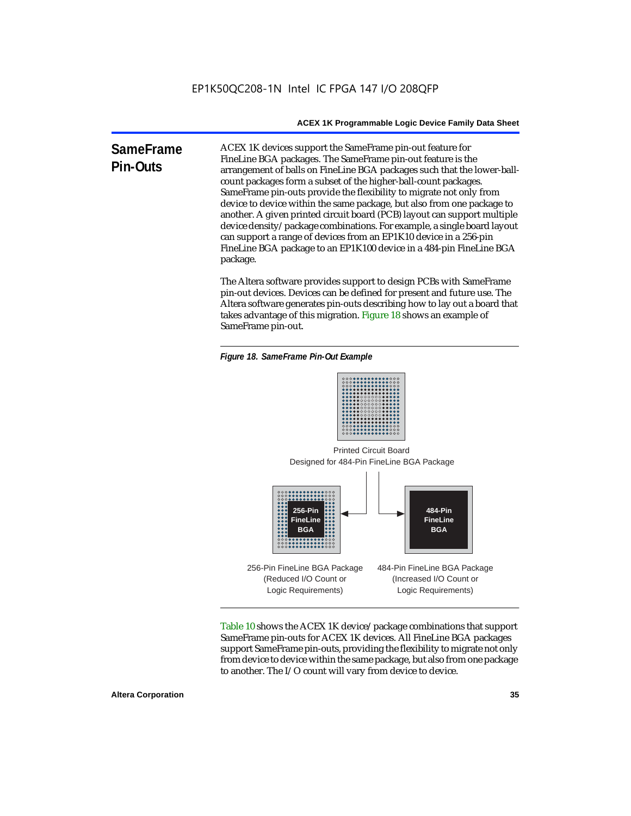**SameFrame Pin-Outs** ACEX 1K devices support the SameFrame pin-out feature for FineLine BGA packages. The SameFrame pin-out feature is the arrangement of balls on FineLine BGA packages such that the lower-ballcount packages form a subset of the higher-ball-count packages. SameFrame pin-outs provide the flexibility to migrate not only from device to device within the same package, but also from one package to another. A given printed circuit board (PCB) layout can support multiple device density/package combinations. For example, a single board layout can support a range of devices from an EP1K10 device in a 256-pin FineLine BGA package to an EP1K100 device in a 484-pin FineLine BGA package.

> The Altera software provides support to design PCBs with SameFrame pin-out devices. Devices can be defined for present and future use. The Altera software generates pin-outs describing how to lay out a board that takes advantage of this migration. Figure 18 shows an example of SameFrame pin-out.

*Figure 18. SameFrame Pin-Out Example*



Designed for 484-Pin FineLine BGA Package Printed Circuit Board



Table 10 shows the ACEX 1K device/package combinations that support SameFrame pin-outs for ACEX 1K devices. All FineLine BGA packages support SameFrame pin-outs, providing the flexibility to migrate not only from device to device within the same package, but also from one package to another. The I/O count will vary from device to device.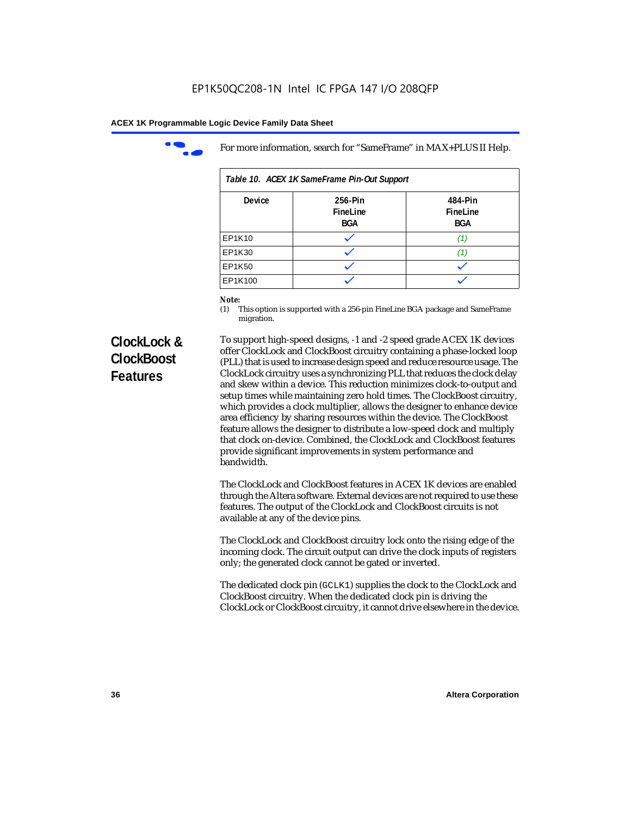

For more information, search for "SameFrame" in MAX+PLUS II Help.

| Table 10. ACEX 1K SameFrame Pin-Out Support |                                   |                                   |  |  |  |
|---------------------------------------------|-----------------------------------|-----------------------------------|--|--|--|
| <b>Device</b>                               | 256-Pin<br>FineLine<br><b>BGA</b> | 484-Pin<br>FineLine<br><b>BGA</b> |  |  |  |
| EP1K10                                      |                                   | 11.                               |  |  |  |
| EP1K30                                      |                                   |                                   |  |  |  |
| EP1K50                                      |                                   |                                   |  |  |  |
| EP1K100                                     |                                   |                                   |  |  |  |

# *Note:*<br>(1) **7**

This option is supported with a 256-pin FineLine BGA package and SameFrame migration.

# **ClockLock & ClockBoost Features**

To support high-speed designs, -1 and -2 speed grade ACEX 1K devices offer ClockLock and ClockBoost circuitry containing a phase-locked loop (PLL) that is used to increase design speed and reduce resource usage. The ClockLock circuitry uses a synchronizing PLL that reduces the clock delay and skew within a device. This reduction minimizes clock-to-output and setup times while maintaining zero hold times. The ClockBoost circuitry, which provides a clock multiplier, allows the designer to enhance device area efficiency by sharing resources within the device. The ClockBoost feature allows the designer to distribute a low-speed clock and multiply that clock on-device. Combined, the ClockLock and ClockBoost features provide significant improvements in system performance and bandwidth.

The ClockLock and ClockBoost features in ACEX 1K devices are enabled through the Altera software. External devices are not required to use these features. The output of the ClockLock and ClockBoost circuits is not available at any of the device pins.

The ClockLock and ClockBoost circuitry lock onto the rising edge of the incoming clock. The circuit output can drive the clock inputs of registers only; the generated clock cannot be gated or inverted.

The dedicated clock pin (GCLK1) supplies the clock to the ClockLock and ClockBoost circuitry. When the dedicated clock pin is driving the ClockLock or ClockBoost circuitry, it cannot drive elsewhere in the device.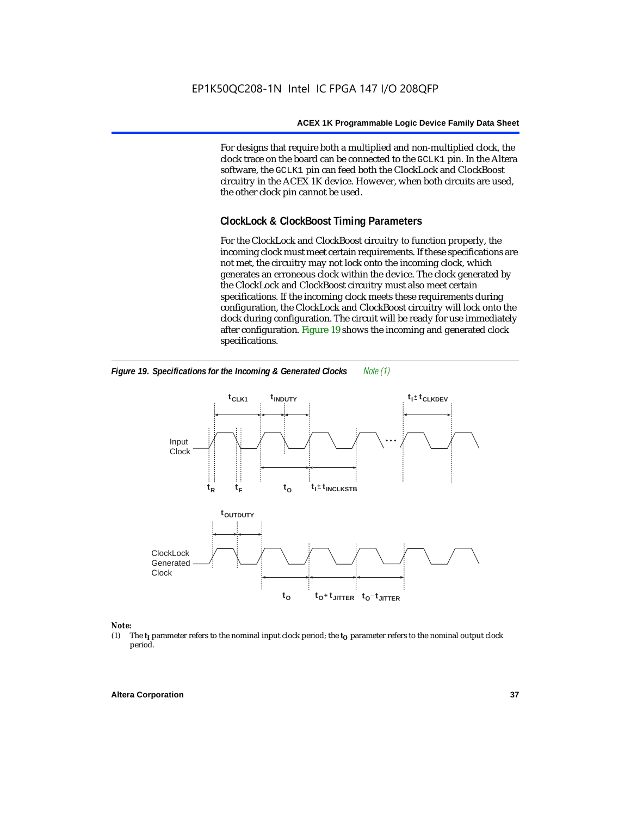For designs that require both a multiplied and non-multiplied clock, the clock trace on the board can be connected to the GCLK1 pin. In the Altera software, the GCLK1 pin can feed both the ClockLock and ClockBoost circuitry in the ACEX 1K device. However, when both circuits are used, the other clock pin cannot be used.

# **ClockLock & ClockBoost Timing Parameters**

For the ClockLock and ClockBoost circuitry to function properly, the incoming clock must meet certain requirements. If these specifications are not met, the circuitry may not lock onto the incoming clock, which generates an erroneous clock within the device. The clock generated by the ClockLock and ClockBoost circuitry must also meet certain specifications. If the incoming clock meets these requirements during configuration, the ClockLock and ClockBoost circuitry will lock onto the clock during configuration. The circuit will be ready for use immediately after configuration. Figure 19 shows the incoming and generated clock specifications.



*Figure 19. Specifications for the Incoming & Generated Clocks Note (1)*

#### *Note:*

(1) The  $t_I$  parameter refers to the nominal input clock period; the  $t_O$  parameter refers to the nominal output clock period.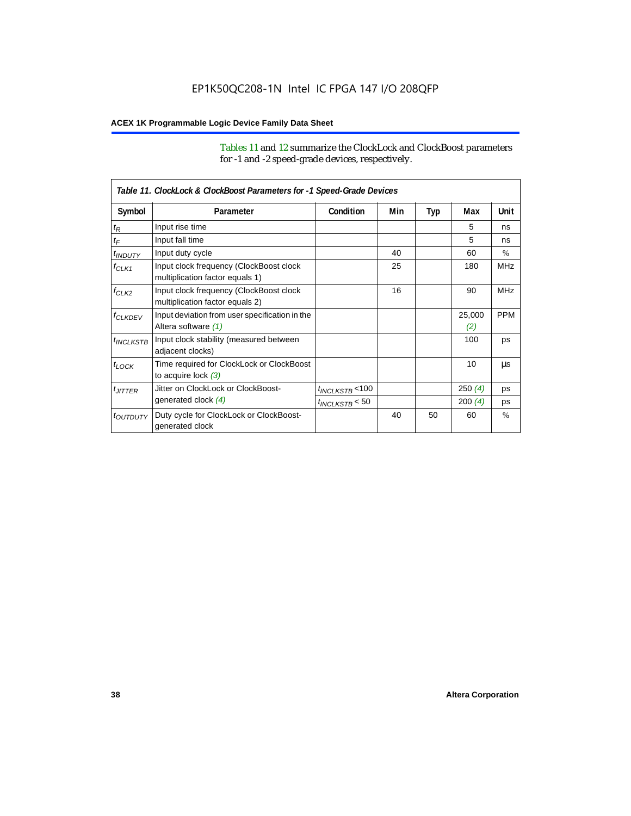Tables 11 and 12 summarize the ClockLock and ClockBoost parameters for -1 and -2 speed-grade devices, respectively.

|                       | Table 11. ClockLock & ClockBoost Parameters for -1 Speed-Grade Devices     |                      |     |     |               |               |
|-----------------------|----------------------------------------------------------------------------|----------------------|-----|-----|---------------|---------------|
| Symbol                | Parameter                                                                  | Condition            | Min | Typ | Max           | Unit          |
| $t_{\mathsf{R}}$      | Input rise time                                                            |                      |     |     | 5             | ns            |
| $t_{\mathsf{F}}$      | Input fall time                                                            |                      |     |     | 5             | ns            |
| $t_{INDUTY}$          | Input duty cycle                                                           |                      | 40  |     | 60            | $\frac{0}{0}$ |
| $f_{CLK1}$            | Input clock frequency (ClockBoost clock<br>multiplication factor equals 1) |                      | 25  |     | 180           | <b>MHz</b>    |
| $f_{CLK2}$            | Input clock frequency (ClockBoost clock<br>multiplication factor equals 2) |                      | 16  |     | 90            | <b>MHz</b>    |
| <b><i>fCLKDEV</i></b> | Input deviation from user specification in the<br>Altera software (1)      |                      |     |     | 25,000<br>(2) | <b>PPM</b>    |
| <sup>t</sup> INCLKSTB | Input clock stability (measured between<br>adjacent clocks)                |                      |     |     | 100           | ps            |
| $t_{LOCK}$            | Time required for ClockLock or ClockBoost<br>to acquire lock $(3)$         |                      |     |     | 10            | μs            |
| $t_{JITTER}$          | Jitter on ClockLock or ClockBoost-                                         | $t_{INCLKSTB}$ < 100 |     |     | 250(4)        | ps            |
|                       | generated clock (4)                                                        | $t_{INCLKSTB}$ < 50  |     |     | 200(4)        | ps            |
| <i>toutputy</i>       | Duty cycle for ClockLock or ClockBoost-<br>generated clock                 |                      | 40  | 50  | 60            | $\frac{0}{0}$ |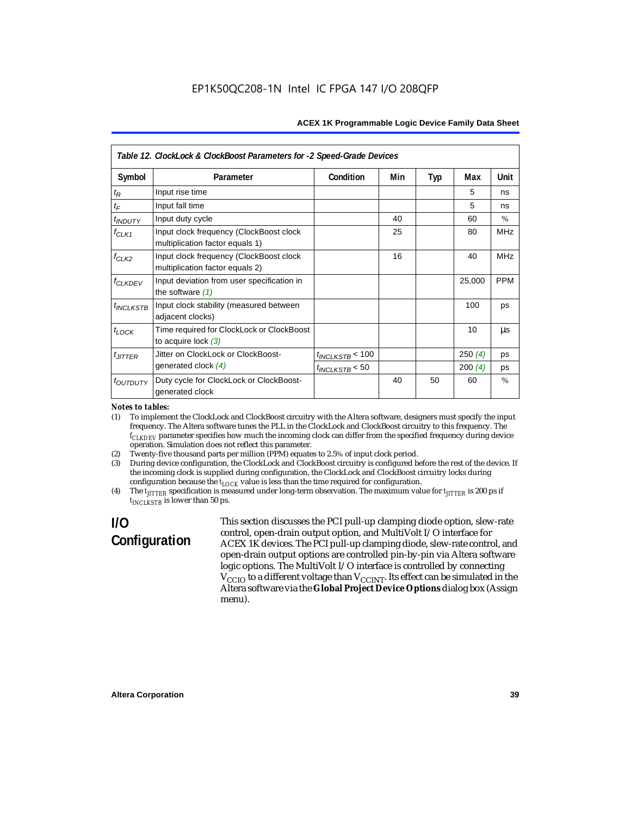| Table 12. ClockLock & ClockBoost Parameters for -2 Speed-Grade Devices |                                                                            |                      |     |     |        |               |
|------------------------------------------------------------------------|----------------------------------------------------------------------------|----------------------|-----|-----|--------|---------------|
| Symbol                                                                 | Parameter                                                                  | Condition            | Min | Typ | Max    | Unit          |
| $t_{\mathsf{R}}$                                                       | Input rise time                                                            |                      |     |     | 5      | ns            |
| $t_F$                                                                  | Input fall time                                                            |                      |     |     | 5      | ns            |
| <i>t<sub>INDUTY</sub></i>                                              | Input duty cycle                                                           |                      | 40  |     | 60     | $\%$          |
| $f_{CLK1}$                                                             | Input clock frequency (ClockBoost clock<br>multiplication factor equals 1) |                      | 25  |     | 80     | <b>MHz</b>    |
| $f_{CLK2}$                                                             | Input clock frequency (ClockBoost clock<br>multiplication factor equals 2) |                      | 16  |     | 40     | <b>MHz</b>    |
| <b>f<sub>CLKDEV</sub></b>                                              | Input deviation from user specification in<br>the software $(1)$           |                      |     |     | 25,000 | <b>PPM</b>    |
| <i><b>UNCLKSTB</b></i>                                                 | Input clock stability (measured between<br>adjacent clocks)                |                      |     |     | 100    | ps            |
| $t_{LOCK}$                                                             | Time required for ClockLock or ClockBoost<br>to acquire lock $(3)$         |                      |     |     | 10     | us            |
| $t_{JITTER}$                                                           | Jitter on ClockLock or ClockBoost-                                         | $t_{INCLKSTB}$ < 100 |     |     | 250(4) | ps            |
|                                                                        | generated clock $(4)$                                                      | $t_{INCLKSTB}$ < 50  |     |     | 200(4) | ps            |
| <i>toutputy</i>                                                        | Duty cycle for ClockLock or ClockBoost-<br>generated clock                 |                      | 40  | 50  | 60     | $\frac{0}{0}$ |

#### *Notes to tables:*

(1) To implement the ClockLock and ClockBoost circuitry with the Altera software, designers must specify the input frequency. The Altera software tunes the PLL in the ClockLock and ClockBoost circuitry to this frequency. The *fCLKDEV* parameter specifies how much the incoming clock can differ from the specified frequency during device operation. Simulation does not reflect this parameter.

(2) Twenty-five thousand parts per million (PPM) equates to 2.5% of input clock period.

(3) During device configuration, the ClockLock and ClockBoost circuitry is configured before the rest of the device. If the incoming clock is supplied during configuration, the ClockLock and ClockBoost circuitry locks during configuration because the  $t_{LOCK}$  value is less than the time required for configuration.

(4) The  $t_{\text{ITTTER}}$  specification is measured under long-term observation. The maximum value for  $t_{\text{ITTTER}}$  is 200 ps if *tINCLKSTB* is lower than 50 ps.

# **I/O Configuration**

This section discusses the PCI pull-up clamping diode option, slew-rate control, open-drain output option, and MultiVolt I/O interface for ACEX 1K devices. The PCI pull-up clamping diode, slew-rate control, and open-drain output options are controlled pin-by-pin via Altera software logic options. The MultiVolt I/O interface is controlled by connecting  $V_{\rm CCD}$  to a different voltage than  $V_{\rm CCINT}$ . Its effect can be simulated in the Altera software via the **Global Project Device Options** dialog box (Assign menu).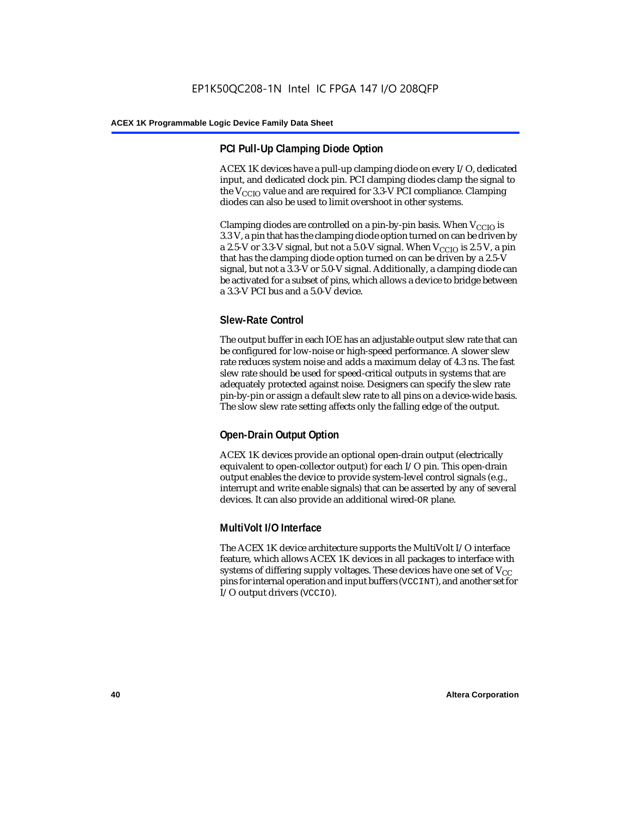# **PCI Pull-Up Clamping Diode Option**

ACEX 1K devices have a pull-up clamping diode on every I/O, dedicated input, and dedicated clock pin. PCI clamping diodes clamp the signal to the  $V_{\text{CCIO}}$  value and are required for 3.3-V PCI compliance. Clamping diodes can also be used to limit overshoot in other systems.

Clamping diodes are controlled on a pin-by-pin basis. When  $V_{CCIO}$  is 3.3 V, a pin that has the clamping diode option turned on can be driven by a 2.5-V or 3.3-V signal, but not a 5.0-V signal. When  $V_{CCIO}$  is 2.5 V, a pin that has the clamping diode option turned on can be driven by a 2.5-V signal, but not a 3.3-V or 5.0-V signal. Additionally, a clamping diode can be activated for a subset of pins, which allows a device to bridge between a 3.3-V PCI bus and a 5.0-V device.

# **Slew-Rate Control**

The output buffer in each IOE has an adjustable output slew rate that can be configured for low-noise or high-speed performance. A slower slew rate reduces system noise and adds a maximum delay of 4.3 ns. The fast slew rate should be used for speed-critical outputs in systems that are adequately protected against noise. Designers can specify the slew rate pin-by-pin or assign a default slew rate to all pins on a device-wide basis. The slow slew rate setting affects only the falling edge of the output.

# **Open-Drain Output Option**

ACEX 1K devices provide an optional open-drain output (electrically equivalent to open-collector output) for each I/O pin. This open-drain output enables the device to provide system-level control signals (e.g., interrupt and write enable signals) that can be asserted by any of several devices. It can also provide an additional wired-OR plane.

# **MultiVolt I/O Interface**

The ACEX 1K device architecture supports the MultiVolt I/O interface feature, which allows ACEX 1K devices in all packages to interface with systems of differing supply voltages. These devices have one set of  $V_{CC}$ pins for internal operation and input buffers (VCCINT), and another set for I/O output drivers (VCCIO).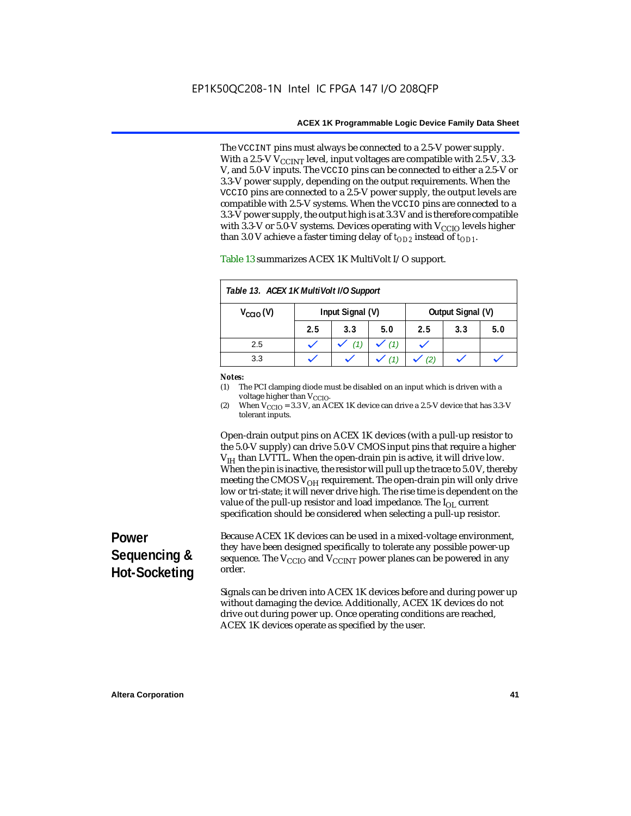The VCCINT pins must always be connected to a 2.5-V power supply. With a 2.5-V  $V_{CCMT}$  level, input voltages are compatible with 2.5-V, 3.3-V, and 5.0-V inputs. The VCCIO pins can be connected to either a 2.5-V or 3.3-V power supply, depending on the output requirements. When the VCCIO pins are connected to a 2.5-V power supply, the output levels are compatible with 2.5-V systems. When the VCCIO pins are connected to a 3.3-V power supply, the output high is at 3.3 V and is therefore compatible with 3.3-V or 5.0-V systems. Devices operating with  $V_{\text{CCIO}}$  levels higher than 3.0 V achieve a faster timing delay of  $t_{OD2}$  instead of  $t_{OD1}$ .

| Table 13. ACEX 1K MultiVolt I/O Support |                  |     |     |                   |     |     |
|-----------------------------------------|------------------|-----|-----|-------------------|-----|-----|
| $V_{\text{CCIO}}(V)$                    | Input Signal (V) |     |     | Output Signal (V) |     |     |
|                                         | 2.5              | 3.3 | 5.0 | 2.5               | 3.3 | 5.0 |
| 2.5                                     |                  |     | (1) |                   |     |     |
| 3.3                                     |                  |     |     |                   |     |     |

Table 13 summarizes ACEX 1K MultiVolt I/O support.

#### *Notes:*

(1) The PCI clamping diode must be disabled on an input which is driven with a voltage higher than V<sub>CCIO</sub>.

(2) When  $V_{\text{CCIO}} = 3.3$  V, an ACEX 1K device can drive a 2.5-V device that has 3.3-V tolerant inputs.

Open-drain output pins on ACEX 1K devices (with a pull-up resistor to the 5.0-V supply) can drive 5.0-V CMOS input pins that require a higher  $V<sub>IH</sub>$  than LVTTL. When the open-drain pin is active, it will drive low. When the pin is inactive, the resistor will pull up the trace to 5.0 V, thereby meeting the CMOS  $V_{OH}$  requirement. The open-drain pin will only drive low or tri-state; it will never drive high. The rise time is dependent on the value of the pull-up resistor and load impedance. The  $I_{OL}$  current specification should be considered when selecting a pull-up resistor.

# **Power Sequencing & Hot-Socketing**

Because ACEX 1K devices can be used in a mixed-voltage environment, they have been designed specifically to tolerate any possible power-up sequence. The  $V_{\text{CCIO}}$  and  $V_{\text{CCINT}}$  power planes can be powered in any order.

Signals can be driven into ACEX 1K devices before and during power up without damaging the device. Additionally, ACEX 1K devices do not drive out during power up. Once operating conditions are reached, ACEX 1K devices operate as specified by the user.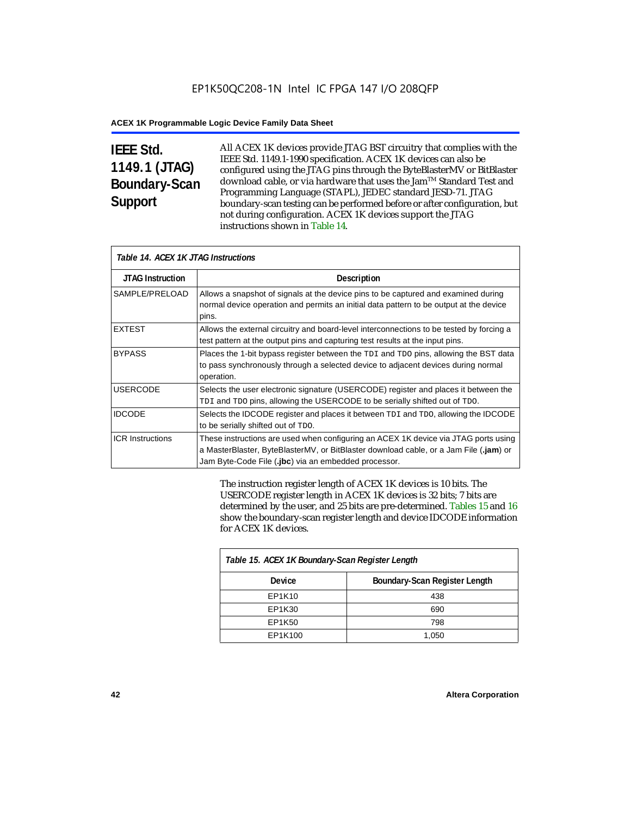# **IEEE Std. 1149.1 (JTAG) Boundary-Scan Support**

All ACEX 1K devices provide JTAG BST circuitry that complies with the IEEE Std. 1149.1-1990 specification. ACEX 1K devices can also be configured using the JTAG pins through the ByteBlasterMV or BitBlaster download cable, or via hardware that uses the Jam™ Standard Test and Programming Language (STAPL), JEDEC standard JESD-71. JTAG boundary-scan testing can be performed before or after configuration, but not during configuration. ACEX 1K devices support the JTAG instructions shown in Table 14.

| Table 14. ACEX 1K JTAG Instructions |                                                                                                                                                                                                                                      |  |  |  |
|-------------------------------------|--------------------------------------------------------------------------------------------------------------------------------------------------------------------------------------------------------------------------------------|--|--|--|
| <b>JTAG Instruction</b>             | <b>Description</b>                                                                                                                                                                                                                   |  |  |  |
| SAMPLE/PRELOAD                      | Allows a snapshot of signals at the device pins to be captured and examined during<br>normal device operation and permits an initial data pattern to be output at the device<br>pins.                                                |  |  |  |
| <b>EXTEST</b>                       | Allows the external circuitry and board-level interconnections to be tested by forcing a<br>test pattern at the output pins and capturing test results at the input pins.                                                            |  |  |  |
| <b>BYPASS</b>                       | Places the 1-bit bypass register between the TDI and TDO pins, allowing the BST data<br>to pass synchronously through a selected device to adjacent devices during normal<br>operation.                                              |  |  |  |
| <b>USERCODE</b>                     | Selects the user electronic signature (USERCODE) register and places it between the<br>TDI and TDO pins, allowing the USERCODE to be serially shifted out of TDO.                                                                    |  |  |  |
| <b>IDCODE</b>                       | Selects the IDCODE register and places it between TDI and TDO, allowing the IDCODE<br>to be serially shifted out of TDO.                                                                                                             |  |  |  |
| <b>ICR Instructions</b>             | These instructions are used when configuring an ACEX 1K device via JTAG ports using<br>a MasterBlaster, ByteBlasterMV, or BitBlaster download cable, or a Jam File (.jam) or<br>Jam Byte-Code File (.jbc) via an embedded processor. |  |  |  |

The instruction register length of ACEX 1K devices is 10 bits. The USERCODE register length in ACEX 1K devices is 32 bits; 7 bits are determined by the user, and 25 bits are pre-determined. Tables 15 and 16 show the boundary-scan register length and device IDCODE information for ACEX 1K devices.

| Table 15. ACEX 1K Boundary-Scan Register Length |                               |  |  |  |
|-------------------------------------------------|-------------------------------|--|--|--|
| <b>Device</b>                                   | Boundary-Scan Register Length |  |  |  |
| EP1K10                                          | 438                           |  |  |  |
| EP1K30                                          | 690                           |  |  |  |
| EP1K50                                          | 798                           |  |  |  |
| EP1K100                                         | 1,050                         |  |  |  |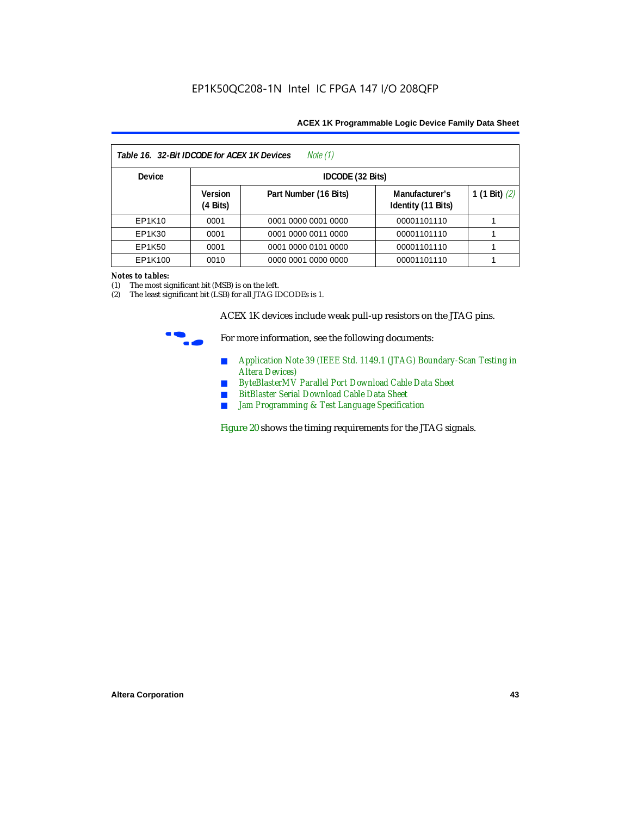| Table 16. 32-Bit IDCODE for ACEX 1K Devices<br>Note (1) |                                      |                       |                                      |                 |  |  |
|---------------------------------------------------------|--------------------------------------|-----------------------|--------------------------------------|-----------------|--|--|
| <b>Device</b>                                           |                                      | IDCODE (32 Bits)      |                                      |                 |  |  |
|                                                         | <b>Version</b><br>$(4 \text{ Bits})$ | Part Number (16 Bits) | Manufacturer's<br>Identity (11 Bits) | 1 (1 Bit) $(2)$ |  |  |
| EP1K10                                                  | 0001                                 | 0001 0000 0001 0000   | 00001101110                          |                 |  |  |
| EP1K30                                                  | 0001                                 | 0001 0000 0011 0000   | 00001101110                          |                 |  |  |
| EP1K50                                                  | 0001                                 | 0001 0000 0101 0000   | 00001101110                          |                 |  |  |
| EP1K100                                                 | 0010                                 | 0000 0001 0000 0000   | 00001101110                          |                 |  |  |

#### *Notes to tables:*

(1) The most significant bit (MSB) is on the left.

(2) The least significant bit (LSB) for all JTAG IDCODEs is 1.

ACEX 1K devices include weak pull-up resistors on the JTAG pins.



For more information, see the following documents:

- *Application Note 39 (IEEE Std. 1149.1 (JTAG) Boundary-Scan Testing in Altera Devices)*
- *ByteBlasterMV Parallel Port Download Cable Data Sheet*
- *BitBlaster Serial Download Cable Data Sheet*
- *Jam Programming & Test Language Specification*

Figure 20 shows the timing requirements for the JTAG signals.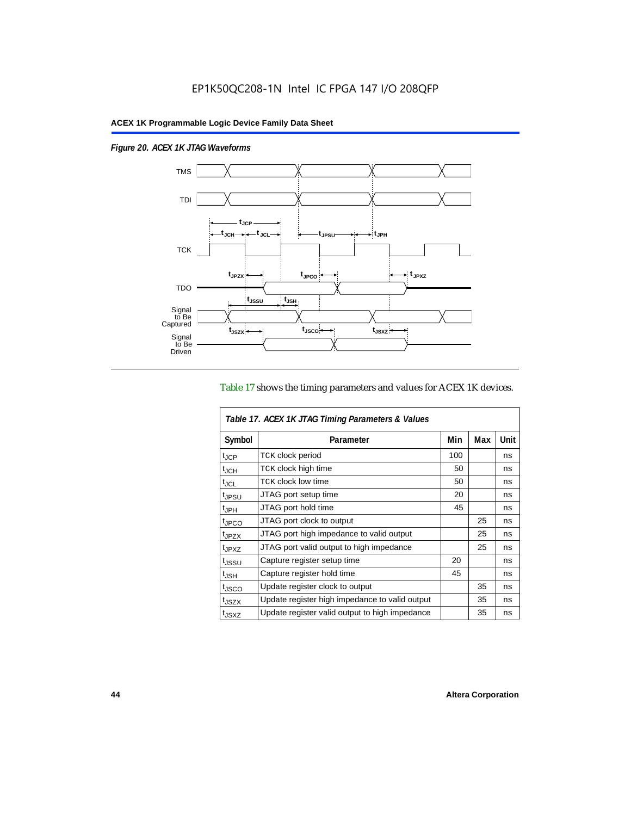$\overline{1}$ 

*Figure 20. ACEX 1K JTAG Waveforms*



## Table 17 shows the timing parameters and values for ACEX 1K devices.

| Table 17. ACEX 1K JTAG Timing Parameters & Values |                                                |     |     |      |  |  |
|---------------------------------------------------|------------------------------------------------|-----|-----|------|--|--|
| Symbol                                            | Parameter                                      | Min | Max | Unit |  |  |
| t <sub>JCP</sub>                                  | <b>TCK clock period</b>                        | 100 |     | ns   |  |  |
| $t_{JCH}$                                         | TCK clock high time                            | 50  |     | ns   |  |  |
| t <sub>JCL</sub>                                  | <b>TCK clock low time</b>                      | 50  |     | ns   |  |  |
| <sup>t</sup> JPSU                                 | JTAG port setup time                           | 20  |     | ns   |  |  |
| $t_{\rm JPH}$                                     | JTAG port hold time                            | 45  |     | ns   |  |  |
| <sup>t</sup> JPCO                                 | JTAG port clock to output                      |     | 25  | ns   |  |  |
| t <sub>JPZX</sub>                                 | JTAG port high impedance to valid output       |     | 25  | ns   |  |  |
| t <sub>JPXZ</sub>                                 | JTAG port valid output to high impedance       |     | 25  | ns   |  |  |
| tjssu                                             | Capture register setup time                    | 20  |     | ns   |  |  |
| $t_{\mathsf{JSH}}$                                | Capture register hold time                     | 45  |     | ns   |  |  |
| t <sub>JSCO</sub>                                 | Update register clock to output                |     | 35  | ns   |  |  |
| t <sub>JSZX</sub>                                 | Update register high impedance to valid output |     | 35  | ns   |  |  |
| t <sub>JSXZ</sub>                                 | Update register valid output to high impedance |     | 35  | ns   |  |  |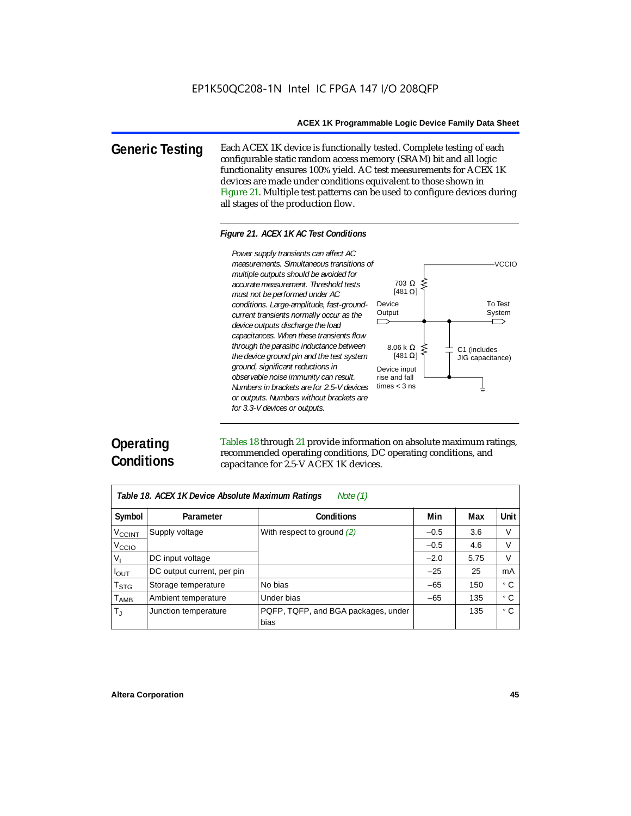**Generic Testing** Each ACEX 1K device is functionally tested. Complete testing of each configurable static random access memory (SRAM) bit and all logic functionality ensures 100% yield. AC test measurements for ACEX 1K devices are made under conditions equivalent to those shown in Figure 21. Multiple test patterns can be used to configure devices during all stages of the production flow.

#### *Figure 21. ACEX 1K AC Test Conditions*



# **Operating Conditions**

Tables 18 through 21 provide information on absolute maximum ratings, recommended operating conditions, DC operating conditions, and capacitance for 2.5-V ACEX 1K devices.

| Note $(1)$<br>Table 18. ACEX 1K Device Absolute Maximum Ratings |                            |                                             |        |      |      |  |  |
|-----------------------------------------------------------------|----------------------------|---------------------------------------------|--------|------|------|--|--|
| Symbol                                                          | Parameter                  | Conditions                                  | Min    | Max  | Unit |  |  |
| <b>V<sub>CCINT</sub></b>                                        | Supply voltage             | With respect to ground $(2)$                | $-0.5$ | 3.6  | V    |  |  |
| V <sub>CCIO</sub>                                               |                            |                                             | $-0.5$ | 4.6  | V    |  |  |
| $V_{1}$                                                         | DC input voltage           |                                             | $-2.0$ | 5.75 | V    |  |  |
| $I_{OUT}$                                                       | DC output current, per pin |                                             | $-25$  | 25   | mA   |  |  |
| $T_{\text{STG}}$                                                | Storage temperature        | No bias                                     | $-65$  | 150  | ۰c   |  |  |
| <b>TAMB</b>                                                     | Ambient temperature        | Under bias                                  | $-65$  | 135  | ۰c   |  |  |
| $T_{\rm J}$                                                     | Junction temperature       | PQFP, TQFP, and BGA packages, under<br>bias |        | 135  | ۰c   |  |  |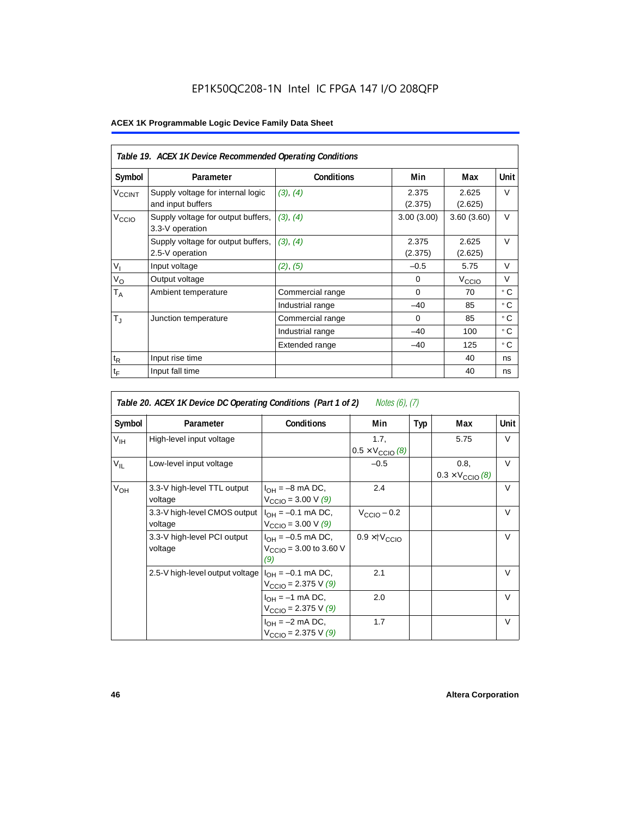# EP1K50QC208-1N Intel IC FPGA 147 I/O 208QFP

|                          | Table 19. ACEX 1K Device Recommended Operating Conditions |                   |                  |                   |             |  |  |  |
|--------------------------|-----------------------------------------------------------|-------------------|------------------|-------------------|-------------|--|--|--|
| Symbol                   | Parameter                                                 | <b>Conditions</b> | Min              | Max               | <b>Unit</b> |  |  |  |
| <b>V<sub>CCINT</sub></b> | Supply voltage for internal logic<br>and input buffers    | (3), (4)          | 2.375<br>(2.375) | 2.625<br>(2.625)  | $\vee$      |  |  |  |
| V <sub>CCIO</sub>        | Supply voltage for output buffers,<br>3.3-V operation     | (3), (4)          | 3.00(3.00)       | 3.60(3.60)        | $\vee$      |  |  |  |
|                          | Supply voltage for output buffers,<br>2.5-V operation     | (3), (4)          | 2.375<br>(2.375) | 2.625<br>(2.625)  | $\vee$      |  |  |  |
| $V_{I}$                  | Input voltage                                             | (2), (5)          | $-0.5$           | 5.75              | $\vee$      |  |  |  |
| $V_{\rm O}$              | Output voltage                                            |                   | $\Omega$         | V <sub>ccio</sub> | $\vee$      |  |  |  |
| $T_A$                    | Ambient temperature                                       | Commercial range  | $\Omega$         | 70                | ۰c          |  |  |  |
|                          |                                                           | Industrial range  | $-40$            | 85                | ۰c          |  |  |  |
| $T_{\rm J}$              | Junction temperature                                      | Commercial range  | $\mathbf 0$      | 85                | ° C         |  |  |  |
|                          |                                                           | Industrial range  | $-40$            | 100               | ۰c          |  |  |  |
|                          |                                                           | Extended range    | $-40$            | 125               | ۰c          |  |  |  |
| $t_{R}$                  | Input rise time                                           |                   |                  | 40                | ns          |  |  |  |
| $t_{\mathsf{F}}$         | Input fall time                                           |                   |                  | 40                | ns          |  |  |  |

|                 | Table 20. ACEX 1K Device DC Operating Conditions (Part 1 of 2)<br>Notes (6), (7) |                                                                     |                                           |            |                                          |        |  |  |  |  |
|-----------------|----------------------------------------------------------------------------------|---------------------------------------------------------------------|-------------------------------------------|------------|------------------------------------------|--------|--|--|--|--|
| Symbol          | Parameter                                                                        | <b>Conditions</b>                                                   | Min                                       | <b>Typ</b> | Max                                      | Unit   |  |  |  |  |
| $V_{\text{IH}}$ | High-level input voltage                                                         |                                                                     | 1.7,<br>$0.5 \times V_{\text{CCIO}}(8)$   |            | 5.75                                     | V      |  |  |  |  |
| $V_{IL}$        | Low-level input voltage                                                          |                                                                     | $-0.5$                                    |            | 0.8,<br>$0.3 \times V_{\text{CCIO}}$ (8) | $\vee$ |  |  |  |  |
| $V_{OH}$        | 3.3-V high-level TTL output<br>voltage                                           | $I_{OH} = -8$ mA DC,<br>$V_{\text{CCIO}} = 3.00 \text{ V } (9)$     | 2.4                                       |            |                                          | $\vee$ |  |  |  |  |
|                 | 3.3-V high-level CMOS output<br>voltage                                          | $I_{OH} = -0.1$ mA DC,<br>$V_{\text{CCIO}} = 3.00 \text{ V } (9)$   | $V_{\text{CCIO}} - 0.2$                   |            |                                          | $\vee$ |  |  |  |  |
|                 | 3.3-V high-level PCI output<br>voltage                                           | $I_{OH} = -0.5$ mA DC,<br>$V_{\text{CCIO}} = 3.00$ to 3.60 V<br>(9) | $0.9 \times$ $\uparrow$ $V_{\text{CCIO}}$ |            |                                          | $\vee$ |  |  |  |  |
|                 | 2.5-V high-level output voltage                                                  | $I_{OH} = -0.1$ mA DC,<br>$V_{\text{CCIO}} = 2.375 \text{ V} (9)$   | 2.1                                       |            |                                          | $\vee$ |  |  |  |  |
|                 |                                                                                  | $I_{OH} = -1$ mA DC,<br>$V_{\text{CCIO}} = 2.375 \text{ V} (9)$     | 2.0                                       |            |                                          | $\vee$ |  |  |  |  |
|                 |                                                                                  | $I_{OH} = -2$ mA DC,<br>$V_{\text{CCIO}} = 2.375 \text{ V} (9)$     | 1.7                                       |            |                                          | $\vee$ |  |  |  |  |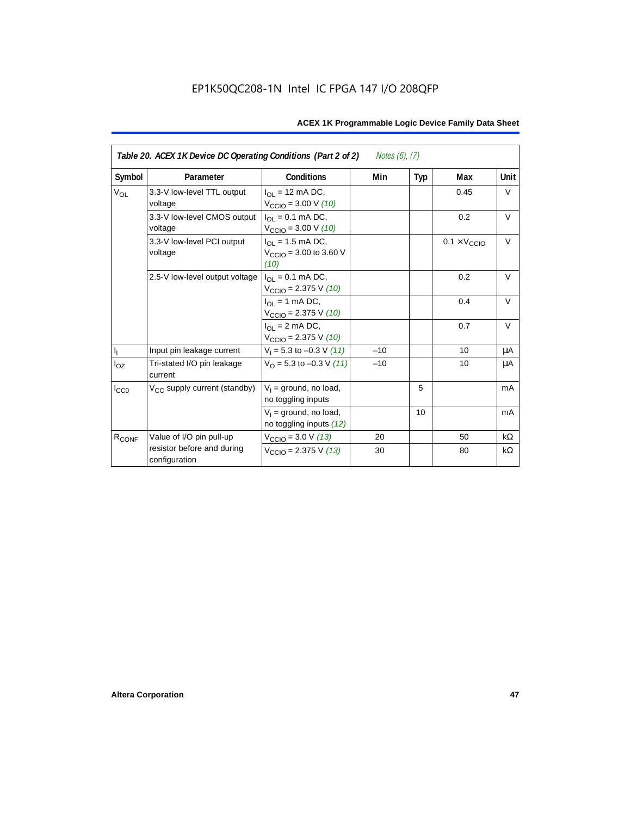| Table 20. ACEX 1K Device DC Operating Conditions (Part 2 of 2)<br><i>Notes <math>(6)</math>, <math>(7)</math></i> |                                             |                                                                                    |       |     |                              |           |  |
|-------------------------------------------------------------------------------------------------------------------|---------------------------------------------|------------------------------------------------------------------------------------|-------|-----|------------------------------|-----------|--|
| Symbol                                                                                                            | Parameter                                   | <b>Conditions</b>                                                                  | Min   | Typ | Max                          | Unit      |  |
| <b>V<sub>OL</sub></b>                                                                                             | 3.3-V low-level TTL output<br>voltage       | $I_{\Omega}$ = 12 mA DC,<br>$V_{\text{CCIO}} = 3.00 \text{ V} (10)$                |       |     | 0.45                         | $\vee$    |  |
|                                                                                                                   | 3.3-V low-level CMOS output<br>voltage      | $I_{OL} = 0.1$ mA DC,<br>$V_{\text{CCIO}} = 3.00 \text{ V} (10)$                   |       |     | 0.2                          | $\vee$    |  |
|                                                                                                                   | 3.3-V low-level PCI output<br>voltage       | $I_{\text{OI}} = 1.5 \text{ mA DC},$<br>$V_{\text{CCIO}} = 3.00$ to 3.60 V<br>(10) |       |     | $0.1 \times V_{\text{CCIO}}$ | $\vee$    |  |
|                                                                                                                   | 2.5-V low-level output voltage              | $I_{\Omega I} = 0.1$ mA DC,<br>$V_{\text{CCIO}} = 2.375 \text{ V} (10)$            |       |     | 0.2                          | $\vee$    |  |
|                                                                                                                   |                                             | $I_{OL}$ = 1 mA DC,<br>$V_{\text{CCIO}} = 2.375 \text{ V} (10)$                    |       |     | 0.4                          | $\vee$    |  |
|                                                                                                                   |                                             | $I_{\Omega}$ = 2 mA DC,<br>$V_{\text{CCIO}} = 2.375 \text{ V} (10)$                |       |     | 0.7                          | $\vee$    |  |
| $\mathsf{I}_\mathrm{I}$                                                                                           | Input pin leakage current                   | $V_1 = 5.3$ to $-0.3$ V (11)                                                       | $-10$ |     | 10                           | μA        |  |
| $I_{OZ}$                                                                                                          | Tri-stated I/O pin leakage<br>current       | $V_O$ = 5.3 to -0.3 V (11)                                                         | $-10$ |     | 10                           | μA        |  |
| $I_{CC0}$                                                                                                         | $V_{CC}$ supply current (standby)           | $V_1$ = ground, no load,<br>no toggling inputs                                     |       | 5   |                              | mA        |  |
|                                                                                                                   |                                             | $V_1$ = ground, no load,<br>no toggling inputs (12)                                |       | 10  |                              | mA        |  |
| R <sub>CONF</sub>                                                                                                 | Value of I/O pin pull-up                    | $V_{\text{CCIO}} = 3.0 \text{ V } (13)$                                            | 20    |     | 50                           | $k\Omega$ |  |
|                                                                                                                   | resistor before and during<br>configuration | $V_{\text{CCIO}} = 2.375 \text{ V} (13)$                                           | 30    |     | 80                           | kΩ        |  |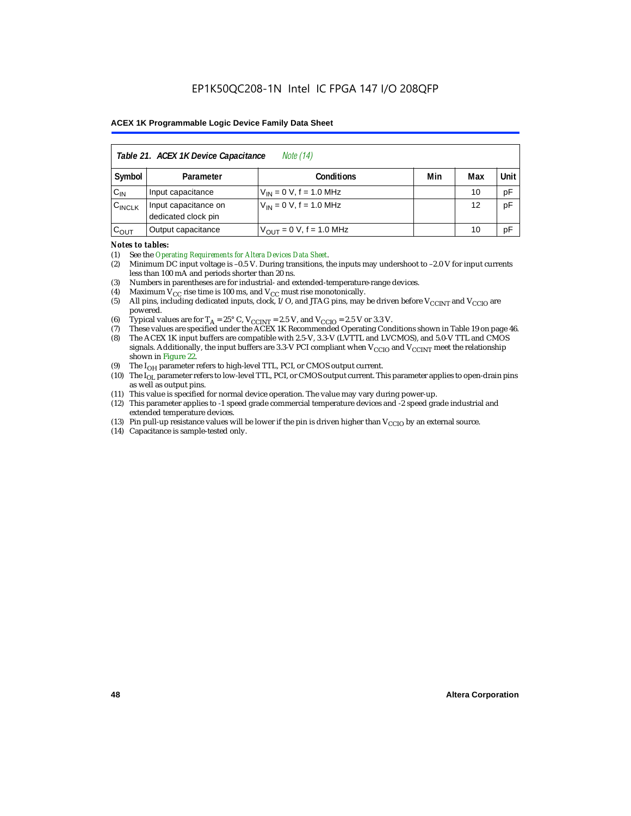| Table 21. ACEX 1K Device Capacitance<br><i>Note</i> (14) |                                                      |                               |  |    |    |  |  |  |
|----------------------------------------------------------|------------------------------------------------------|-------------------------------|--|----|----|--|--|--|
| Symbol                                                   | Unit<br>Min<br><b>Conditions</b><br>Max<br>Parameter |                               |  |    |    |  |  |  |
| $C_{IN}$                                                 | Input capacitance                                    | $V_{IN} = 0 V$ , f = 1.0 MHz  |  | 10 | pF |  |  |  |
| $C_{\text{INCLK}}$                                       | Input capacitance on<br>dedicated clock pin          | $V_{IN} = 0 V$ , f = 1.0 MHz  |  | 12 | pF |  |  |  |
| $C_{\text{OUT}}$                                         | Output capacitance                                   | $V_{OUT} = 0 V$ , f = 1.0 MHz |  | 10 | рF |  |  |  |

#### *Notes to tables:*

(1) See the *Operating Requirements for Altera Devices Data Sheet*.

- (2) Minimum DC input voltage is –0.5 V. During transitions, the inputs may undershoot to –2.0 V for input currents less than 100 mA and periods shorter than 20 ns.
- (3) Numbers in parentheses are for industrial- and extended-temperature-range devices.
- (4) Maximum  $V_{CC}$  rise time is 100 ms, and  $V_{CC}$  must rise monotonically.<br>(5) All pins, including dedicated inputs, clock, I/O, and JTAG pins, may
- All pins, including dedicated inputs, clock, I/O, and JTAG pins, may be driven before  $V_{\text{CCINT}}$  and  $V_{\text{CCIO}}$  are powered.
- (6) Typical values are for  $T_A = 25^\circ$  C,  $V_{CClNT} = 2.5$  V, and  $V_{CClO} = 2.5$  V or 3.3 V.<br>(7) These values are specified under the ACEX 1K Recommended Operating Cone
- (7) These values are specified under the ACEX 1K Recommended Operating Conditions shown in Table 19 on page 46.<br>(8) The ACEX 1K input buffers are compatible with 2.5-V. 3.3-V (LVTTL and LVCMOS), and 5.0-V TTL and CMOS
- The ACEX 1K input buffers are compatible with 2.5-V, 3.3-V (LVTTL and LVCMOS), and 5.0-V TTL and CMOS signals. Additionally, the input buffers are 3.3-V PCI compliant when  $V_{CCIO}$  and  $V_{CCINT}$  meet the relationship shown in Figure 22.
- (9) The  $I_{OH}$  parameter refers to high-level TTL, PCI, or CMOS output current.
- (10) The I<sub>OL</sub> parameter refers to low-level TTL, PCI, or CMOS output current. This parameter applies to open-drain pins as well as output pins.
- (11) This value is specified for normal device operation. The value may vary during power-up.
- (12) This parameter applies to -1 speed grade commercial temperature devices and -2 speed grade industrial and extended temperature devices.
- (13) Pin pull-up resistance values will be lower if the pin is driven higher than  $V_{\text{CCIO}}$  by an external source.
- (14) Capacitance is sample-tested only.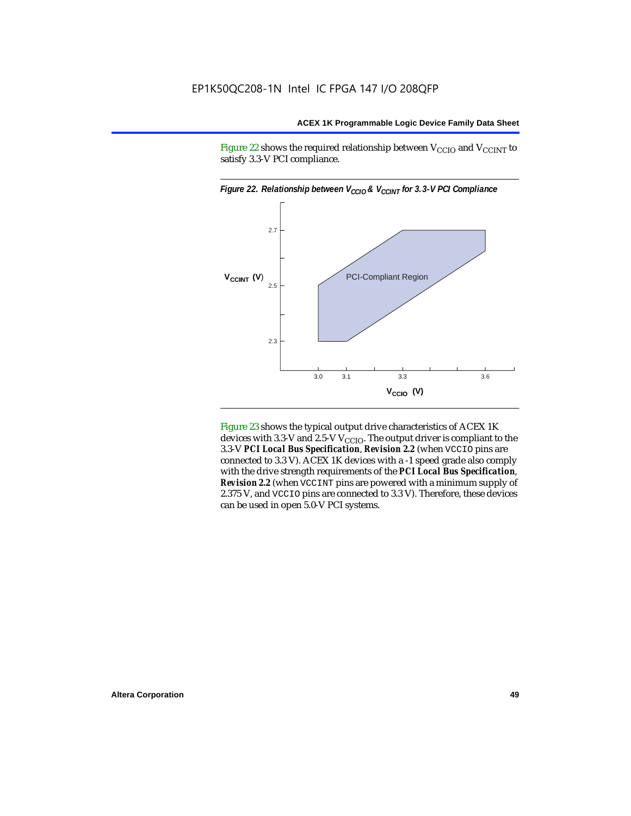Figure 22 shows the required relationship between  $V_{\text{CCIO}}$  and  $V_{\text{CCINT}}$  to satisfy 3.3-V PCI compliance.



Figure 23 shows the typical output drive characteristics of ACEX 1K devices with 3.3-V and 2.5-V  $V_{\text{CCIO}}$ . The output driver is compliant to the 3.3-V *PCI Local Bus Specification*, *Revision 2.2* (when VCCIO pins are connected to 3.3 V). ACEX 1K devices with a -1 speed grade also comply with the drive strength requirements of the *PCI Local Bus Specification*, *Revision 2.2* (when VCCINT pins are powered with a minimum supply of 2.375 V, and VCCIO pins are connected to 3.3 V). Therefore, these devices can be used in open 5.0-V PCI systems.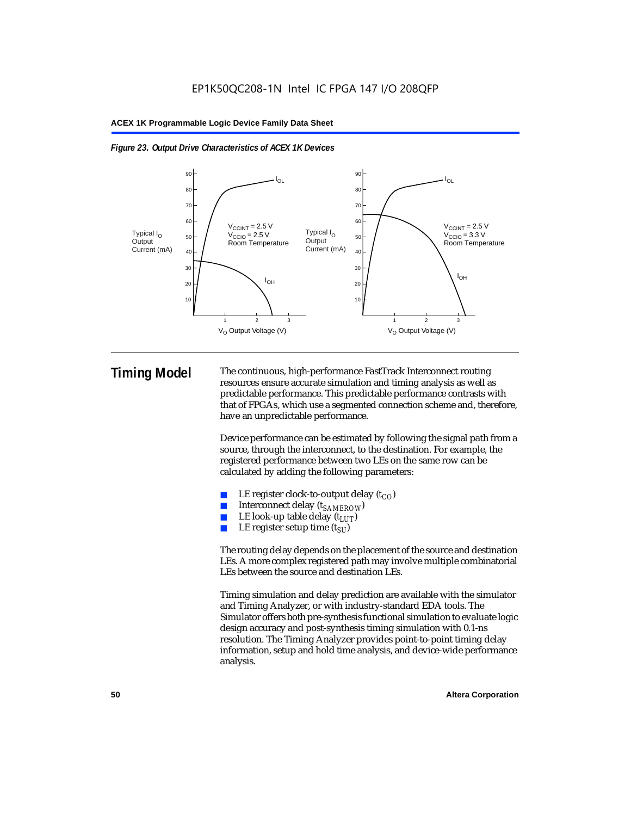



**Timing Model** The continuous, high-performance FastTrack Interconnect routing resources ensure accurate simulation and timing analysis as well as predictable performance. This predictable performance contrasts with that of FPGAs, which use a segmented connection scheme and, therefore, have an unpredictable performance.

> Device performance can be estimated by following the signal path from a source, through the interconnect, to the destination. For example, the registered performance between two LEs on the same row can be calculated by adding the following parameters:

- LE register clock-to-output delay  $(t_{CO})$
- Interconnect delay ( $t_{SAMFROW}$ )
- **■** LE look-up table delay  $(t_{LUT})$ <br>
 LE register setup time  $(t_{SL})$
- LE register setup time  $(t_{SI})$

The routing delay depends on the placement of the source and destination LEs. A more complex registered path may involve multiple combinatorial LEs between the source and destination LEs.

Timing simulation and delay prediction are available with the simulator and Timing Analyzer, or with industry-standard EDA tools. The Simulator offers both pre-synthesis functional simulation to evaluate logic design accuracy and post-synthesis timing simulation with 0.1-ns resolution. The Timing Analyzer provides point-to-point timing delay information, setup and hold time analysis, and device-wide performance analysis.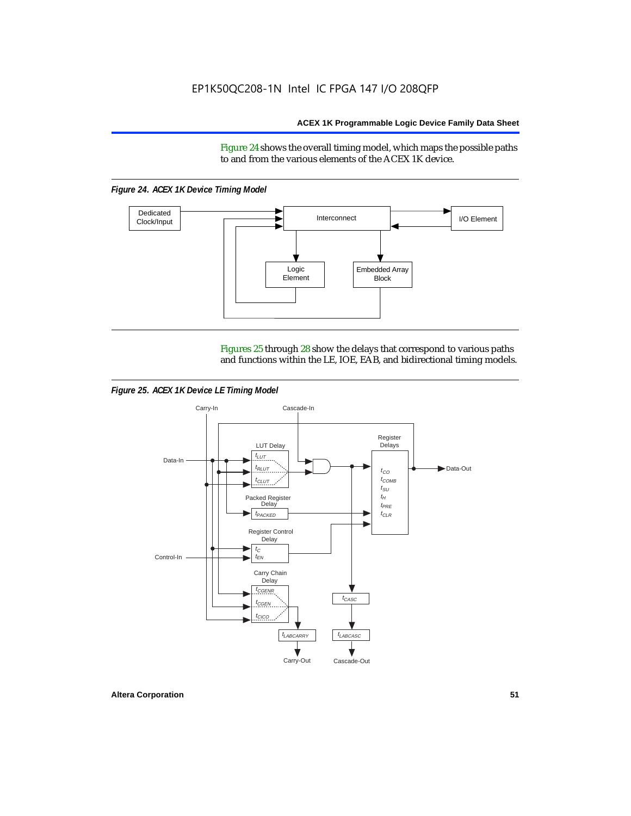Figure 24 shows the overall timing model, which maps the possible paths to and from the various elements of the ACEX 1K device.

*Figure 24. ACEX 1K Device Timing Model*



Figures 25 through 28 show the delays that correspond to various paths and functions within the LE, IOE, EAB, and bidirectional timing models.

*Figure 25. ACEX 1K Device LE Timing Model*

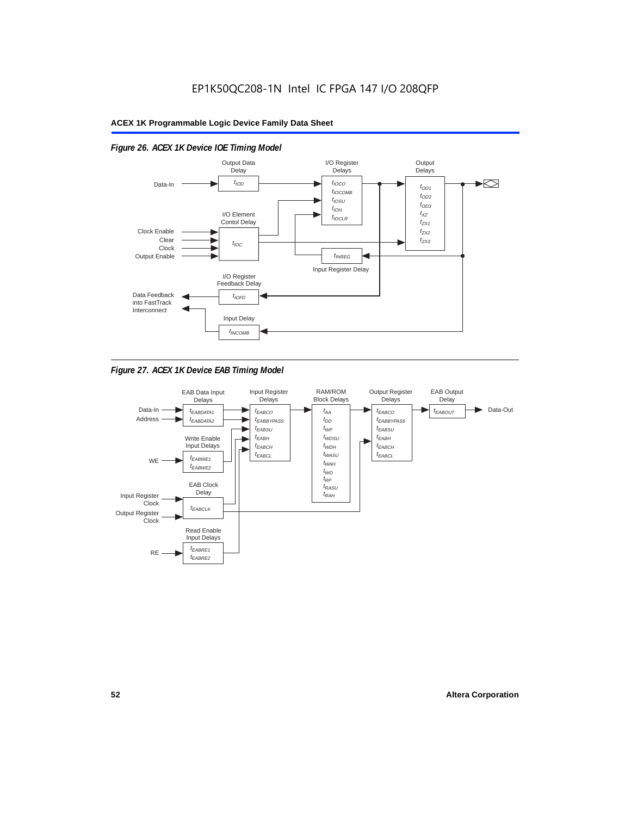

# *Figure 26. ACEX 1K Device IOE Timing Model*



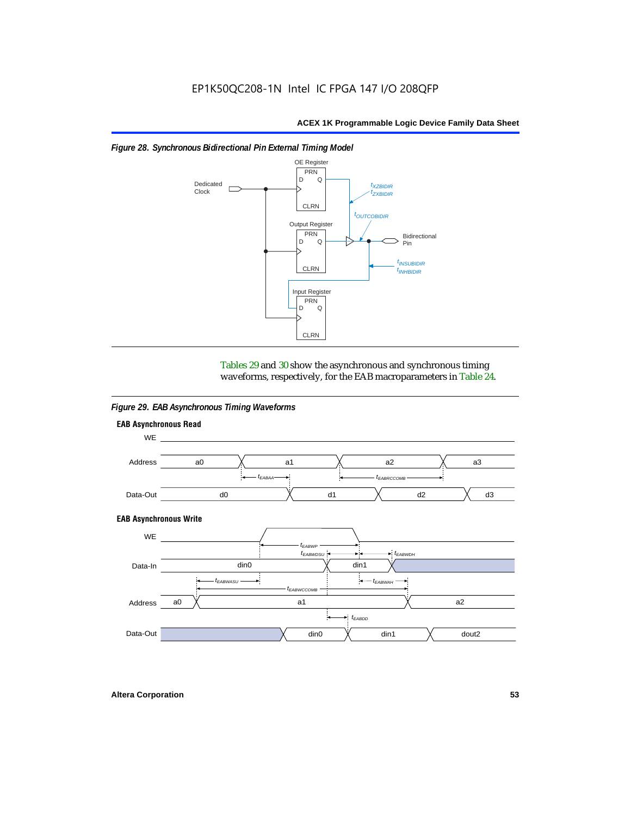

#### *Figure 28. Synchronous Bidirectional Pin External Timing Model*

Tables 29 and 30 show the asynchronous and synchronous timing waveforms, respectively, for the EAB macroparameters in Table 24.

*Figure 29. EAB Asynchronous Timing Waveforms*

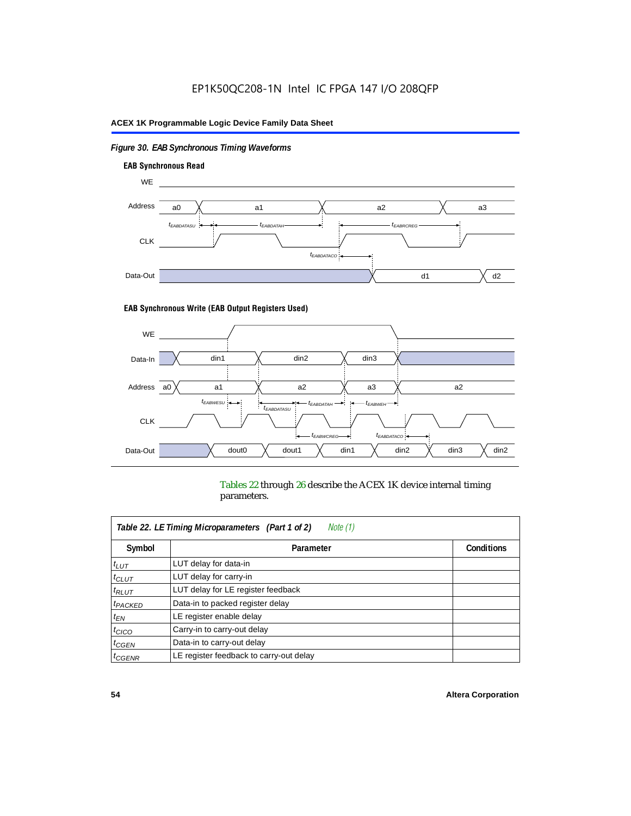# *Figure 30. EAB Synchronous Timing Waveforms*



#### **EAB Synchronous Write (EAB Output Registers Used)**



Tables 22 through 26 describe the ACEX 1K device internal timing parameters.

| Table 22. LE Timing Microparameters (Part 1 of 2)<br>Note (1) |                                         |  |  |  |  |  |
|---------------------------------------------------------------|-----------------------------------------|--|--|--|--|--|
| Symbol                                                        | <b>Conditions</b><br>Parameter          |  |  |  |  |  |
| $t_{LUT}$                                                     | LUT delay for data-in                   |  |  |  |  |  |
| $t_{CLUT}$                                                    | LUT delay for carry-in                  |  |  |  |  |  |
| $t_{RLUT}$                                                    | LUT delay for LE register feedback      |  |  |  |  |  |
| <sup>t</sup> PACKED                                           | Data-in to packed register delay        |  |  |  |  |  |
| $t_{EN}$                                                      | LE register enable delay                |  |  |  |  |  |
| $t_{CICO}$                                                    | Carry-in to carry-out delay             |  |  |  |  |  |
| $t_{G\text{EN}}$                                              | Data-in to carry-out delay              |  |  |  |  |  |
| ${}^t$ CGENR                                                  | LE register feedback to carry-out delay |  |  |  |  |  |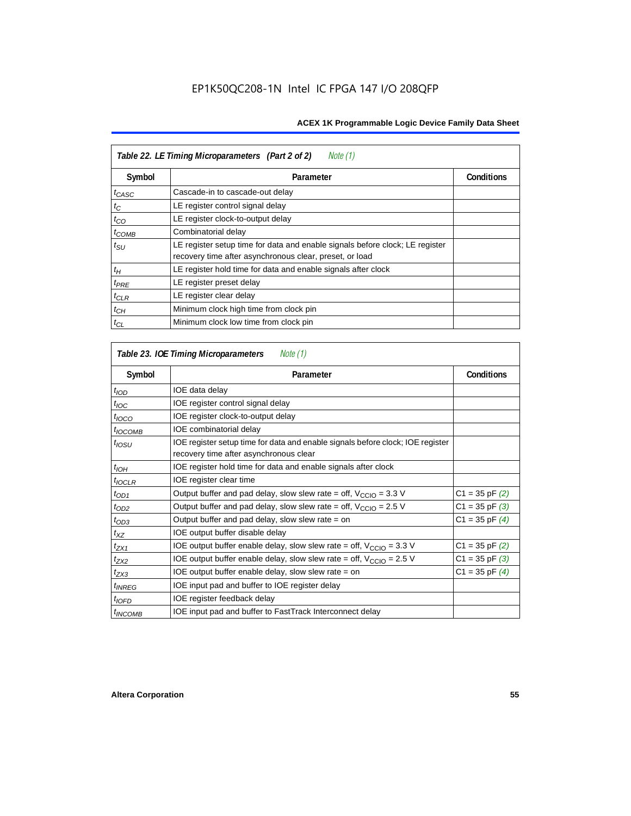| Table 22. LE Timing Microparameters (Part 2 of 2)<br>Note (1) |                                                                                                                                         |                   |  |  |  |  |
|---------------------------------------------------------------|-----------------------------------------------------------------------------------------------------------------------------------------|-------------------|--|--|--|--|
| Symbol                                                        | Parameter                                                                                                                               | <b>Conditions</b> |  |  |  |  |
| $t_{CASC}$                                                    | Cascade-in to cascade-out delay                                                                                                         |                   |  |  |  |  |
| $t_C$                                                         | LE register control signal delay                                                                                                        |                   |  |  |  |  |
| $t_{CO}$                                                      | LE register clock-to-output delay                                                                                                       |                   |  |  |  |  |
| $t_{COMB}$                                                    | Combinatorial delay                                                                                                                     |                   |  |  |  |  |
| $t_{\rm SU}$                                                  | LE register setup time for data and enable signals before clock; LE register<br>recovery time after asynchronous clear, preset, or load |                   |  |  |  |  |
| $t_H$                                                         | LE register hold time for data and enable signals after clock                                                                           |                   |  |  |  |  |
| $t_{PRE}$                                                     | LE register preset delay                                                                                                                |                   |  |  |  |  |
| $t_{CLR}$                                                     | LE register clear delay                                                                                                                 |                   |  |  |  |  |
| $t_{CH}$                                                      | Minimum clock high time from clock pin                                                                                                  |                   |  |  |  |  |
| $t_{CL}$                                                      | Minimum clock low time from clock pin                                                                                                   |                   |  |  |  |  |

| Table 23. IOE Timing Microparameters<br>Note (1) |                                                                                                                          |                    |  |  |  |  |
|--------------------------------------------------|--------------------------------------------------------------------------------------------------------------------------|--------------------|--|--|--|--|
| Symbol                                           | Parameter                                                                                                                | <b>Conditions</b>  |  |  |  |  |
| $t_{\textit{IOD}}$                               | IOE data delay                                                                                                           |                    |  |  |  |  |
| $t_{\text{IOC}}$                                 | IOE register control signal delay                                                                                        |                    |  |  |  |  |
| $t_{\text{IOCO}}$                                | IOE register clock-to-output delay                                                                                       |                    |  |  |  |  |
| $t_{IOCOMB}$                                     | IOE combinatorial delay                                                                                                  |                    |  |  |  |  |
| t <sub>iosu</sub>                                | IOE register setup time for data and enable signals before clock; IOE register<br>recovery time after asynchronous clear |                    |  |  |  |  |
| $t_{IOH}$                                        | IOE register hold time for data and enable signals after clock                                                           |                    |  |  |  |  |
| $t_{IOCLR}$                                      | IOE register clear time                                                                                                  |                    |  |  |  |  |
| $t_{OD1}$                                        | Output buffer and pad delay, slow slew rate = off, $V_{\text{CCIO}} = 3.3 \text{ V}$                                     | $C1 = 35$ pF $(2)$ |  |  |  |  |
| $t_{OD2}$                                        | Output buffer and pad delay, slow slew rate = off, $V_{\text{CCIO}} = 2.5$ V                                             | $C1 = 35$ pF $(3)$ |  |  |  |  |
| $t_{OD3}$                                        | Output buffer and pad delay, slow slew rate = on                                                                         | $C1 = 35$ pF $(4)$ |  |  |  |  |
| $t_{XZ}$                                         | IOE output buffer disable delay                                                                                          |                    |  |  |  |  |
| $t_{ZX1}$                                        | IOE output buffer enable delay, slow slew rate = off, $V_{\text{CCIO}} = 3.3$ V                                          | $C1 = 35$ pF $(2)$ |  |  |  |  |
| t <sub>ZX2</sub>                                 | IOE output buffer enable delay, slow slew rate = off, $V_{\text{CCIO}} = 2.5$ V                                          | $C1 = 35$ pF $(3)$ |  |  |  |  |
| $t_{ZX3}$                                        | IOE output buffer enable delay, slow slew rate $=$ on                                                                    | $C1 = 35$ pF $(4)$ |  |  |  |  |
| <i>t<sub>INREG</sub></i>                         | IOE input pad and buffer to IOE register delay                                                                           |                    |  |  |  |  |
| $t_{IOFD}$                                       | IOE register feedback delay                                                                                              |                    |  |  |  |  |
| <sup>t</sup> INCOMB                              | IOE input pad and buffer to FastTrack Interconnect delay                                                                 |                    |  |  |  |  |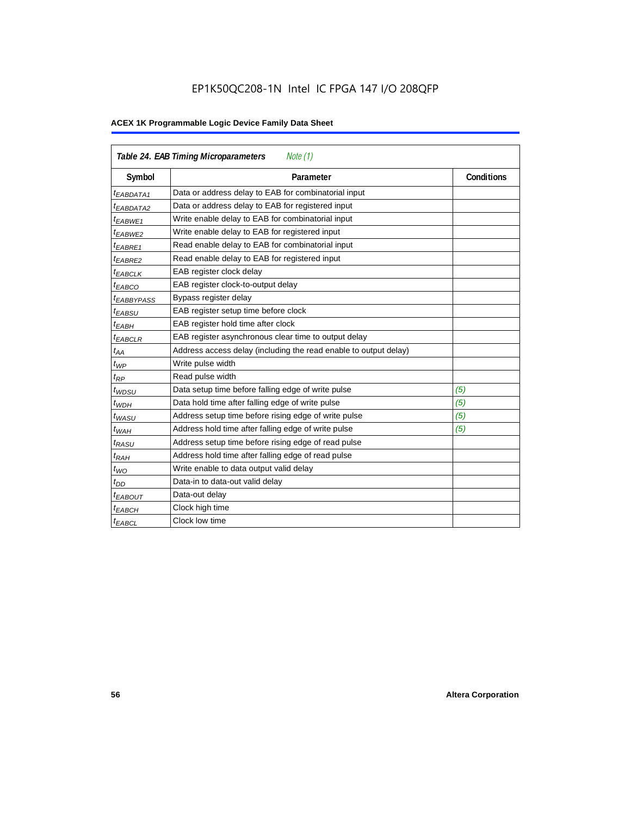# EP1K50QC208-1N Intel IC FPGA 147 I/O 208QFP

| Table 24. EAB Timing Microparameters<br>Note (1) |                                                                  |                   |  |  |  |
|--------------------------------------------------|------------------------------------------------------------------|-------------------|--|--|--|
| Symbol                                           | Parameter                                                        | <b>Conditions</b> |  |  |  |
| $t_{EABDATA1}$                                   | Data or address delay to EAB for combinatorial input             |                   |  |  |  |
| <sup>t</sup> EABDATA2                            | Data or address delay to EAB for registered input                |                   |  |  |  |
| $t_{EABWE1}$                                     | Write enable delay to EAB for combinatorial input                |                   |  |  |  |
| $t_{EABWE2}$                                     | Write enable delay to EAB for registered input                   |                   |  |  |  |
| $t_{EABRE1}$                                     | Read enable delay to EAB for combinatorial input                 |                   |  |  |  |
| t <sub>EABRE2</sub>                              | Read enable delay to EAB for registered input                    |                   |  |  |  |
| $t_{EABCLK}$                                     | EAB register clock delay                                         |                   |  |  |  |
| t <sub>EABCO</sub>                               | EAB register clock-to-output delay                               |                   |  |  |  |
| <sup>t</sup> EABBYPASS                           | Bypass register delay                                            |                   |  |  |  |
| <sup>t</sup> EABSU                               | EAB register setup time before clock                             |                   |  |  |  |
| $t_{EABH}$                                       | EAB register hold time after clock                               |                   |  |  |  |
| $t_{EABCLR}$                                     | EAB register asynchronous clear time to output delay             |                   |  |  |  |
| $t_{AA}$                                         | Address access delay (including the read enable to output delay) |                   |  |  |  |
| $t_{WP}$                                         | Write pulse width                                                |                   |  |  |  |
| $t_{RP}$                                         | Read pulse width                                                 |                   |  |  |  |
| $t_{WDSU}$                                       | Data setup time before falling edge of write pulse               | (5)               |  |  |  |
| $t_{WDH}$                                        | Data hold time after falling edge of write pulse                 | (5)               |  |  |  |
| $t_{WASU}$                                       | Address setup time before rising edge of write pulse             | (5)               |  |  |  |
| $t_{WAH}$                                        | Address hold time after falling edge of write pulse              | (5)               |  |  |  |
| t <sub>RASU</sub>                                | Address setup time before rising edge of read pulse              |                   |  |  |  |
| $t_{RAH}$                                        | Address hold time after falling edge of read pulse               |                   |  |  |  |
| $t_{WO}$                                         | Write enable to data output valid delay                          |                   |  |  |  |
| $t_{DD}$                                         | Data-in to data-out valid delay                                  |                   |  |  |  |
| $t_{EABOUT}$                                     | Data-out delay                                                   |                   |  |  |  |
| <sup>t</sup> ЕАВСН                               | Clock high time                                                  |                   |  |  |  |
| $t_{EABCL}$                                      | Clock low time                                                   |                   |  |  |  |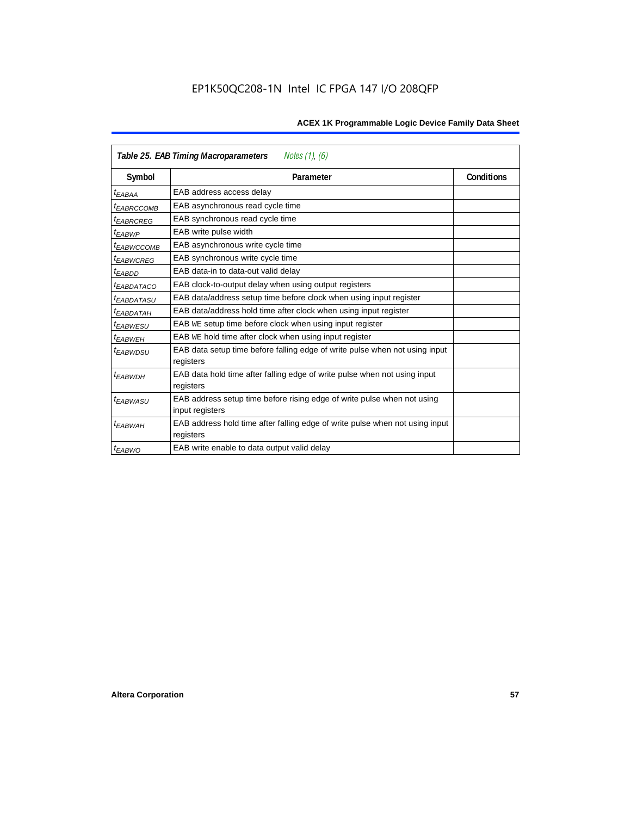| Notes $(1)$ , $(6)$<br>Table 25. EAB Timing Macroparameters |                                                                                           |                   |  |  |  |  |
|-------------------------------------------------------------|-------------------------------------------------------------------------------------------|-------------------|--|--|--|--|
| Symbol                                                      | Parameter                                                                                 | <b>Conditions</b> |  |  |  |  |
| t <sub>EABAA</sub>                                          | EAB address access delay                                                                  |                   |  |  |  |  |
| <sup>I</sup> EABRCCOMB                                      | EAB asynchronous read cycle time                                                          |                   |  |  |  |  |
| <sup>t</sup> EABRCREG                                       | EAB synchronous read cycle time                                                           |                   |  |  |  |  |
| t <sub>EABWP</sub>                                          | EAB write pulse width                                                                     |                   |  |  |  |  |
| <sup>t</sup> EABWCCOMB                                      | EAB asynchronous write cycle time                                                         |                   |  |  |  |  |
| <sup>t</sup> EABWCREG                                       | EAB synchronous write cycle time                                                          |                   |  |  |  |  |
| <sup>t</sup> EABDD                                          | EAB data-in to data-out valid delay                                                       |                   |  |  |  |  |
| <sup>t</sup> EABDATACO                                      | EAB clock-to-output delay when using output registers                                     |                   |  |  |  |  |
| <sup>t</sup> EABDATASU                                      | EAB data/address setup time before clock when using input register                        |                   |  |  |  |  |
| <sup>t</sup> EABDATAH                                       | EAB data/address hold time after clock when using input register                          |                   |  |  |  |  |
| <sup>t</sup> EABWESU                                        | EAB WE setup time before clock when using input register                                  |                   |  |  |  |  |
| t <sub>FARWFH</sub>                                         | EAB WE hold time after clock when using input register                                    |                   |  |  |  |  |
| <sup>t</sup> EABWDSU                                        | EAB data setup time before falling edge of write pulse when not using input<br>registers  |                   |  |  |  |  |
| <sup>t</sup> EABWDH                                         | EAB data hold time after falling edge of write pulse when not using input                 |                   |  |  |  |  |
|                                                             | registers                                                                                 |                   |  |  |  |  |
| <sup>t</sup> EABWASU                                        | EAB address setup time before rising edge of write pulse when not using                   |                   |  |  |  |  |
|                                                             | input registers                                                                           |                   |  |  |  |  |
| <sup>t</sup> EABWAH                                         | EAB address hold time after falling edge of write pulse when not using input<br>registers |                   |  |  |  |  |
| $t_{EABWO}$                                                 | EAB write enable to data output valid delay                                               |                   |  |  |  |  |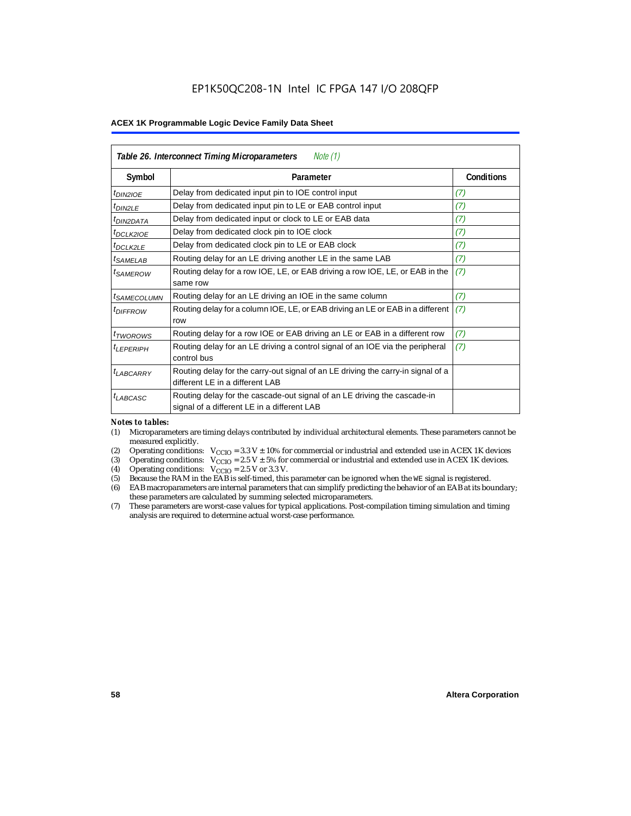| Table 26. Interconnect Timing Microparameters<br>Note (1) |                                                                                                                         |                   |  |  |  |  |
|-----------------------------------------------------------|-------------------------------------------------------------------------------------------------------------------------|-------------------|--|--|--|--|
| Symbol                                                    | Parameter                                                                                                               | <b>Conditions</b> |  |  |  |  |
| $t_{DINZIOE}$                                             | Delay from dedicated input pin to IOE control input                                                                     | (7)               |  |  |  |  |
| $t_{DIN2LE}$                                              | Delay from dedicated input pin to LE or EAB control input                                                               | (7)               |  |  |  |  |
| <sup>t</sup> DIN2DATA                                     | Delay from dedicated input or clock to LE or EAB data                                                                   | (7)               |  |  |  |  |
| <sup>t</sup> DCLK2IOE                                     | Delay from dedicated clock pin to IOE clock                                                                             | (7)               |  |  |  |  |
| $t_{DCLK2LE}$                                             | Delay from dedicated clock pin to LE or EAB clock                                                                       | (7)               |  |  |  |  |
| <sup>t</sup> SAMELAB                                      | Routing delay for an LE driving another LE in the same LAB                                                              | (7)               |  |  |  |  |
| <sup>t</sup> SAMEROW                                      | Routing delay for a row IOE, LE, or EAB driving a row IOE, LE, or EAB in the<br>same row                                | (7)               |  |  |  |  |
| <sup>t</sup> SAMECOLUMN                                   | Routing delay for an LE driving an IOE in the same column                                                               | (7)               |  |  |  |  |
| <i>t<sub>DIFFROW</sub></i>                                | Routing delay for a column IOE, LE, or EAB driving an LE or EAB in a different<br>row                                   | (7)               |  |  |  |  |
| <i>t</i> <sub>TWOROWS</sub>                               | Routing delay for a row IOE or EAB driving an LE or EAB in a different row                                              | (7)               |  |  |  |  |
| <sup>t</sup> LEPERIPH                                     | Routing delay for an LE driving a control signal of an IOE via the peripheral<br>control bus                            | (7)               |  |  |  |  |
| $t_{LABCARRY}$                                            | Routing delay for the carry-out signal of an LE driving the carry-in signal of a<br>different LE in a different LAB     |                   |  |  |  |  |
| $t_{LABCASC}$                                             | Routing delay for the cascade-out signal of an LE driving the cascade-in<br>signal of a different LE in a different LAB |                   |  |  |  |  |

#### *Notes to tables:*

- (1) Microparameters are timing delays contributed by individual architectural elements. These parameters cannot be measured explicitly.
- (2) Operating conditions:  $V_{\text{CCIO}} = 3.3 V \pm 10\%$  for commercial or industrial and extended use in ACEX 1K devices (3) Operating conditions:  $V_{\text{CCIO}} = 2.5 V \pm 5\%$  for commercial or industrial and extended use in ACEX 1K
- (3) Operating conditions:  $V_{CCIO} = 2.5 V \pm 5\%$  for commercial or industrial and extended use in ACEX 1K devices.<br>(4) Operating conditions:  $V_{CCIO} = 2.5 V$  or 3.3 V.
- (4) Operating conditions:  $V_{\text{CCIO}} = 2.5 \text{ V or } 3.3 \text{ V.}$ <br>(5) Because the RAM in the EAB is self-timed, this
- (5) Because the RAM in the EAB is self-timed, this parameter can be ignored when the WE signal is registered.<br>(6) EAB macroparameters are internal parameters that can simplify predicting the behavior of an EAB at its bou
- EAB macroparameters are internal parameters that can simplify predicting the behavior of an EAB at its boundary; these parameters are calculated by summing selected microparameters.
- (7) These parameters are worst-case values for typical applications. Post-compilation timing simulation and timing analysis are required to determine actual worst-case performance.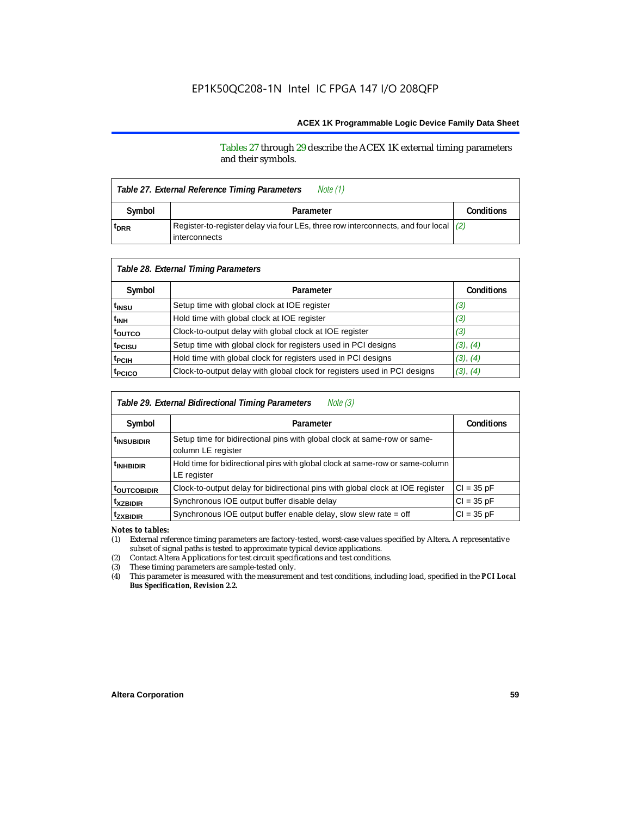Tables 27 through 29 describe the ACEX 1K external timing parameters and their symbols.

| Note (1)<br>Table 27. External Reference Timing Parameters |                                                                                                                  |  |  |  |  |
|------------------------------------------------------------|------------------------------------------------------------------------------------------------------------------|--|--|--|--|
| Symbol                                                     | Parameter                                                                                                        |  |  |  |  |
| <sup>t</sup> DRR                                           | Register-to-register delay via four LEs, three row interconnects, and four local $(2)$<br><b>l</b> interconnects |  |  |  |  |

| Table 28. External Timing Parameters |                                                                           |                   |  |  |  |  |
|--------------------------------------|---------------------------------------------------------------------------|-------------------|--|--|--|--|
| Symbol                               | Parameter                                                                 | <b>Conditions</b> |  |  |  |  |
| t <sub>insu</sub>                    | Setup time with global clock at IOE register                              | (3)               |  |  |  |  |
| t <sub>INH</sub>                     | Hold time with global clock at IOE register                               | (3)               |  |  |  |  |
| toutco                               | Clock-to-output delay with global clock at IOE register                   | (3)               |  |  |  |  |
| t <sub>PCISU</sub>                   | Setup time with global clock for registers used in PCI designs            | (3), (4)          |  |  |  |  |
| t <sub>PCIH</sub>                    | Hold time with global clock for registers used in PCI designs             | (3), (4)          |  |  |  |  |
| t <sub>PCICO</sub>                   | Clock-to-output delay with global clock for registers used in PCI designs | (3), (4)          |  |  |  |  |

| Note (3)<br>Table 29. External Bidirectional Timing Parameters |                                                                                                |                   |  |  |  |  |
|----------------------------------------------------------------|------------------------------------------------------------------------------------------------|-------------------|--|--|--|--|
| Symbol                                                         | Parameter                                                                                      | <b>Conditions</b> |  |  |  |  |
| <sup>t</sup> insubidir                                         | Setup time for bidirectional pins with global clock at same-row or same-<br>column LE register |                   |  |  |  |  |
| <sup>t</sup> INHBIDIR                                          | Hold time for bidirectional pins with global clock at same-row or same-column<br>LE register   |                   |  |  |  |  |
| <b><i>LOUTCOBIDIR</i></b>                                      | Clock-to-output delay for bidirectional pins with global clock at IOE register                 | $Cl = 35 pF$      |  |  |  |  |
| <sup>t</sup> xzbidir                                           | Synchronous IOE output buffer disable delay                                                    | $CI = 35 pF$      |  |  |  |  |
| <sup>t</sup> zxbidir                                           | Synchronous IOE output buffer enable delay, slow slew rate = off                               | $Cl = 35$ pF      |  |  |  |  |

*Notes to tables:*

(1) External reference timing parameters are factory-tested, worst-case values specified by Altera. A representative subset of signal paths is tested to approximate typical device applications.

(2) Contact Altera Applications for test circuit specifications and test conditions.

(3) These timing parameters are sample-tested only.

(4) This parameter is measured with the measurement and test conditions, including load, specified in the *PCI Local Bus Specification, Revision 2.2.*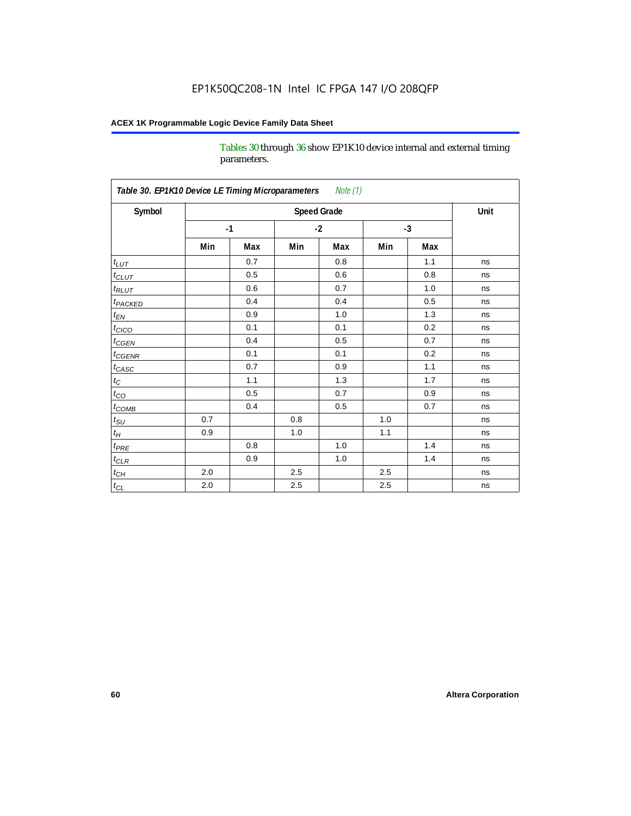Tables 30 through 36 show EP1K10 device internal and external timing parameters.

| Table 30. EP1K10 Device LE Timing Microparameters<br>Note (1) |                    |      |         |     |      |     |      |
|---------------------------------------------------------------|--------------------|------|---------|-----|------|-----|------|
| Symbol                                                        | <b>Speed Grade</b> |      |         |     |      |     | Unit |
|                                                               |                    | $-1$ | $-2$    |     | $-3$ |     |      |
|                                                               | Min                | Max  | Min     | Max | Min  | Max |      |
| $t_{LUT}$                                                     |                    | 0.7  |         | 0.8 |      | 1.1 | ns   |
| $t_{CLUT}$                                                    |                    | 0.5  |         | 0.6 |      | 0.8 | ns   |
| $t_{RLUT}$                                                    |                    | 0.6  |         | 0.7 |      | 1.0 | ns   |
| <b>t</b> <sub>PACKED</sub>                                    |                    | 0.4  |         | 0.4 |      | 0.5 | ns   |
| $t_{EN}$                                                      |                    | 0.9  |         | 1.0 |      | 1.3 | ns   |
| $t_{CICO}$                                                    |                    | 0.1  |         | 0.1 |      | 0.2 | ns   |
| $t_{\text{CGEN}}$                                             |                    | 0.4  |         | 0.5 |      | 0.7 | ns   |
| $t_{GENR}$                                                    |                    | 0.1  |         | 0.1 |      | 0.2 | ns   |
| $t_{CASC}$                                                    |                    | 0.7  |         | 0.9 |      | 1.1 | ns   |
| $t_{\rm C}$                                                   |                    | 1.1  |         | 1.3 |      | 1.7 | ns   |
| $t_{CO}$                                                      |                    | 0.5  |         | 0.7 |      | 0.9 | ns   |
| $t$ <sub>COMB</sub>                                           |                    | 0.4  |         | 0.5 |      | 0.7 | ns   |
| $t_{\rm SU}$                                                  | 0.7                |      | 0.8     |     | 1.0  |     | ns   |
| $t_H\,$                                                       | 0.9                |      | 1.0     |     | 1.1  |     | ns   |
| $t_{PRE}$                                                     |                    | 0.8  |         | 1.0 |      | 1.4 | ns   |
| $t_{CLR}$                                                     |                    | 0.9  |         | 1.0 |      | 1.4 | ns   |
| $t_{\mathit{CH}}$                                             | 2.0                |      | 2.5     |     | 2.5  |     | ns   |
| $t_{CL}$                                                      | 2.0                |      | $2.5\,$ |     | 2.5  |     | ns   |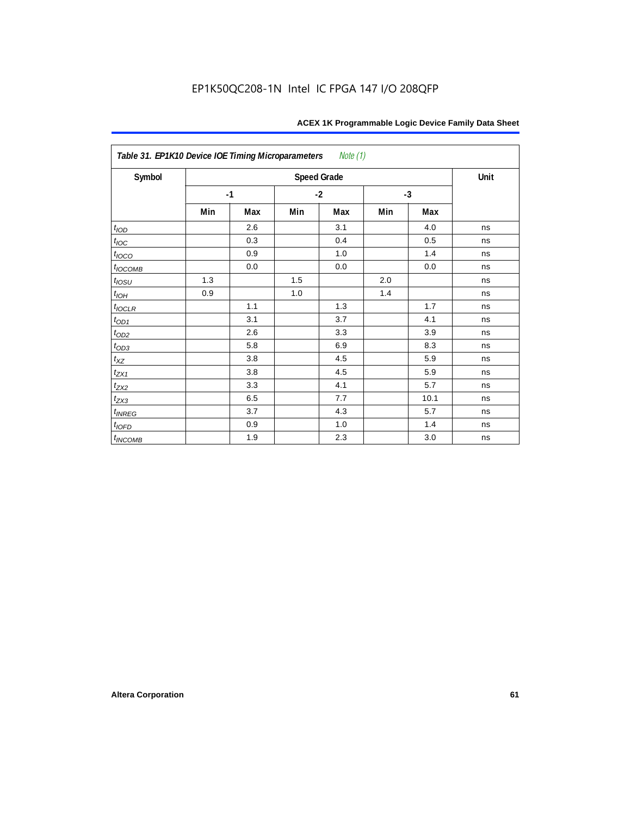| Table 31. EP1K10 Device IOE Timing Microparameters Note (1) |     |      |      |                    |      |      |      |
|-------------------------------------------------------------|-----|------|------|--------------------|------|------|------|
| Symbol                                                      |     |      |      | <b>Speed Grade</b> |      |      | Unit |
|                                                             |     | $-1$ | $-2$ |                    | $-3$ |      |      |
|                                                             | Min | Max  | Min  | Max                | Min  | Max  |      |
| t <sub>IOD</sub>                                            |     | 2.6  |      | 3.1                |      | 4.0  | ns   |
| $t_{\text{IOC}}$                                            |     | 0.3  |      | 0.4                |      | 0.5  | ns   |
| $t_{IOCO}$                                                  |     | 0.9  |      | 1.0                |      | 1.4  | ns   |
| $t_{IOCOMB}$                                                |     | 0.0  |      | 0.0                |      | 0.0  | ns   |
| $t_{IOSU}$                                                  | 1.3 |      | 1.5  |                    | 2.0  |      | ns   |
| $t_{IOH}$                                                   | 0.9 |      | 1.0  |                    | 1.4  |      | ns   |
| $t_{IOCLR}$                                                 |     | 1.1  |      | 1.3                |      | 1.7  | ns   |
| $t_{OD1}$                                                   |     | 3.1  |      | 3.7                |      | 4.1  | ns   |
| $t_{OD2}$                                                   |     | 2.6  |      | 3.3                |      | 3.9  | ns   |
| $t_{OD3}$                                                   |     | 5.8  |      | 6.9                |      | 8.3  | ns   |
| $t_{XZ}$                                                    |     | 3.8  |      | 4.5                |      | 5.9  | ns   |
| $t_{ZX1}$                                                   |     | 3.8  |      | 4.5                |      | 5.9  | ns   |
| $t_{ZX2}$                                                   |     | 3.3  |      | 4.1                |      | 5.7  | ns   |
| $t_{ZX3}$                                                   |     | 6.5  |      | 7.7                |      | 10.1 | ns   |
| $t_{INREG}$                                                 |     | 3.7  |      | 4.3                |      | 5.7  | ns   |
| $t_{IOFD}$                                                  |     | 0.9  |      | 1.0                |      | 1.4  | ns   |
| $t_{INCOMB}$                                                |     | 1.9  |      | 2.3                |      | 3.0  | ns   |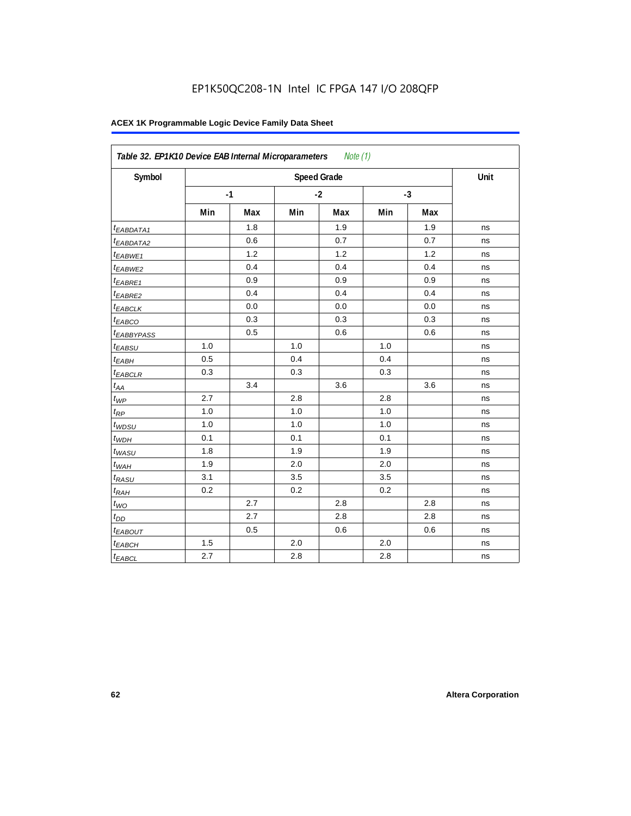| Symbol                  |     |      |     | <b>Speed Grade</b> |     |      | Unit |
|-------------------------|-----|------|-----|--------------------|-----|------|------|
|                         |     | $-1$ |     | $-2$               |     | $-3$ |      |
|                         | Min | Max  | Min | Max                | Min | Max  |      |
| t <sub>EABDATA1</sub>   |     | 1.8  |     | 1.9                |     | 1.9  | ns   |
| <sup>t</sup> EABDATA2   |     | 0.6  |     | 0.7                |     | 0.7  | ns   |
| $t_{EABWE1}$            |     | 1.2  |     | 1.2                |     | 1.2  | ns   |
| <sup>t</sup> EABWE2     |     | 0.4  |     | 0.4                |     | 0.4  | ns   |
| <sup>t</sup> EABRE1     |     | 0.9  |     | 0.9                |     | 0.9  | ns   |
| t <sub>EABRE2</sub>     |     | 0.4  |     | 0.4                |     | 0.4  | ns   |
| $t_{EABCLK}$            |     | 0.0  |     | 0.0                |     | 0.0  | ns   |
| t <sub>EABCO</sub>      |     | 0.3  |     | 0.3                |     | 0.3  | ns   |
| <i><b>EABBYPASS</b></i> |     | 0.5  |     | 0.6                |     | 0.6  | ns   |
| $t_{EABSU}$             | 1.0 |      | 1.0 |                    | 1.0 |      | ns   |
| t <sub>EABH</sub>       | 0.5 |      | 0.4 |                    | 0.4 |      | ns   |
| $t_{EABCLR}$            | 0.3 |      | 0.3 |                    | 0.3 |      | ns   |
| $t_{AA}$                |     | 3.4  |     | 3.6                |     | 3.6  | ns   |
| $t_{WP}$                | 2.7 |      | 2.8 |                    | 2.8 |      | ns   |
| $t_{RP}$                | 1.0 |      | 1.0 |                    | 1.0 |      | ns   |
| $t_{WDSU}$              | 1.0 |      | 1.0 |                    | 1.0 |      | ns   |
| $t_{WDH}$               | 0.1 |      | 0.1 |                    | 0.1 |      | ns   |
| $t_{WASU}$              | 1.8 |      | 1.9 |                    | 1.9 |      | ns   |
| $t_{WAH}$               | 1.9 |      | 2.0 |                    | 2.0 |      | ns   |
| t <sub>RASU</sub>       | 3.1 |      | 3.5 |                    | 3.5 |      | ns   |
| $t_{RAH}$               | 0.2 |      | 0.2 |                    | 0.2 |      | ns   |
| $t_{WO}$                |     | 2.7  |     | 2.8                |     | 2.8  | ns   |
| $t_{DD}$                |     | 2.7  |     | 2.8                |     | 2.8  | ns   |
| t <sub>EABOUT</sub>     |     | 0.5  |     | 0.6                |     | 0.6  | ns   |
| $t_{EABCH}$             | 1.5 |      | 2.0 |                    | 2.0 |      | ns   |
| <sup>t</sup> EABCL      | 2.7 |      | 2.8 |                    | 2.8 |      | ns   |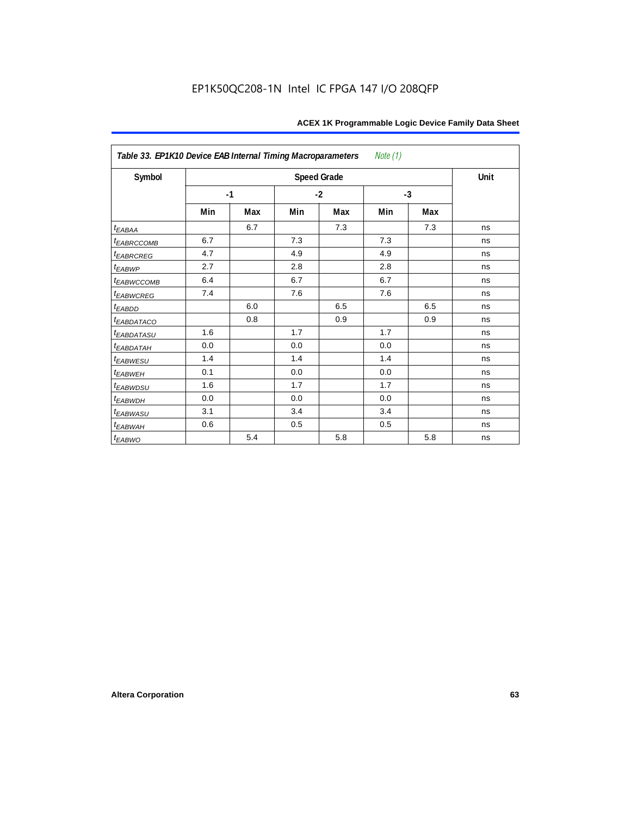| Table 33. EP1K10 Device EAB Internal Timing Macroparameters<br>Note (1) |      |     |     |                    |     |      |      |  |  |  |
|-------------------------------------------------------------------------|------|-----|-----|--------------------|-----|------|------|--|--|--|
| Symbol                                                                  |      |     |     | <b>Speed Grade</b> |     |      | Unit |  |  |  |
|                                                                         | $-1$ |     |     | $-2$               |     | $-3$ |      |  |  |  |
|                                                                         | Min  | Max | Min | Max                | Min | Max  |      |  |  |  |
| $t_{EABA}$                                                              |      | 6.7 |     | 7.3                |     | 7.3  | ns   |  |  |  |
| t <sub>EABRCCOMB</sub>                                                  | 6.7  |     | 7.3 |                    | 7.3 |      | ns   |  |  |  |
| t <sub>EABRCREG</sub>                                                   | 4.7  |     | 4.9 |                    | 4.9 |      | ns   |  |  |  |
| $t_{EABWP}$                                                             | 2.7  |     | 2.8 |                    | 2.8 |      | ns   |  |  |  |
| <sup>t</sup> EABWCCOMB                                                  | 6.4  |     | 6.7 |                    | 6.7 |      | ns   |  |  |  |
| t <sub>EABWCREG</sub>                                                   | 7.4  |     | 7.6 |                    | 7.6 |      | ns   |  |  |  |
| t <sub>EABDD</sub>                                                      |      | 6.0 |     | 6.5                |     | 6.5  | ns   |  |  |  |
| t <sub>eabdataco</sub>                                                  |      | 0.8 |     | 0.9                |     | 0.9  | ns   |  |  |  |
| <i>EABDATASU</i>                                                        | 1.6  |     | 1.7 |                    | 1.7 |      | ns   |  |  |  |
| <sup>t</sup> EABDATAH                                                   | 0.0  |     | 0.0 |                    | 0.0 |      | ns   |  |  |  |
| t <sub>EABWESU</sub>                                                    | 1.4  |     | 1.4 |                    | 1.4 |      | ns   |  |  |  |
| <b>t</b> EABWEH                                                         | 0.1  |     | 0.0 |                    | 0.0 |      | ns   |  |  |  |
| t <sub>EABWDSU</sub>                                                    | 1.6  |     | 1.7 |                    | 1.7 |      | ns   |  |  |  |
| t <sub>EABWDH</sub>                                                     | 0.0  |     | 0.0 |                    | 0.0 |      | ns   |  |  |  |
| t <sub>EABWASU</sub>                                                    | 3.1  |     | 3.4 |                    | 3.4 |      | ns   |  |  |  |
| t <sub>EABWAH</sub>                                                     | 0.6  |     | 0.5 |                    | 0.5 |      | ns   |  |  |  |
| $t_{EABWO}$                                                             |      | 5.4 |     | 5.8                |     | 5.8  | ns   |  |  |  |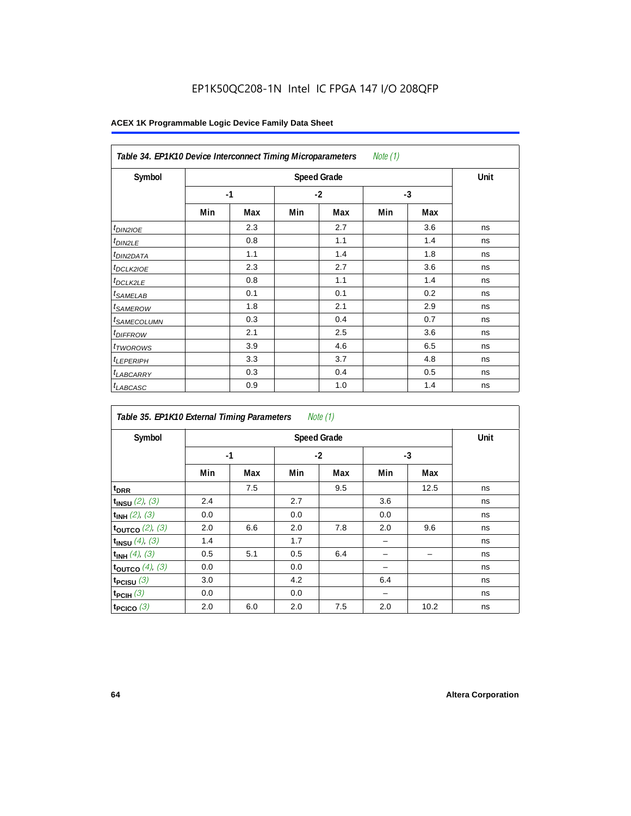# EP1K50QC208-1N Intel IC FPGA 147 I/O 208QFP

| Note (1)<br>Table 34. EP1K10 Device Interconnect Timing Microparameters |     |                    |      |     |      |     |    |  |  |  |
|-------------------------------------------------------------------------|-----|--------------------|------|-----|------|-----|----|--|--|--|
| Symbol                                                                  |     | <b>Speed Grade</b> |      |     |      |     |    |  |  |  |
|                                                                         |     | $-1$               | $-2$ |     | $-3$ |     |    |  |  |  |
|                                                                         | Min | Max                | Min  | Max | Min  | Max |    |  |  |  |
| $t_{DIN2IOE}$                                                           |     | 2.3                |      | 2.7 |      | 3.6 | ns |  |  |  |
| <sup>t</sup> DIN2LE                                                     |     | 0.8                |      | 1.1 |      | 1.4 | ns |  |  |  |
| <sup>t</sup> DIN2DATA                                                   |     | 1.1                |      | 1.4 |      | 1.8 | ns |  |  |  |
| <sup>t</sup> DCLK2IOE                                                   |     | 2.3                |      | 2.7 |      | 3.6 | ns |  |  |  |
| <sup>t</sup> DCLK2LE                                                    |     | 0.8                |      | 1.1 |      | 1.4 | ns |  |  |  |
| <sup>t</sup> SAMELAB                                                    |     | 0.1                |      | 0.1 |      | 0.2 | ns |  |  |  |
| <i>t</i> SAMEROW                                                        |     | 1.8                |      | 2.1 |      | 2.9 | ns |  |  |  |
| <sup>t</sup> SAMECOLUMN                                                 |     | 0.3                |      | 0.4 |      | 0.7 | ns |  |  |  |
| <i>t<sub>DIFFROW</sub></i>                                              |     | 2.1                |      | 2.5 |      | 3.6 | ns |  |  |  |
| t <sub>TWOROWS</sub>                                                    |     | 3.9                |      | 4.6 |      | 6.5 | ns |  |  |  |
| <sup>t</sup> LEPERIPH                                                   |     | 3.3                |      | 3.7 |      | 4.8 | ns |  |  |  |
| <sup>t</sup> LABCARRY                                                   |     | 0.3                |      | 0.4 |      | 0.5 | ns |  |  |  |
| t <sub>LABCASC</sub>                                                    |     | 0.9                |      | 1.0 |      | 1.4 | ns |  |  |  |

| Note $(1)$<br>Table 35. EP1K10 External Timing Parameters |      |     |     |                    |     |      |      |  |  |  |  |
|-----------------------------------------------------------|------|-----|-----|--------------------|-----|------|------|--|--|--|--|
| Symbol                                                    |      |     |     | <b>Speed Grade</b> |     |      | Unit |  |  |  |  |
|                                                           | $-1$ |     |     | $-2$               |     | $-3$ |      |  |  |  |  |
|                                                           | Min  | Max | Min | Max                | Min | Max  |      |  |  |  |  |
| t <sub>DRR</sub>                                          |      | 7.5 |     | 9.5                |     | 12.5 | ns   |  |  |  |  |
| $t_{INSU}$ (2), (3)                                       | 2.4  |     | 2.7 |                    | 3.6 |      | ns   |  |  |  |  |
| $t_{INH}$ (2), (3)                                        | 0.0  |     | 0.0 |                    | 0.0 |      | ns   |  |  |  |  |
| toutco $(2)$ , $(3)$                                      | 2.0  | 6.6 | 2.0 | 7.8                | 2.0 | 9.6  | ns   |  |  |  |  |
| $t_{INSU}$ (4), (3)                                       | 1.4  |     | 1.7 |                    |     |      | ns   |  |  |  |  |
| $t_{INH}$ (4), (3)                                        | 0.5  | 5.1 | 0.5 | 6.4                |     |      | ns   |  |  |  |  |
| toutco $(4)$ , $(3)$                                      | 0.0  |     | 0.0 |                    |     |      | ns   |  |  |  |  |
| t <sub>PCISU</sub> $(3)$                                  | 3.0  |     | 4.2 |                    | 6.4 |      | ns   |  |  |  |  |
| $t_{PCH}(3)$                                              | 0.0  |     | 0.0 |                    |     |      | ns   |  |  |  |  |
| t <sub>PCICO</sub> $(3)$                                  | 2.0  | 6.0 | 2.0 | 7.5                | 2.0 | 10.2 | ns   |  |  |  |  |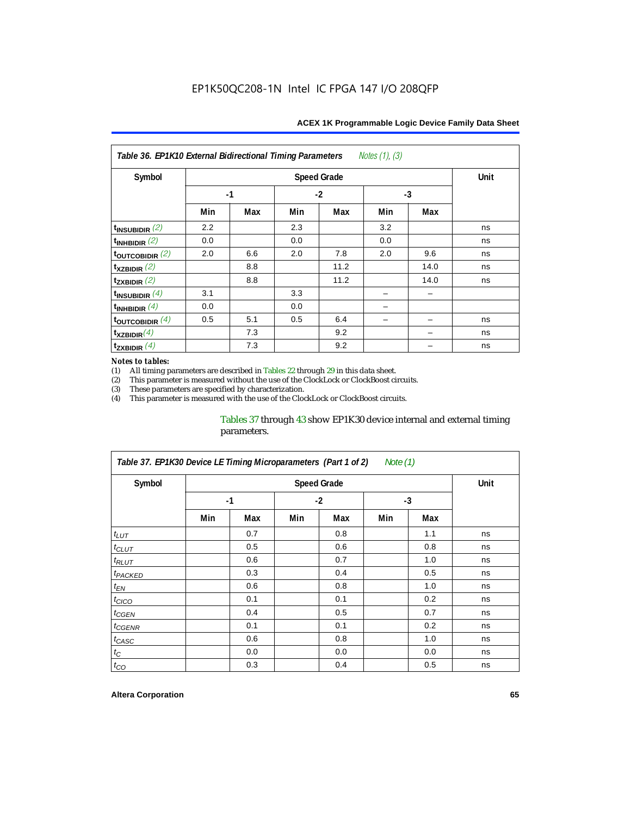| Notes $(1)$ , $(3)$<br>Table 36. EP1K10 External Bidirectional Timing Parameters |     |      |     |                    |      |      |             |  |  |  |
|----------------------------------------------------------------------------------|-----|------|-----|--------------------|------|------|-------------|--|--|--|
| Symbol                                                                           |     |      |     | <b>Speed Grade</b> |      |      | <b>Unit</b> |  |  |  |
|                                                                                  |     | $-1$ |     | $-2$               | $-3$ |      |             |  |  |  |
|                                                                                  | Min | Max  | Min | Max                | Min  | Max  |             |  |  |  |
| $t_{INSUBIDIR}$ (2)                                                              | 2.2 |      | 2.3 |                    | 3.2  |      | ns          |  |  |  |
| $t_{INHBIDIR}$ (2)                                                               | 0.0 |      | 0.0 |                    | 0.0  |      | ns          |  |  |  |
| $t_{\text{OUTC}OBIDIR}$ (2)                                                      | 2.0 | 6.6  | 2.0 | 7.8                | 2.0  | 9.6  | ns          |  |  |  |
| $t_{XZBIDIR}$ (2)                                                                |     | 8.8  |     | 11.2               |      | 14.0 | ns          |  |  |  |
| $t_{ZXBIDIR}$ (2)                                                                |     | 8.8  |     | 11.2               |      | 14.0 | ns          |  |  |  |
| $t_{INSUBIDIR}(4)$                                                               | 3.1 |      | 3.3 |                    |      |      |             |  |  |  |
| $t_{INHBIDIR}(4)$                                                                | 0.0 |      | 0.0 |                    |      |      |             |  |  |  |
| $t_{\text{OUTCOBIDIR}}$ (4)                                                      | 0.5 | 5.1  | 0.5 | 6.4                |      |      | ns          |  |  |  |
| $t_{XZBIDIR}(4)$                                                                 |     | 7.3  |     | 9.2                |      |      | ns          |  |  |  |
| $t_{ZXBIDIR}$ $(4)$                                                              |     | 7.3  |     | 9.2                |      |      | ns          |  |  |  |

#### *Notes to tables:*

(1) All timing parameters are described in Tables  $22$  through  $29$  in this data sheet.<br>(2) This parameter is measured without the use of the ClockLock or ClockBoost cir This parameter is measured without the use of the ClockLock or ClockBoost circuits.

(3) These parameters are specified by characterization. This parameter is measured with the use of the ClockLock or ClockBoost circuits.

### Tables 37 through 43 show EP1K30 device internal and external timing parameters.

| Table 37. EP1K30 Device LE Timing Microparameters (Part 1 of 2)<br>Note $(1)$ |     |      |     |      |     |      |    |  |  |  |
|-------------------------------------------------------------------------------|-----|------|-----|------|-----|------|----|--|--|--|
| Symbol                                                                        |     | Unit |     |      |     |      |    |  |  |  |
|                                                                               |     | $-1$ |     | $-2$ |     | $-3$ |    |  |  |  |
|                                                                               | Min | Max  | Min | Max  | Min | Max  |    |  |  |  |
| $t_{LUT}$                                                                     |     | 0.7  |     | 0.8  |     | 1.1  | ns |  |  |  |
| $t_{CLUT}$                                                                    |     | 0.5  |     | 0.6  |     | 0.8  | ns |  |  |  |
| $t_{RLUT}$                                                                    |     | 0.6  |     | 0.7  |     | 1.0  | ns |  |  |  |
| <sup>t</sup> PACKED                                                           |     | 0.3  |     | 0.4  |     | 0.5  | ns |  |  |  |
| $t_{EN}$                                                                      |     | 0.6  |     | 0.8  |     | 1.0  | ns |  |  |  |
| $t_{CICO}$                                                                    |     | 0.1  |     | 0.1  |     | 0.2  | ns |  |  |  |
| t <sub>CGEN</sub>                                                             |     | 0.4  |     | 0.5  |     | 0.7  | ns |  |  |  |
| t <sub>CGENR</sub>                                                            |     | 0.1  |     | 0.1  |     | 0.2  | ns |  |  |  |
| $t_{CASC}$                                                                    |     | 0.6  |     | 0.8  |     | 1.0  | ns |  |  |  |
| $t_{\rm C}$                                                                   |     | 0.0  |     | 0.0  |     | 0.0  | ns |  |  |  |
| $t_{CO}$                                                                      |     | 0.3  |     | 0.4  |     | 0.5  | ns |  |  |  |

#### **Altera Corporation 65**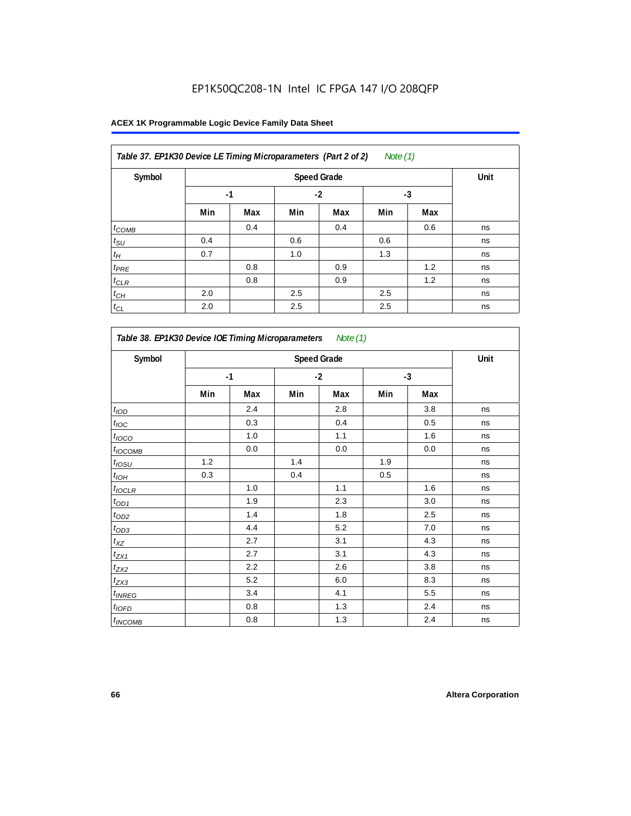| Note $(1)$<br>Table 37. EP1K30 Device LE Timing Microparameters (Part 2 of 2) |      |      |      |     |     |     |    |  |  |
|-------------------------------------------------------------------------------|------|------|------|-----|-----|-----|----|--|--|
| Symbol                                                                        |      | Unit |      |     |     |     |    |  |  |
|                                                                               | $-1$ |      | $-2$ |     | -3  |     |    |  |  |
|                                                                               | Min  | Max  | Min  | Max | Min | Max |    |  |  |
| $t_{COMB}$                                                                    |      | 0.4  |      | 0.4 |     | 0.6 | ns |  |  |
| $t_{\text{SU}}$                                                               | 0.4  |      | 0.6  |     | 0.6 |     | ns |  |  |
| $t_H$                                                                         | 0.7  |      | 1.0  |     | 1.3 |     | ns |  |  |
| $t_{PRE}$                                                                     |      | 0.8  |      | 0.9 |     | 1.2 | ns |  |  |
| $t_{\text{CLR}}$                                                              |      | 0.8  |      | 0.9 |     | 1.2 | ns |  |  |
| $t_{CH}$                                                                      | 2.0  |      | 2.5  |     | 2.5 |     | ns |  |  |
| $t_{CL}$                                                                      | 2.0  |      | 2.5  |     | 2.5 |     | ns |  |  |

| Symbol             |     |      |     | <b>Speed Grade</b> |     |      | Unit |
|--------------------|-----|------|-----|--------------------|-----|------|------|
|                    |     | $-1$ |     | $-2$               |     | $-3$ |      |
|                    | Min | Max  | Min | Max                | Min | Max  |      |
| $t$ <sub>IOD</sub> |     | 2.4  |     | 2.8                |     | 3.8  | ns   |
| $t_{\text{IOC}}$   |     | 0.3  |     | 0.4                |     | 0.5  | ns   |
| $t_{IOCO}$         |     | 1.0  |     | 1.1                |     | 1.6  | ns   |
| $t_{IOCOMB}$       |     | 0.0  |     | $0.0\,$            |     | 0.0  | ns   |
| $t_{IOSU}$         | 1.2 |      | 1.4 |                    | 1.9 |      | ns   |
| $t_{IOM}$          | 0.3 |      | 0.4 |                    | 0.5 |      | ns   |
| $t_{IOCLR}$        |     | 1.0  |     | 1.1                |     | 1.6  | ns   |
| $t_{OD1}$          |     | 1.9  |     | 2.3                |     | 3.0  | ns   |
| $t_{OD2}$          |     | 1.4  |     | 1.8                |     | 2.5  | ns   |
| $t_{OD3}$          |     | 4.4  |     | 5.2                |     | 7.0  | ns   |
| $t_{XZ}$           |     | 2.7  |     | 3.1                |     | 4.3  | ns   |
| $t_{ZX1}$          |     | 2.7  |     | 3.1                |     | 4.3  | ns   |
| $t_{ZX2}$          |     | 2.2  |     | 2.6                |     | 3.8  | ns   |
| $t_{ZX3}$          |     | 5.2  |     | 6.0                |     | 8.3  | ns   |
| $t_{INREG}$        |     | 3.4  |     | 4.1                |     | 5.5  | ns   |
| $t_{IOFD}$         |     | 0.8  |     | 1.3                |     | 2.4  | ns   |
| $t_{INCOMB}$       |     | 0.8  |     | 1.3                |     | 2.4  | ns   |

r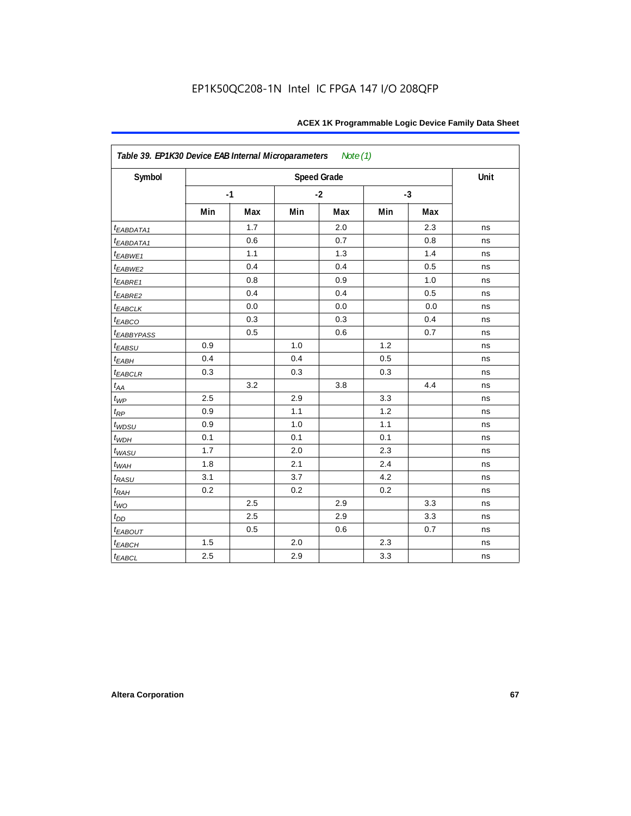| Symbol                  |     |      |     | <b>Speed Grade</b> |      |     | Unit |
|-------------------------|-----|------|-----|--------------------|------|-----|------|
|                         |     | $-1$ |     | $-2$               | $-3$ |     |      |
|                         | Min | Max  | Min | Max                | Min  | Max |      |
| t <sub>EABDATA1</sub>   |     | 1.7  |     | 2.0                |      | 2.3 | ns   |
| t <sub>EABDATA1</sub>   |     | 0.6  |     | 0.7                |      | 0.8 | ns   |
| $t_{EABWE1}$            |     | 1.1  |     | 1.3                |      | 1.4 | ns   |
| $t_{EABWE2}$            |     | 0.4  |     | 0.4                |      | 0.5 | ns   |
| $t_{EABRE1}$            |     | 0.8  |     | 0.9                |      | 1.0 | ns   |
| $t_{EABRE2}$            |     | 0.4  |     | 0.4                |      | 0.5 | ns   |
| <b><i>EABCLK</i></b>    |     | 0.0  |     | 0.0                |      | 0.0 | ns   |
| $t_{EABCO}$             |     | 0.3  |     | 0.3                |      | 0.4 | ns   |
| <b><i>EABBYPASS</i></b> |     | 0.5  |     | 0.6                |      | 0.7 | ns   |
| $t_{EABSU}$             | 0.9 |      | 1.0 |                    | 1.2  |     | ns   |
| $t_{EABH}$              | 0.4 |      | 0.4 |                    | 0.5  |     | ns   |
| <b><i>EABCLR</i></b>    | 0.3 |      | 0.3 |                    | 0.3  |     | ns   |
| $t_{AA}$                |     | 3.2  |     | 3.8                |      | 4.4 | ns   |
| $t_{\mathit{WP}}$       | 2.5 |      | 2.9 |                    | 3.3  |     | ns   |
| $t_{RP}$                | 0.9 |      | 1.1 |                    | 1.2  |     | ns   |
| $t_{WDSU}$              | 0.9 |      | 1.0 |                    | 1.1  |     | ns   |
| $t_{WDH}$               | 0.1 |      | 0.1 |                    | 0.1  |     | ns   |
| $t_{WASU}$              | 1.7 |      | 2.0 |                    | 2.3  |     | ns   |
| $t_{WAH}$               | 1.8 |      | 2.1 |                    | 2.4  |     | ns   |
| t <sub>RASU</sub>       | 3.1 |      | 3.7 |                    | 4.2  |     | ns   |
| $t_{RAH}$               | 0.2 |      | 0.2 |                    | 0.2  |     | ns   |
| $t_{WO}$                |     | 2.5  |     | 2.9                |      | 3.3 | ns   |
| $t_{DD}$                |     | 2.5  |     | 2.9                |      | 3.3 | ns   |
| <b><i>EABOUT</i></b>    |     | 0.5  |     | 0.6                |      | 0.7 | ns   |
| $t_{EABCH}$             | 1.5 |      | 2.0 |                    | 2.3  |     | ns   |
| $t_{EABCL}$             | 2.5 |      | 2.9 |                    | 3.3  |     | ns   |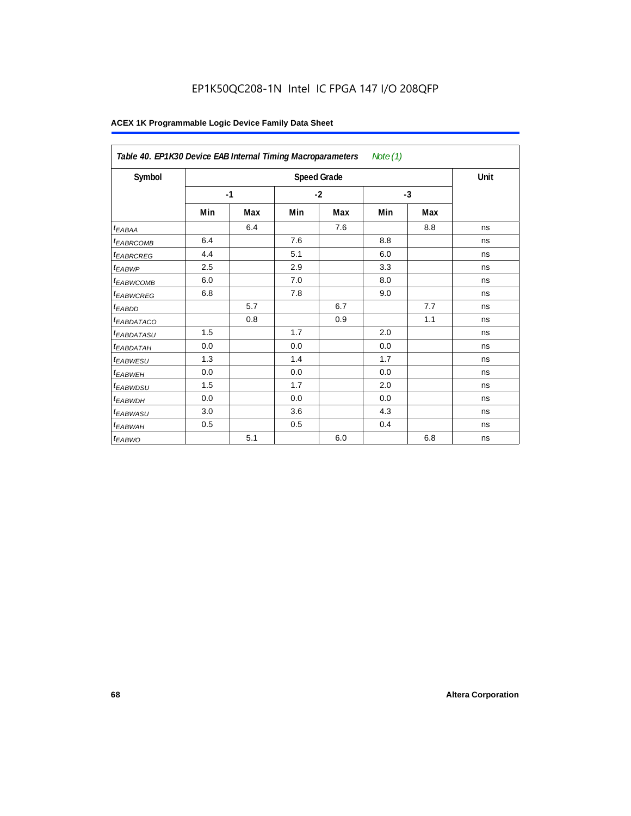# EP1K50QC208-1N Intel IC FPGA 147 I/O 208QFP

| Table 40. EP1K30 Device EAB Internal Timing Macroparameters<br>Note $(1)$ |      |     |      |                    |      |     |      |  |  |
|---------------------------------------------------------------------------|------|-----|------|--------------------|------|-----|------|--|--|
| Symbol                                                                    |      |     |      | <b>Speed Grade</b> |      |     | Unit |  |  |
|                                                                           | $-1$ |     | $-2$ |                    | $-3$ |     |      |  |  |
|                                                                           | Min  | Max | Min  | Max                | Min  | Max |      |  |  |
| t <sub>EABAA</sub>                                                        |      | 6.4 |      | 7.6                |      | 8.8 | ns   |  |  |
| <sup>t</sup> EABRCOMB                                                     | 6.4  |     | 7.6  |                    | 8.8  |     | ns   |  |  |
| <sup>t</sup> EABRCREG                                                     | 4.4  |     | 5.1  |                    | 6.0  |     | ns   |  |  |
| <sup>t</sup> EABWP                                                        | 2.5  |     | 2.9  |                    | 3.3  |     | ns   |  |  |
| <sup>t</sup> EABWCOMB                                                     | 6.0  |     | 7.0  |                    | 8.0  |     | ns   |  |  |
| <sup>t</sup> EABWCREG                                                     | 6.8  |     | 7.8  |                    | 9.0  |     | ns   |  |  |
| <sup>t</sup> EABDD                                                        |      | 5.7 |      | 6.7                |      | 7.7 | ns   |  |  |
| <sup>t</sup> EABDATACO                                                    |      | 0.8 |      | 0.9                |      | 1.1 | ns   |  |  |
| <sup>t</sup> EABDATASU                                                    | 1.5  |     | 1.7  |                    | 2.0  |     | ns   |  |  |
| <sup>t</sup> EABDATAH                                                     | 0.0  |     | 0.0  |                    | 0.0  |     | ns   |  |  |
| <sup>t</sup> EABWESU                                                      | 1.3  |     | 1.4  |                    | 1.7  |     | ns   |  |  |
| <sup>t</sup> EABWEH                                                       | 0.0  |     | 0.0  |                    | 0.0  |     | ns   |  |  |
| <sup>t</sup> EABWDSU                                                      | 1.5  |     | 1.7  |                    | 2.0  |     | ns   |  |  |
| <sup>t</sup> EABWDH                                                       | 0.0  |     | 0.0  |                    | 0.0  |     | ns   |  |  |
| <sup>t</sup> EABWASU                                                      | 3.0  |     | 3.6  |                    | 4.3  |     | ns   |  |  |
| t <sub>EABWAH</sub>                                                       | 0.5  |     | 0.5  |                    | 0.4  |     | ns   |  |  |
| t <sub>EABWO</sub>                                                        |      | 5.1 |      | 6.0                |      | 6.8 | ns   |  |  |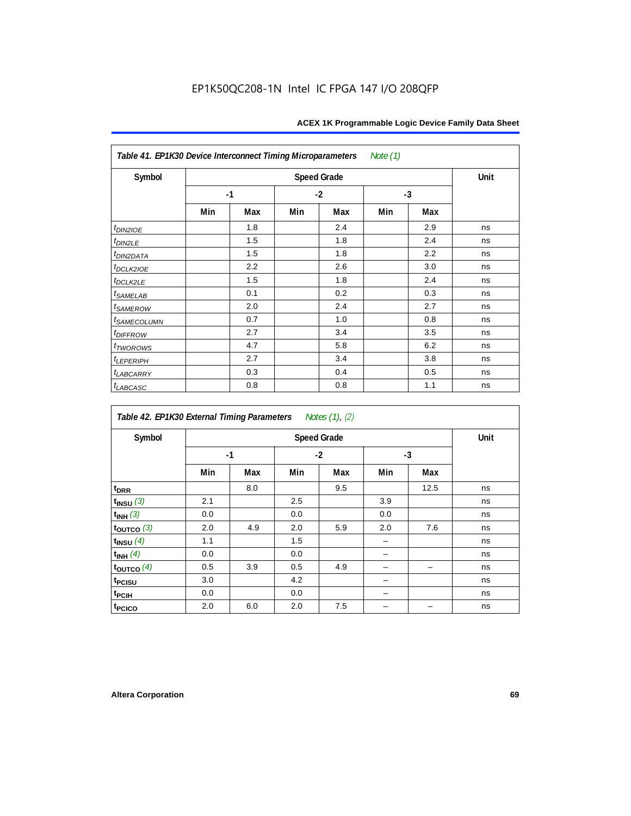| Note (1)<br>Table 41. EP1K30 Device Interconnect Timing Microparameters |      |     |     |                    |      |     |      |  |  |  |  |
|-------------------------------------------------------------------------|------|-----|-----|--------------------|------|-----|------|--|--|--|--|
| Symbol                                                                  |      |     |     | <b>Speed Grade</b> |      |     | Unit |  |  |  |  |
|                                                                         | $-1$ |     |     | $-2$               | $-3$ |     |      |  |  |  |  |
|                                                                         | Min  | Max | Min | Max                | Min  | Max |      |  |  |  |  |
| $t_{DIN2IOE}$                                                           |      | 1.8 |     | 2.4                |      | 2.9 | ns   |  |  |  |  |
| $t_{DIN2LE}$                                                            |      | 1.5 |     | 1.8                |      | 2.4 | ns   |  |  |  |  |
| t <sub>DIN2DATA</sub>                                                   |      | 1.5 |     | 1.8                |      | 2.2 | ns   |  |  |  |  |
| $t$ <sub>DCLK2IOE</sub>                                                 |      | 2.2 |     | 2.6                |      | 3.0 | ns   |  |  |  |  |
| $t_{DCLK2LE}$                                                           |      | 1.5 |     | 1.8                |      | 2.4 | ns   |  |  |  |  |
| $t_{SAMELAB}$                                                           |      | 0.1 |     | 0.2                |      | 0.3 | ns   |  |  |  |  |
| <i>t<sub>SAMEROW</sub></i>                                              |      | 2.0 |     | 2.4                |      | 2.7 | ns   |  |  |  |  |
| <i>t<sub>SAMECOLUMN</sub></i>                                           |      | 0.7 |     | 1.0                |      | 0.8 | ns   |  |  |  |  |
| <i>t<sub>DIFFROW</sub></i>                                              |      | 2.7 |     | 3.4                |      | 3.5 | ns   |  |  |  |  |
| t <sub>TWOROWS</sub>                                                    |      | 4.7 |     | 5.8                |      | 6.2 | ns   |  |  |  |  |
| $t_{LEPERIPH}$                                                          |      | 2.7 |     | 3.4                |      | 3.8 | ns   |  |  |  |  |
| <b><i>LABCARRY</i></b>                                                  |      | 0.3 |     | 0.4                |      | 0.5 | ns   |  |  |  |  |
| $t_{LABCASC}$                                                           |      | 0.8 |     | 0.8                |      | 1.1 | ns   |  |  |  |  |

| Table 42. EP1K30 External Timing Parameters |     |      |     | Notes (1), (2) |     |      |    |
|---------------------------------------------|-----|------|-----|----------------|-----|------|----|
| Symbol                                      |     | Unit |     |                |     |      |    |
|                                             |     | $-1$ |     | $-2$           |     | $-3$ |    |
|                                             | Min | Max  | Min | Max            | Min | Max  |    |
| t <sub>DRR</sub>                            |     | 8.0  |     | 9.5            |     | 12.5 | ns |
| $t_{INSU}$ (3)                              | 2.1 |      | 2.5 |                | 3.9 |      | ns |
| $t_{INH}$ (3)                               | 0.0 |      | 0.0 |                | 0.0 |      | ns |
| $t_{OUTCO}$ (3)                             | 2.0 | 4.9  | 2.0 | 5.9            | 2.0 | 7.6  | ns |
| $t_{INSU}$ $(4)$                            | 1.1 |      | 1.5 |                |     |      | ns |
| $t_{INH}$ (4)                               | 0.0 |      | 0.0 |                |     |      | ns |
| $t_{\text{OUTCO}}(4)$                       | 0.5 | 3.9  | 0.5 | 4.9            |     |      | ns |
| t <sub>PCISU</sub>                          | 3.0 |      | 4.2 |                |     |      | ns |
| <sup>t</sup> PCIH                           | 0.0 |      | 0.0 |                |     |      | ns |
| t <sub>PCICO</sub>                          | 2.0 | 6.0  | 2.0 | 7.5            |     |      | ns |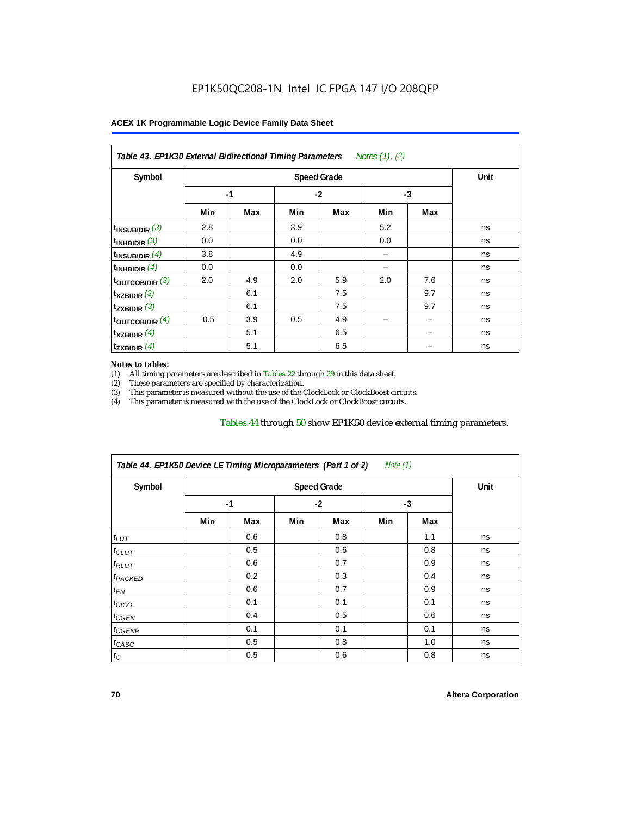| Symbol                      |      | Unit |      |     |      |     |    |
|-----------------------------|------|------|------|-----|------|-----|----|
|                             | $-1$ |      | $-2$ |     | $-3$ |     |    |
|                             | Min  | Max  | Min  | Max | Min  | Max |    |
| $t_{\text{INSUBIDIR}}$ (3)  | 2.8  |      | 3.9  |     | 5.2  |     | ns |
| $t_{INHBIDIR}$ (3)          | 0.0  |      | 0.0  |     | 0.0  |     | ns |
| $t_{\text{INSUBIDIR}}$ (4)  | 3.8  |      | 4.9  |     |      |     | ns |
| $t_{INHBIDIR}$ (4)          | 0.0  |      | 0.0  |     |      |     | ns |
| $t_{\text{OUTCOBIDIR}}$ (3) | 2.0  | 4.9  | 2.0  | 5.9 | 2.0  | 7.6 | ns |
| $t_{XZBIDIR}$ (3)           |      | 6.1  |      | 7.5 |      | 9.7 | ns |
| $t_{ZXBIDIR}$ (3)           |      | 6.1  |      | 7.5 |      | 9.7 | ns |
| toutcobidir $(4)$           | 0.5  | 3.9  | 0.5  | 4.9 |      |     | ns |
| $t_{XZBIDIR}$ (4)           |      | 5.1  |      | 6.5 |      |     | ns |
| $t_{ZXBIDIR}$ (4)           |      | 5.1  |      | 6.5 |      |     | ns |

#### *Notes to tables:*

(1) All timing parameters are described in Tables 22 through  $29$  in this data sheet.<br>(2) These parameters are specified by characterization.

(2) These parameters are specified by characterization.<br>
(3) This parameter is measured without the use of the C

This parameter is measured without the use of the ClockLock or ClockBoost circuits.

(4) This parameter is measured with the use of the ClockLock or ClockBoost circuits.

#### Tables 44 through 50 show EP1K50 device external timing parameters.

| Symbol               |      | <b>Speed Grade</b> |      |     |     |     |    |  |  |
|----------------------|------|--------------------|------|-----|-----|-----|----|--|--|
|                      | $-1$ |                    | $-2$ |     | -3  |     |    |  |  |
|                      | Min  | Max                | Min  | Max | Min | Max |    |  |  |
| $t_{LUT}$            |      | 0.6                |      | 0.8 |     | 1.1 | ns |  |  |
| $t_{CLUT}$           |      | 0.5                |      | 0.6 |     | 0.8 | ns |  |  |
| $t_{RLUT}$           |      | 0.6                |      | 0.7 |     | 0.9 | ns |  |  |
| <sup>t</sup> PACKED  |      | 0.2                |      | 0.3 |     | 0.4 | ns |  |  |
| $t_{EN}$             |      | 0.6                |      | 0.7 |     | 0.9 | ns |  |  |
| $t_{CICO}$           |      | 0.1                |      | 0.1 |     | 0.1 | ns |  |  |
| $t_{\overline{GED}}$ |      | 0.4                |      | 0.5 |     | 0.6 | ns |  |  |
| $t_{GENR}$           |      | 0.1                |      | 0.1 |     | 0.1 | ns |  |  |
| $t_{CASC}$           |      | 0.5                |      | 0.8 |     | 1.0 | ns |  |  |
| $t_C$                |      | 0.5                |      | 0.6 |     | 0.8 | ns |  |  |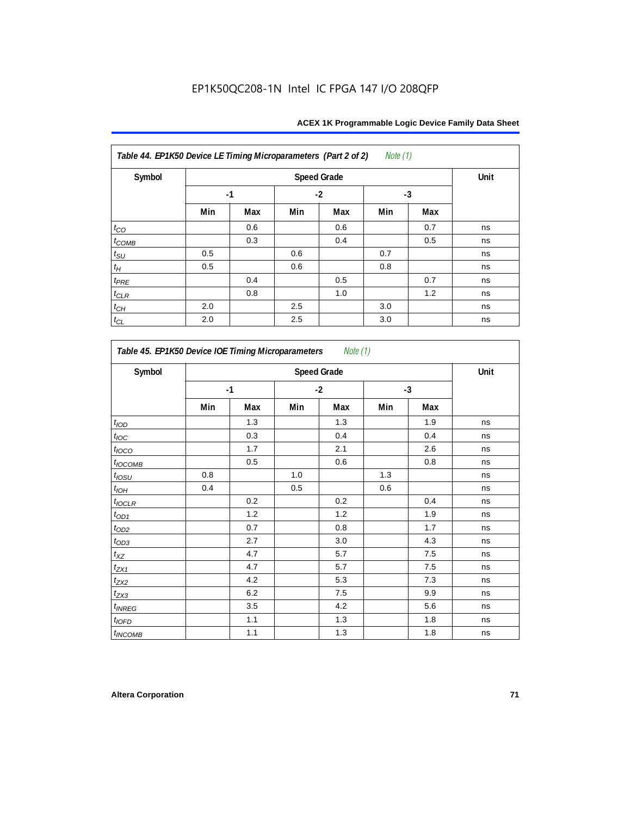| Table 44. EP1K50 Device LE Timing Microparameters (Part 2 of 2) |      |      |      |     | <i>Note</i> $(1)$ |     |    |
|-----------------------------------------------------------------|------|------|------|-----|-------------------|-----|----|
| Symbol                                                          |      | Unit |      |     |                   |     |    |
|                                                                 | $-1$ |      | $-2$ |     | $-3$              |     |    |
|                                                                 | Min  | Max  | Min  | Max | Min               | Max |    |
| $t_{CO}$                                                        |      | 0.6  |      | 0.6 |                   | 0.7 | ns |
| $t_{COMB}$                                                      |      | 0.3  |      | 0.4 |                   | 0.5 | ns |
| $t_{\rm SU}$                                                    | 0.5  |      | 0.6  |     | 0.7               |     | ns |
| $t_{\!H}$                                                       | 0.5  |      | 0.6  |     | 0.8               |     | ns |
| $t_{PRE}$                                                       |      | 0.4  |      | 0.5 |                   | 0.7 | ns |
| $t_{CLR}$                                                       |      | 0.8  |      | 1.0 |                   | 1.2 | ns |
| $t_{\mathbb{C} H}$                                              | 2.0  |      | 2.5  |     | 3.0               |     | ns |
| $t_{CL}$                                                        | 2.0  |      | 2.5  |     | 3.0               |     | ns |

| Symbol            |      | <b>Speed Grade</b> |      |     |      |     |    |  |  |
|-------------------|------|--------------------|------|-----|------|-----|----|--|--|
|                   | $-1$ |                    | $-2$ |     | $-3$ |     |    |  |  |
|                   | Min  | Max                | Min  | Max | Min  | Max |    |  |  |
| t <sub>IOD</sub>  |      | 1.3                |      | 1.3 |      | 1.9 | ns |  |  |
| $t_{\text{loc}}$  |      | 0.3                |      | 0.4 |      | 0.4 | ns |  |  |
| t <sub>IOCO</sub> |      | 1.7                |      | 2.1 |      | 2.6 | ns |  |  |
| $t_{IOCOMB}$      |      | 0.5                |      | 0.6 |      | 0.8 | ns |  |  |
| $t_{IOSU}$        | 0.8  |                    | 1.0  |     | 1.3  |     | ns |  |  |
| $t_{IOH}$         | 0.4  |                    | 0.5  |     | 0.6  |     | ns |  |  |
| $t_{IOCLR}$       |      | 0.2                |      | 0.2 |      | 0.4 | ns |  |  |
| $t_{OD1}$         |      | 1.2                |      | 1.2 |      | 1.9 | ns |  |  |
| $t_{OD2}$         |      | 0.7                |      | 0.8 |      | 1.7 | ns |  |  |
| $t_{OD3}$         |      | 2.7                |      | 3.0 |      | 4.3 | ns |  |  |
| $t_{XZ}$          |      | 4.7                |      | 5.7 |      | 7.5 | ns |  |  |
| $t_{ZX1}$         |      | 4.7                |      | 5.7 |      | 7.5 | ns |  |  |
| $t_{ZX2}$         |      | 4.2                |      | 5.3 |      | 7.3 | ns |  |  |
| $t_{ZX3}$         |      | 6.2                |      | 7.5 |      | 9.9 | ns |  |  |
| $t_{INREG}$       |      | 3.5                |      | 4.2 |      | 5.6 | ns |  |  |
| $t_{IOFD}$        |      | 1.1                |      | 1.3 |      | 1.8 | ns |  |  |
| $t_{INCOMB}$      |      | 1.1                |      | 1.3 |      | 1.8 | ns |  |  |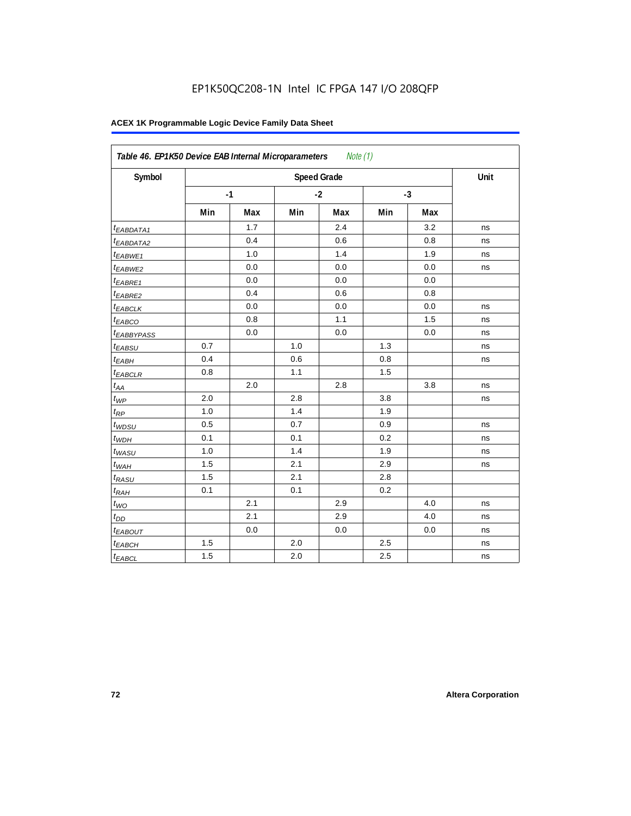| Symbol                 |     |      |     | <b>Speed Grade</b> |     |      | Unit |
|------------------------|-----|------|-----|--------------------|-----|------|------|
|                        |     | $-1$ |     | $-2$               |     | $-3$ |      |
|                        | Min | Max  | Min | Max                | Min | Max  |      |
| t <sub>EABDATA1</sub>  |     | 1.7  |     | 2.4                |     | 3.2  | ns   |
| <sup>t</sup> EABDATA2  |     | 0.4  |     | 0.6                |     | 0.8  | ns   |
| t <sub>EABWE1</sub>    |     | 1.0  |     | 1.4                |     | 1.9  | ns   |
| <sup>t</sup> EABWE2    |     | 0.0  |     | 0.0                |     | 0.0  | ns   |
| <sup>t</sup> EABRE1    |     | 0.0  |     | 0.0                |     | 0.0  |      |
| $t_{EABRE2}$           |     | 0.4  |     | 0.6                |     | 0.8  |      |
| <sup>t</sup> EABCLK    |     | 0.0  |     | 0.0                |     | 0.0  | ns   |
| t <sub>EABCO</sub>     |     | 0.8  |     | 1.1                |     | 1.5  | ns   |
| <sup>t</sup> EABBYPASS |     | 0.0  |     | 0.0                |     | 0.0  | ns   |
| $t_{EABSU}$            | 0.7 |      | 1.0 |                    | 1.3 |      | ns   |
| t <sub>EABH</sub>      | 0.4 |      | 0.6 |                    | 0.8 |      | ns   |
| $t_{EABCLR}$           | 0.8 |      | 1.1 |                    | 1.5 |      |      |
| $t_{AA}$               |     | 2.0  |     | 2.8                |     | 3.8  | ns   |
| $t_{\mathcal{WP}}$     | 2.0 |      | 2.8 |                    | 3.8 |      | ns   |
| $t_{RP}$               | 1.0 |      | 1.4 |                    | 1.9 |      |      |
| $t_{WDSU}$             | 0.5 |      | 0.7 |                    | 0.9 |      | ns   |
| $t_{WDH}$              | 0.1 |      | 0.1 |                    | 0.2 |      | ns   |
| $t_{WASU}$             | 1.0 |      | 1.4 |                    | 1.9 |      | ns   |
| $t_{WAH}$              | 1.5 |      | 2.1 |                    | 2.9 |      | ns   |
| t <sub>RASU</sub>      | 1.5 |      | 2.1 |                    | 2.8 |      |      |
| $t_{RAH}$              | 0.1 |      | 0.1 |                    | 0.2 |      |      |
| $t_{WO}$               |     | 2.1  |     | 2.9                |     | 4.0  | ns   |
| $t_{DD}$               |     | 2.1  |     | 2.9                |     | 4.0  | ns   |
| $t_{EABOUT}$           |     | 0.0  |     | 0.0                |     | 0.0  | ns   |
| t <sub>EABCH</sub>     | 1.5 |      | 2.0 |                    | 2.5 |      | ns   |
| $t_{EABCL}$            | 1.5 |      | 2.0 |                    | 2.5 |      | ns   |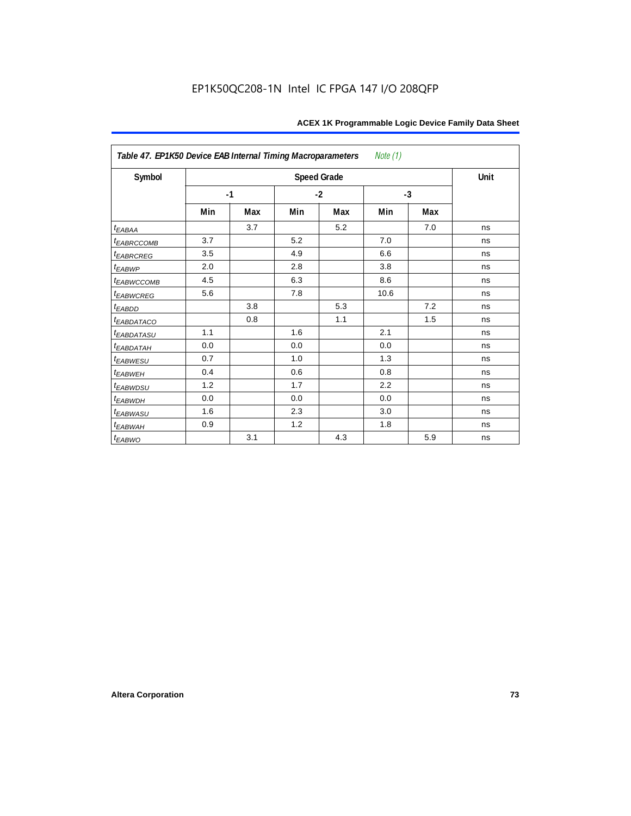| Table 47. EP1K50 Device EAB Internal Timing Macroparameters<br>Note (1) |      |     |      |                    |      |     |      |  |  |  |  |
|-------------------------------------------------------------------------|------|-----|------|--------------------|------|-----|------|--|--|--|--|
| Symbol                                                                  |      |     |      | <b>Speed Grade</b> |      |     | Unit |  |  |  |  |
|                                                                         | $-1$ |     | $-2$ |                    | $-3$ |     |      |  |  |  |  |
|                                                                         | Min  | Max | Min  | Max                | Min  | Max |      |  |  |  |  |
| $t_{EABA}$                                                              |      | 3.7 |      | 5.2                |      | 7.0 | ns   |  |  |  |  |
| <b><i>EABRCCOMB</i></b>                                                 | 3.7  |     | 5.2  |                    | 7.0  |     | ns   |  |  |  |  |
| t <sub>EABRCREG</sub>                                                   | 3.5  |     | 4.9  |                    | 6.6  |     | ns   |  |  |  |  |
| $t_{EABWP}$                                                             | 2.0  |     | 2.8  |                    | 3.8  |     | ns   |  |  |  |  |
| t <sub>EABWCCOMB</sub>                                                  | 4.5  |     | 6.3  |                    | 8.6  |     | ns   |  |  |  |  |
| t <sub>EABWCREG</sub>                                                   | 5.6  |     | 7.8  |                    | 10.6 |     | ns   |  |  |  |  |
| t <sub>EABDD</sub>                                                      |      | 3.8 |      | 5.3                |      | 7.2 | ns   |  |  |  |  |
| <i>EABDATACO</i>                                                        |      | 0.8 |      | 1.1                |      | 1.5 | ns   |  |  |  |  |
| <i>EABDATASU</i>                                                        | 1.1  |     | 1.6  |                    | 2.1  |     | ns   |  |  |  |  |
| t <sub>EABDATAH</sub>                                                   | 0.0  |     | 0.0  |                    | 0.0  |     | ns   |  |  |  |  |
| t <sub>EABWESU</sub>                                                    | 0.7  |     | 1.0  |                    | 1.3  |     | ns   |  |  |  |  |
| <sup>t</sup> EABWEH                                                     | 0.4  |     | 0.6  |                    | 0.8  |     | ns   |  |  |  |  |
| <i>EABWDSU</i>                                                          | 1.2  |     | 1.7  |                    | 2.2  |     | ns   |  |  |  |  |
| t <sub>EABWDH</sub>                                                     | 0.0  |     | 0.0  |                    | 0.0  |     | ns   |  |  |  |  |
| t <sub>EABWASU</sub>                                                    | 1.6  |     | 2.3  |                    | 3.0  |     | ns   |  |  |  |  |
| $t_{EABWAH}$                                                            | 0.9  |     | 1.2  |                    | 1.8  |     | ns   |  |  |  |  |
| $t_{EABWO}$                                                             |      | 3.1 |      | 4.3                |      | 5.9 | ns   |  |  |  |  |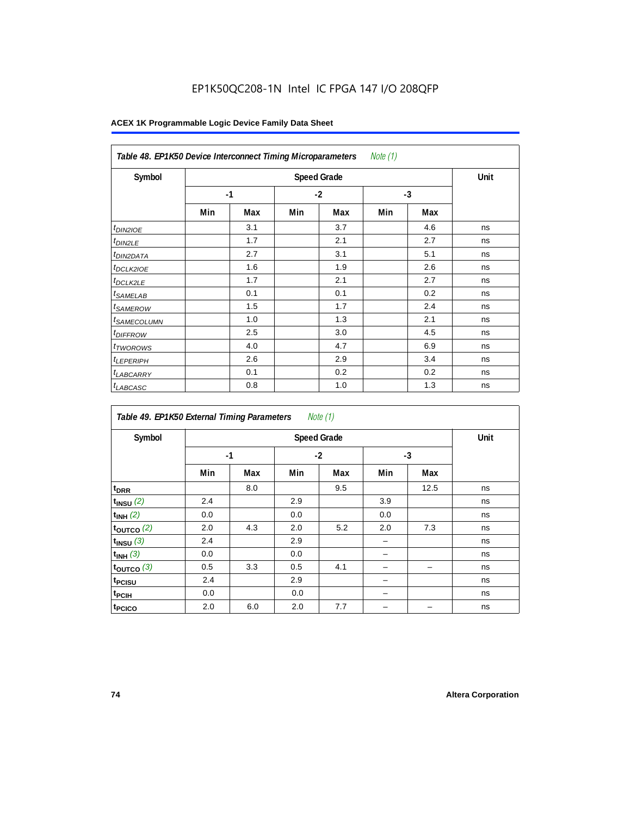# EP1K50QC208-1N Intel IC FPGA 147 I/O 208QFP

| Table 48. EP1K50 Device Interconnect Timing Microparameters<br>Note (1) |     |      |      |     |      |     |    |  |  |  |
|-------------------------------------------------------------------------|-----|------|------|-----|------|-----|----|--|--|--|
| Symbol                                                                  |     | Unit |      |     |      |     |    |  |  |  |
|                                                                         |     | $-1$ | $-2$ |     | $-3$ |     |    |  |  |  |
|                                                                         | Min | Max  | Min  | Max | Min  | Max |    |  |  |  |
| $t_{DINZIOE}$                                                           |     | 3.1  |      | 3.7 |      | 4.6 | ns |  |  |  |
| <sup>t</sup> DIN2LE                                                     |     | 1.7  |      | 2.1 |      | 2.7 | ns |  |  |  |
| <sup>t</sup> DIN2DATA                                                   |     | 2.7  |      | 3.1 |      | 5.1 | ns |  |  |  |
| <sup>t</sup> DCLK2IOE                                                   |     | 1.6  |      | 1.9 |      | 2.6 | ns |  |  |  |
| <sup>t</sup> DCLK2LE                                                    |     | 1.7  |      | 2.1 |      | 2.7 | ns |  |  |  |
| <sup>t</sup> SAMELAB                                                    |     | 0.1  |      | 0.1 |      | 0.2 | ns |  |  |  |
| <sup>t</sup> SAMEROW                                                    |     | 1.5  |      | 1.7 |      | 2.4 | ns |  |  |  |
| <sup>t</sup> SAMECOLUMN                                                 |     | 1.0  |      | 1.3 |      | 2.1 | ns |  |  |  |
| <i><b>UIFFROW</b></i>                                                   |     | 2.5  |      | 3.0 |      | 4.5 | ns |  |  |  |
| <sup>t</sup> TWOROWS                                                    |     | 4.0  |      | 4.7 |      | 6.9 | ns |  |  |  |
| <sup>t</sup> LEPERIPH                                                   |     | 2.6  |      | 2.9 |      | 3.4 | ns |  |  |  |
| <sup>t</sup> LABCARRY                                                   |     | 0.1  |      | 0.2 |      | 0.2 | ns |  |  |  |
| <sup>t</sup> LABCASC                                                    |     | 0.8  |      | 1.0 |      | 1.3 | ns |  |  |  |

| Note $(1)$<br>Table 49. EP1K50 External Timing Parameters |     |                    |     |      |      |      |    |  |  |  |  |
|-----------------------------------------------------------|-----|--------------------|-----|------|------|------|----|--|--|--|--|
| Symbol                                                    |     | <b>Speed Grade</b> |     |      |      |      |    |  |  |  |  |
|                                                           |     | $-1$               |     | $-2$ | $-3$ |      |    |  |  |  |  |
|                                                           | Min | Max                | Min | Max  | Min  | Max  |    |  |  |  |  |
| t <sub>DRR</sub>                                          |     | 8.0                |     | 9.5  |      | 12.5 | ns |  |  |  |  |
| $t_{INSU}$ $(2)$                                          | 2.4 |                    | 2.9 |      | 3.9  |      | ns |  |  |  |  |
| $t_{INH}$ (2)                                             | 0.0 |                    | 0.0 |      | 0.0  |      | ns |  |  |  |  |
| $t_{OUTCO}$ (2)                                           | 2.0 | 4.3                | 2.0 | 5.2  | 2.0  | 7.3  | ns |  |  |  |  |
| $t_{INSU}$ (3)                                            | 2.4 |                    | 2.9 |      | -    |      | ns |  |  |  |  |
| $t_{INH}$ (3)                                             | 0.0 |                    | 0.0 |      |      |      | ns |  |  |  |  |
| $t_{OUTCO}$ (3)                                           | 0.5 | 3.3                | 0.5 | 4.1  |      |      | ns |  |  |  |  |
| t <sub>PCISU</sub>                                        | 2.4 |                    | 2.9 |      |      |      | ns |  |  |  |  |
| t <sub>PCIH</sub>                                         | 0.0 |                    | 0.0 |      |      |      | ns |  |  |  |  |
| t <sub>PCICO</sub>                                        | 2.0 | 6.0                | 2.0 | 7.7  |      |      | ns |  |  |  |  |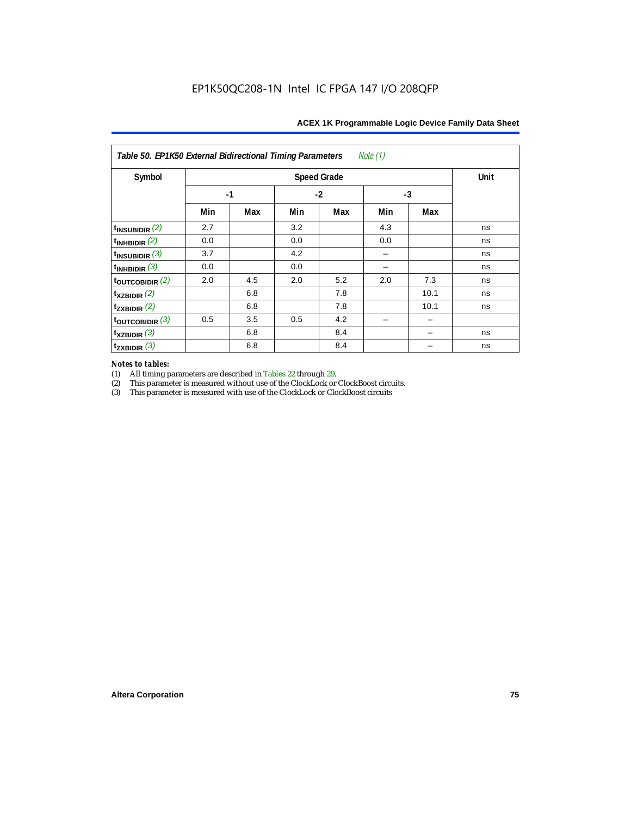| Note (1)<br>Table 50. EP1K50 External Bidirectional Timing Parameters |      |      |     |     |     |      |    |  |  |  |
|-----------------------------------------------------------------------|------|------|-----|-----|-----|------|----|--|--|--|
| Symbol                                                                |      | Unit |     |     |     |      |    |  |  |  |
|                                                                       | $-1$ |      |     |     |     |      |    |  |  |  |
|                                                                       | Min  | Max  | Min | Max | Min | Max  |    |  |  |  |
| $t_{INSUBIDIR}$ $(2)$                                                 | 2.7  |      | 3.2 |     | 4.3 |      | ns |  |  |  |
| $\vert$ t <sub>inhbidir</sub> $\vert$ <sup>2)</sup>                   | 0.0  |      | 0.0 |     | 0.0 |      | ns |  |  |  |
| $t_{\text{INSUBIDIR}}$ (3)                                            | 3.7  |      | 4.2 |     |     |      | ns |  |  |  |
| $\vert$ t <sub>inhbidir</sub> (3)                                     | 0.0  |      | 0.0 |     |     |      | ns |  |  |  |
| $\frac{1}{2}$ toutcobidir $\frac{2}{2}$                               | 2.0  | 4.5  | 2.0 | 5.2 | 2.0 | 7.3  | ns |  |  |  |
| $\mathbf{t}_{\text{XZBIDIR}}$ (2)                                     |      | 6.8  |     | 7.8 |     | 10.1 | ns |  |  |  |
| $t_{ZXBIDIR}$ (2)                                                     |      | 6.8  |     | 7.8 |     | 10.1 | ns |  |  |  |
| $_{\rm t}$ t <sub>outcobidir</sub> $(3)$                              | 0.5  | 3.5  | 0.5 | 4.2 |     |      |    |  |  |  |
| $\mathbf{t}_{\text{XZBIDIR}}$ (3)                                     |      | 6.8  |     | 8.4 |     |      | ns |  |  |  |
| $t_{ZXBIDIR}$ (3)                                                     |      | 6.8  |     | 8.4 |     |      | ns |  |  |  |

*Notes to tables:* (1) All timing parameters are described in Tables 22 through 29.<br>
(2) This parameter is measured without use of the ClockLock or

(2) This parameter is measured without use of the ClockLock or ClockBoost circuits.<br>
(3) This parameter is measured with use of the ClockLock or ClockBoost circuits

This parameter is measured with use of the ClockLock or ClockBoost circuits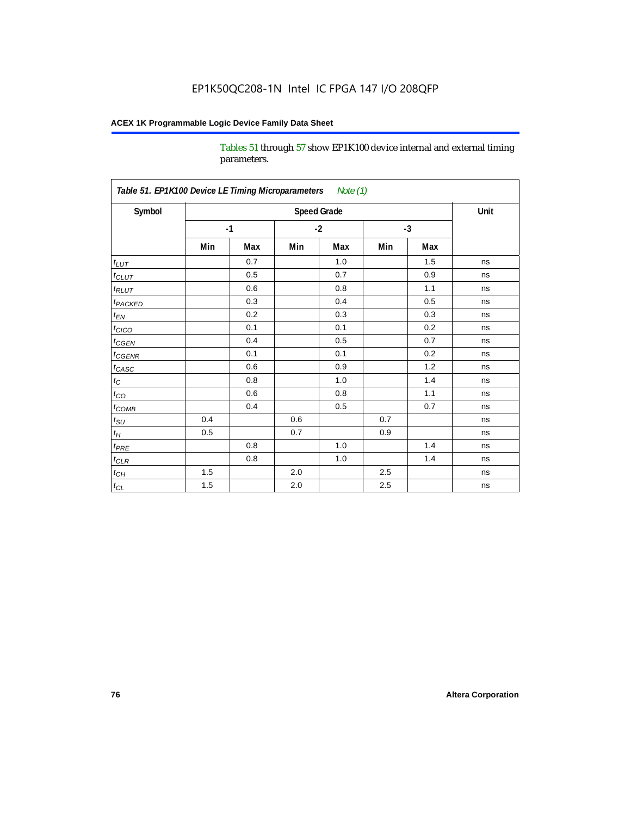Tables 51 through 57 show EP1K100 device internal and external timing parameters.

| Symbol                     |      | <b>Speed Grade</b> |         |     |      |     |    |  |  |  |
|----------------------------|------|--------------------|---------|-----|------|-----|----|--|--|--|
|                            | $-1$ |                    | $-2$    |     | $-3$ |     |    |  |  |  |
|                            | Min  | Max                | Min     | Max | Min  | Max |    |  |  |  |
| $t_{LUT}$                  |      | 0.7                |         | 1.0 |      | 1.5 | ns |  |  |  |
| $t_{CLUT}$                 |      | 0.5                |         | 0.7 |      | 0.9 | ns |  |  |  |
| $t_{RLUT}$                 |      | 0.6                |         | 0.8 |      | 1.1 | ns |  |  |  |
| <b>t</b> <sub>PACKED</sub> |      | 0.3                |         | 0.4 |      | 0.5 | ns |  |  |  |
| $t_{EN}$                   |      | 0.2                |         | 0.3 |      | 0.3 | ns |  |  |  |
| $t_{CICO}$                 |      | 0.1                |         | 0.1 |      | 0.2 | ns |  |  |  |
| $t_{\text{CGEN}}$          |      | 0.4                |         | 0.5 |      | 0.7 | ns |  |  |  |
| $t_{GENR}$                 |      | 0.1                |         | 0.1 |      | 0.2 | ns |  |  |  |
| $t_{CASC}$                 |      | 0.6                |         | 0.9 |      | 1.2 | ns |  |  |  |
| $t_C$                      |      | 0.8                |         | 1.0 |      | 1.4 | ns |  |  |  |
| $t_{\rm CO}$               |      | 0.6                |         | 0.8 |      | 1.1 | ns |  |  |  |
| $t$ <sub>COMB</sub>        |      | 0.4                |         | 0.5 |      | 0.7 | ns |  |  |  |
| $t_{\rm SU}$               | 0.4  |                    | 0.6     |     | 0.7  |     | ns |  |  |  |
| $t_H\,$                    | 0.5  |                    | 0.7     |     | 0.9  |     | ns |  |  |  |
| $t_{PRE}$                  |      | 0.8                |         | 1.0 |      | 1.4 | ns |  |  |  |
| $t_{CLR}$                  |      | 0.8                |         | 1.0 |      | 1.4 | ns |  |  |  |
| $t_{CH}$                   | 1.5  |                    | 2.0     |     | 2.5  |     | ns |  |  |  |
| $t_{CL}$                   | 1.5  |                    | $2.0\,$ |     | 2.5  |     | ns |  |  |  |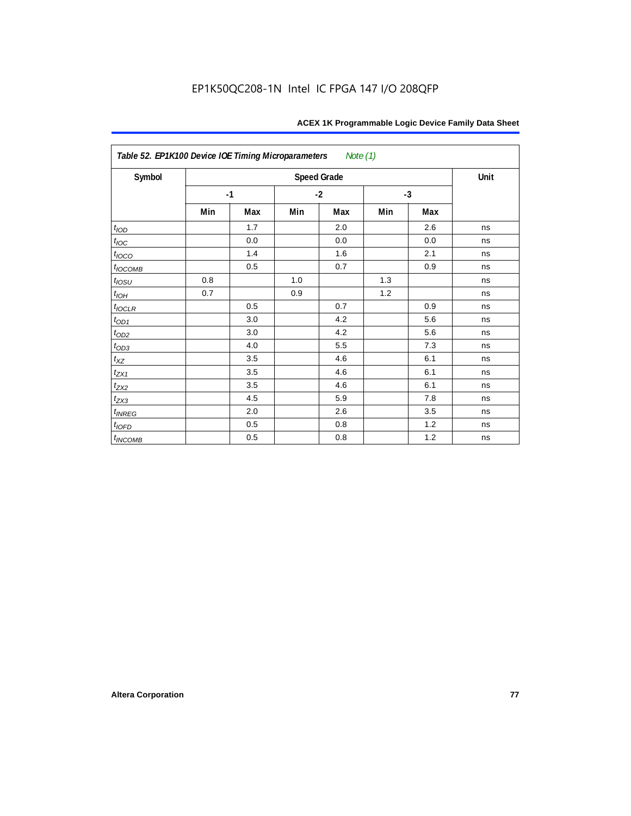| Table 52. EP1K100 Device IOE Timing Microparameters<br>Note (1) |      |         |      |                    |      |     |      |  |  |  |
|-----------------------------------------------------------------|------|---------|------|--------------------|------|-----|------|--|--|--|
| Symbol                                                          |      |         |      | <b>Speed Grade</b> |      |     | Unit |  |  |  |
|                                                                 | $-1$ |         | $-2$ |                    | $-3$ |     |      |  |  |  |
|                                                                 | Min  | Max     | Min  | Max                | Min  | Max |      |  |  |  |
| t <sub>IOD</sub>                                                |      | 1.7     |      | 2.0                |      | 2.6 | ns   |  |  |  |
| $t_{\text{loc}}$                                                |      | $0.0\,$ |      | 0.0                |      | 0.0 | ns   |  |  |  |
| $t_{IOCO}$                                                      |      | 1.4     |      | 1.6                |      | 2.1 | ns   |  |  |  |
| $t_{IOCOMB}$                                                    |      | 0.5     |      | 0.7                |      | 0.9 | ns   |  |  |  |
| $t_{IOSU}$                                                      | 0.8  |         | 1.0  |                    | 1.3  |     | ns   |  |  |  |
| $t_{IOH}$                                                       | 0.7  |         | 0.9  |                    | 1.2  |     | ns   |  |  |  |
| $t_{IOCLR}$                                                     |      | 0.5     |      | 0.7                |      | 0.9 | ns   |  |  |  |
| $t_{OD1}$                                                       |      | 3.0     |      | 4.2                |      | 5.6 | ns   |  |  |  |
| $t_{OD2}$                                                       |      | 3.0     |      | 4.2                |      | 5.6 | ns   |  |  |  |
| $t_{OD3}$                                                       |      | 4.0     |      | 5.5                |      | 7.3 | ns   |  |  |  |
| $t_{\text{XZ}}$                                                 |      | 3.5     |      | 4.6                |      | 6.1 | ns   |  |  |  |
| $t_{ZX1}$                                                       |      | 3.5     |      | 4.6                |      | 6.1 | ns   |  |  |  |
| $t_{ZX2}$                                                       |      | 3.5     |      | 4.6                |      | 6.1 | ns   |  |  |  |
| $t_{ZX3}$                                                       |      | 4.5     |      | 5.9                |      | 7.8 | ns   |  |  |  |
| $t_{INREG}$                                                     |      | 2.0     |      | 2.6                |      | 3.5 | ns   |  |  |  |
| $t_{IOFD}$                                                      |      | 0.5     |      | 0.8                |      | 1.2 | ns   |  |  |  |
| $t_{INCOMB}$                                                    |      | 0.5     |      | 0.8                |      | 1.2 | ns   |  |  |  |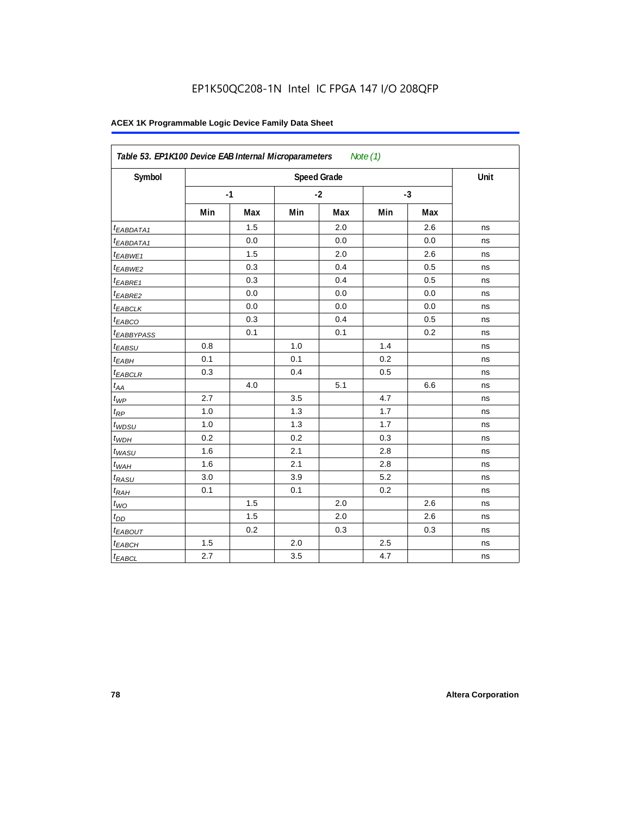| Symbol                       |     | <b>Speed Grade</b> |     |      |     |      |    |  |  |  |
|------------------------------|-----|--------------------|-----|------|-----|------|----|--|--|--|
|                              |     | $-1$               |     | $-2$ |     | $-3$ |    |  |  |  |
|                              | Min | Max                | Min | Max  | Min | Max  |    |  |  |  |
| t <sub>EABDATA1</sub>        |     | 1.5                |     | 2.0  |     | 2.6  | ns |  |  |  |
| <sup>t</sup> EABDATA1        |     | 0.0                |     | 0.0  |     | 0.0  | ns |  |  |  |
| t <sub>EABWE1</sub>          |     | 1.5                |     | 2.0  |     | 2.6  | ns |  |  |  |
| t <sub>EABWE2</sub>          |     | 0.3                |     | 0.4  |     | 0.5  | ns |  |  |  |
| <sup>t</sup> EABRE1          |     | 0.3                |     | 0.4  |     | 0.5  | ns |  |  |  |
| <sup>t</sup> EABRE2          |     | 0.0                |     | 0.0  |     | 0.0  | ns |  |  |  |
| <sup>t</sup> EABCLK          |     | 0.0                |     | 0.0  |     | 0.0  | ns |  |  |  |
| t <sub>EABCO</sub>           |     | 0.3                |     | 0.4  |     | 0.5  | ns |  |  |  |
| <sup>t</sup> EABBYPASS       |     | 0.1                |     | 0.1  |     | 0.2  | ns |  |  |  |
| t <sub>EABSU</sub>           | 0.8 |                    | 1.0 |      | 1.4 |      | ns |  |  |  |
| $t_{EABH}$                   | 0.1 |                    | 0.1 |      | 0.2 |      | ns |  |  |  |
| $t_{EABCLR}$                 | 0.3 |                    | 0.4 |      | 0.5 |      | ns |  |  |  |
| $t_{\mathcal{A}\mathcal{A}}$ |     | 4.0                |     | 5.1  |     | 6.6  | ns |  |  |  |
| $t_{WP}$                     | 2.7 |                    | 3.5 |      | 4.7 |      | ns |  |  |  |
| $t_{RP}$                     | 1.0 |                    | 1.3 |      | 1.7 |      | ns |  |  |  |
| $t_{WDSU}$                   | 1.0 |                    | 1.3 |      | 1.7 |      | ns |  |  |  |
| $t_{WDH}$                    | 0.2 |                    | 0.2 |      | 0.3 |      | ns |  |  |  |
| $t_{WASU}$                   | 1.6 |                    | 2.1 |      | 2.8 |      | ns |  |  |  |
| $t_{WAH}$                    | 1.6 |                    | 2.1 |      | 2.8 |      | ns |  |  |  |
| $t_{RASU}$                   | 3.0 |                    | 3.9 |      | 5.2 |      | ns |  |  |  |
| $t_{RAH}$                    | 0.1 |                    | 0.1 |      | 0.2 |      | ns |  |  |  |
| $t_{WO}$                     |     | 1.5                |     | 2.0  |     | 2.6  | ns |  |  |  |
| $t_{DD}$                     |     | 1.5                |     | 2.0  |     | 2.6  | ns |  |  |  |
| t <sub>EABOUT</sub>          |     | 0.2                |     | 0.3  |     | 0.3  | ns |  |  |  |
| $t_{EABCH}$                  | 1.5 |                    | 2.0 |      | 2.5 |      | ns |  |  |  |
| $t_{EABCL}$                  | 2.7 |                    | 3.5 |      | 4.7 |      | ns |  |  |  |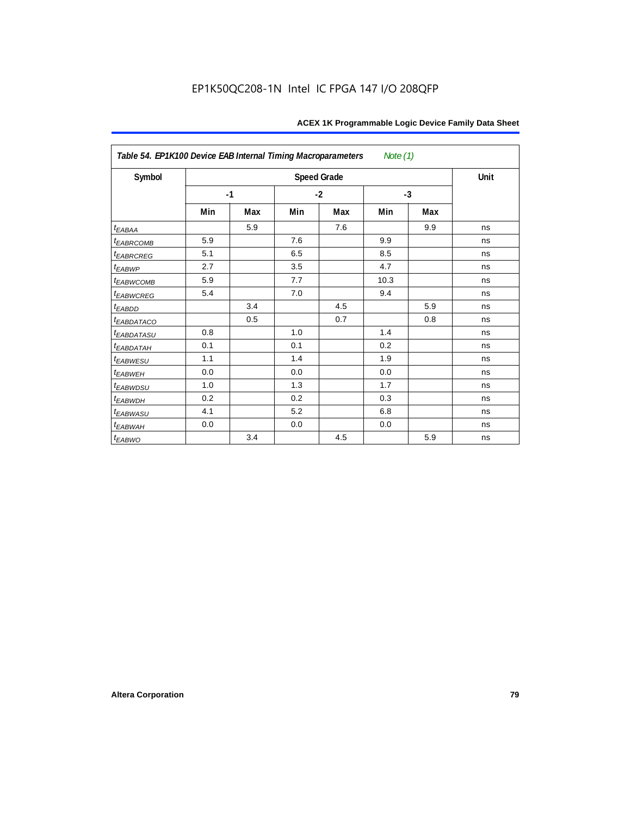| Table 54. EP1K100 Device EAB Internal Timing Macroparameters<br>Note $(1)$ |     |      |      |                    |      |     |      |  |  |  |  |
|----------------------------------------------------------------------------|-----|------|------|--------------------|------|-----|------|--|--|--|--|
| Symbol                                                                     |     |      |      | <b>Speed Grade</b> |      |     | Unit |  |  |  |  |
|                                                                            |     | $-1$ | $-2$ |                    | $-3$ |     |      |  |  |  |  |
|                                                                            | Min | Max  | Min  | Max                | Min  | Max |      |  |  |  |  |
| $t_{EABA}$                                                                 |     | 5.9  |      | 7.6                |      | 9.9 | ns   |  |  |  |  |
| <sup>t</sup> EABRCOMB                                                      | 5.9 |      | 7.6  |                    | 9.9  |     | ns   |  |  |  |  |
| <b><i>EABRCREG</i></b>                                                     | 5.1 |      | 6.5  |                    | 8.5  |     | ns   |  |  |  |  |
| $t_{EABWP}$                                                                | 2.7 |      | 3.5  |                    | 4.7  |     | ns   |  |  |  |  |
| t <sub>EABWCOMB</sub>                                                      | 5.9 |      | 7.7  |                    | 10.3 |     | ns   |  |  |  |  |
| <i>EABWCREG</i>                                                            | 5.4 |      | 7.0  |                    | 9.4  |     | ns   |  |  |  |  |
| $t_{EABDD}$                                                                |     | 3.4  |      | 4.5                |      | 5.9 | ns   |  |  |  |  |
| t <sub>eabdataco</sub>                                                     |     | 0.5  |      | 0.7                |      | 0.8 | ns   |  |  |  |  |
| <i>t<sub>EABDATASU</sub></i>                                               | 0.8 |      | 1.0  |                    | 1.4  |     | ns   |  |  |  |  |
| t <sub>EABDATAH</sub>                                                      | 0.1 |      | 0.1  |                    | 0.2  |     | ns   |  |  |  |  |
| t <sub>EABWESU</sub>                                                       | 1.1 |      | 1.4  |                    | 1.9  |     | ns   |  |  |  |  |
| t <sub>EABWEH</sub>                                                        | 0.0 |      | 0.0  |                    | 0.0  |     | ns   |  |  |  |  |
| <sup>t</sup> EABWDSU                                                       | 1.0 |      | 1.3  |                    | 1.7  |     | ns   |  |  |  |  |
| <sup>t</sup> EABWDH                                                        | 0.2 |      | 0.2  |                    | 0.3  |     | ns   |  |  |  |  |
| <sup>t</sup> EABWASU                                                       | 4.1 |      | 5.2  |                    | 6.8  |     | ns   |  |  |  |  |
| t <sub>ЕАВWАН</sub>                                                        | 0.0 |      | 0.0  |                    | 0.0  |     | ns   |  |  |  |  |
| t <sub>EABWO</sub>                                                         |     | 3.4  |      | 4.5                |      | 5.9 | ns   |  |  |  |  |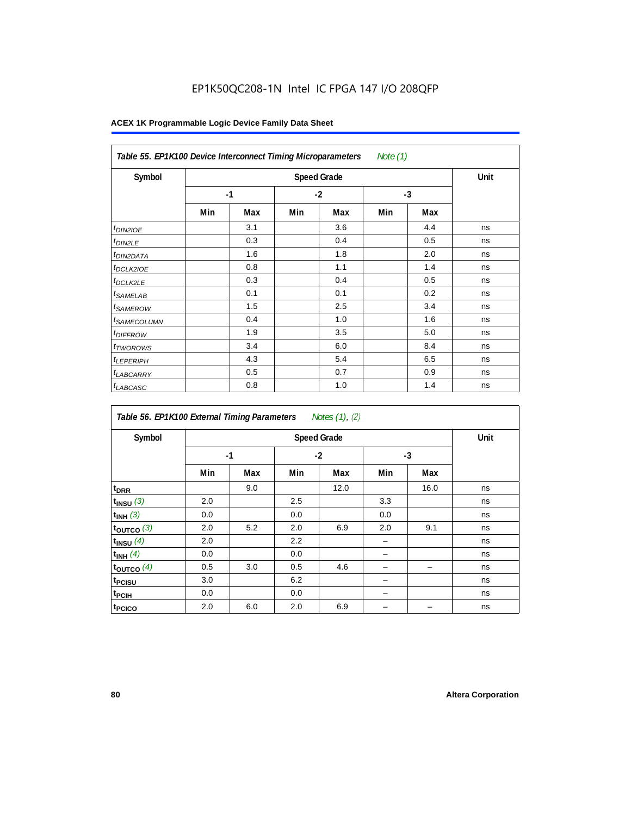# EP1K50QC208-1N Intel IC FPGA 147 I/O 208QFP

| Table 55. EP1K100 Device Interconnect Timing Microparameters<br>Note (1) |     |      |     |      |     |      |    |  |  |  |
|--------------------------------------------------------------------------|-----|------|-----|------|-----|------|----|--|--|--|
| Symbol                                                                   |     | Unit |     |      |     |      |    |  |  |  |
|                                                                          |     | $-1$ |     | $-2$ |     | $-3$ |    |  |  |  |
|                                                                          | Min | Max  | Min | Max  | Min | Max  |    |  |  |  |
| <i>t<sub>DIN2IOE</sub></i>                                               |     | 3.1  |     | 3.6  |     | 4.4  | ns |  |  |  |
| <sup>t</sup> DIN2LE                                                      |     | 0.3  |     | 0.4  |     | 0.5  | ns |  |  |  |
| <sup>t</sup> DIN2DATA                                                    |     | 1.6  |     | 1.8  |     | 2.0  | ns |  |  |  |
| <sup>t</sup> DCLK2IOE                                                    |     | 0.8  |     | 1.1  |     | 1.4  | ns |  |  |  |
| <sup>t</sup> DCLK2LE                                                     |     | 0.3  |     | 0.4  |     | 0.5  | ns |  |  |  |
| <sup>t</sup> SAMELAB                                                     |     | 0.1  |     | 0.1  |     | 0.2  | ns |  |  |  |
| <sup>t</sup> SAMEROW                                                     |     | 1.5  |     | 2.5  |     | 3.4  | ns |  |  |  |
| <sup>t</sup> SAMECOLUMN                                                  |     | 0.4  |     | 1.0  |     | 1.6  | ns |  |  |  |
| <i>t<sub>DIFFROW</sub></i>                                               |     | 1.9  |     | 3.5  |     | 5.0  | ns |  |  |  |
| <sup>t</sup> TWOROWS                                                     |     | 3.4  |     | 6.0  |     | 8.4  | ns |  |  |  |
| <sup>t</sup> LEPERIPH                                                    |     | 4.3  |     | 5.4  |     | 6.5  | ns |  |  |  |
| <sup>t</sup> LABCARRY                                                    |     | 0.5  |     | 0.7  |     | 0.9  | ns |  |  |  |
| <sup>t</sup> LABCASC                                                     |     | 0.8  |     | 1.0  |     | 1.4  | ns |  |  |  |

| Symbol             |     | <b>Speed Grade</b> |     |      |      |      |    |  |  |  |  |
|--------------------|-----|--------------------|-----|------|------|------|----|--|--|--|--|
|                    |     | $-1$               |     | $-2$ | $-3$ |      |    |  |  |  |  |
|                    | Min | Max                | Min | Max  | Min  | Max  |    |  |  |  |  |
| t <sub>DRR</sub>   |     | 9.0                |     | 12.0 |      | 16.0 | ns |  |  |  |  |
| $t_{INSU}$ (3)     | 2.0 |                    | 2.5 |      | 3.3  |      | ns |  |  |  |  |
| $t_{INH}$ (3)      | 0.0 |                    | 0.0 |      | 0.0  |      | ns |  |  |  |  |
| $t_{OUTCO}$ (3)    | 2.0 | 5.2                | 2.0 | 6.9  | 2.0  | 9.1  | ns |  |  |  |  |
| $t_{INSU}$ (4)     | 2.0 |                    | 2.2 |      |      |      | ns |  |  |  |  |
| $t_{INH}$ (4)      | 0.0 |                    | 0.0 |      |      |      | ns |  |  |  |  |
| toutco $(4)$       | 0.5 | 3.0                | 0.5 | 4.6  |      |      | ns |  |  |  |  |
| t <sub>PCISU</sub> | 3.0 |                    | 6.2 |      |      |      | ns |  |  |  |  |
| t <sub>PCIH</sub>  | 0.0 |                    | 0.0 |      |      |      | ns |  |  |  |  |
| t <sub>PCICO</sub> | 2.0 | 6.0                | 2.0 | 6.9  |      |      | ns |  |  |  |  |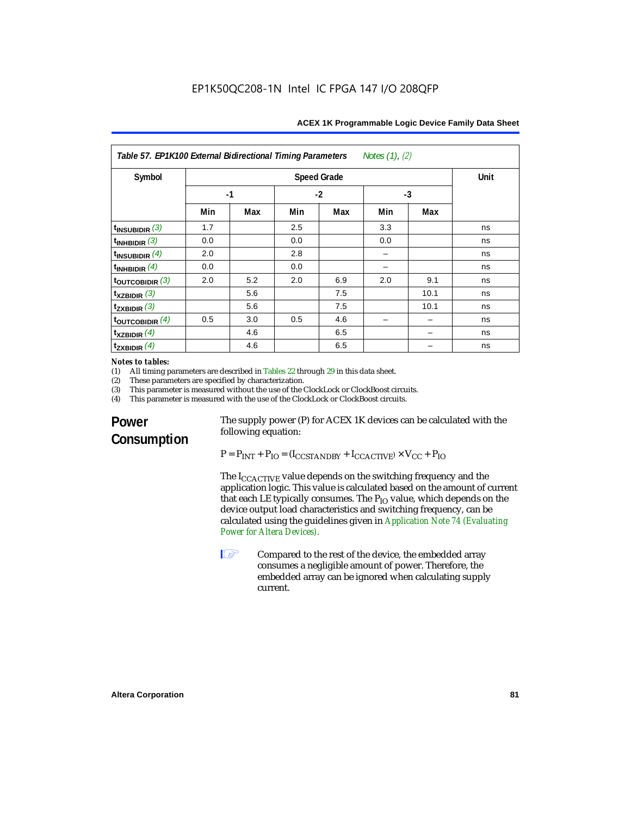| Notes (1), (2)<br>Table 57. EP1K100 External Bidirectional Timing Parameters |                      |      |     |     |     |      |    |  |  |  |  |
|------------------------------------------------------------------------------|----------------------|------|-----|-----|-----|------|----|--|--|--|--|
| Symbol                                                                       |                      | Unit |     |     |     |      |    |  |  |  |  |
|                                                                              | $-1$<br>$-2$<br>$-3$ |      |     |     |     |      |    |  |  |  |  |
|                                                                              | Min                  | Max  | Min | Max | Min | Max  |    |  |  |  |  |
| $t_{INSUBIDIR}$ (3)                                                          | 1.7                  |      | 2.5 |     | 3.3 |      | ns |  |  |  |  |
| $t_{INHBIDIR}$ (3)                                                           | 0.0                  |      | 0.0 |     | 0.0 |      | ns |  |  |  |  |
| $t_{INSUBIDIR}$ (4)                                                          | 2.0                  |      | 2.8 |     |     |      | ns |  |  |  |  |
| $t_{INHBIDIR}$ (4)                                                           | 0.0                  |      | 0.0 |     |     |      | ns |  |  |  |  |
| $t_{\text{OUTCOBIDIR}}(3)$                                                   | 2.0                  | 5.2  | 2.0 | 6.9 | 2.0 | 9.1  | ns |  |  |  |  |
| $t_{XZBIDIR}$ (3)                                                            |                      | 5.6  |     | 7.5 |     | 10.1 | ns |  |  |  |  |
| $t_{ZXBIDIR}$ (3)                                                            |                      | 5.6  |     | 7.5 |     | 10.1 | ns |  |  |  |  |
| $t_{\text{OUTCOBIDIR}}$ (4)                                                  | 0.5                  | 3.0  | 0.5 | 4.6 |     |      | ns |  |  |  |  |
| $t_{XZBIDIR}$ (4)                                                            |                      | 4.6  |     | 6.5 |     |      | ns |  |  |  |  |
| $t_{ZXBIDIR}$ (4)                                                            |                      | 4.6  |     | 6.5 |     |      | ns |  |  |  |  |

# *Notes to tables:*<br>(1) All timing p

(1) All timing parameters are described in Tables 22 through  $29$  in this data sheet.<br>(2) These parameters are specified by characterization.

(2) These parameters are specified by characterization.<br>(3) This parameter is measured without the use of the C

(3) This parameter is measured without the use of the ClockLock or ClockBoost circuits.<br>(4) This parameter is measured with the use of the ClockLock or ClockBoost circuits.

This parameter is measured with the use of the ClockLock or ClockBoost circuits.

# **Power Consumption**

The supply power (P) for ACEX 1K devices can be calculated with the following equation:

 $P = P_{INT} + P_{IO} = (I_{CCSTANDBY} + I_{CCACTIVE}) \times V_{CC} + P_{IO}$ 

The  $I_{\text{CCACTIVE}}$  value depends on the switching frequency and the application logic. This value is calculated based on the amount of current that each LE typically consumes. The  $P_{IO}$  value, which depends on the device output load characteristics and switching frequency, can be calculated using the guidelines given in *Application Note 74 (Evaluating Power for Altera Devices)*.

**1 Compared to the rest of the device, the embedded array** consumes a negligible amount of power. Therefore, the embedded array can be ignored when calculating supply current.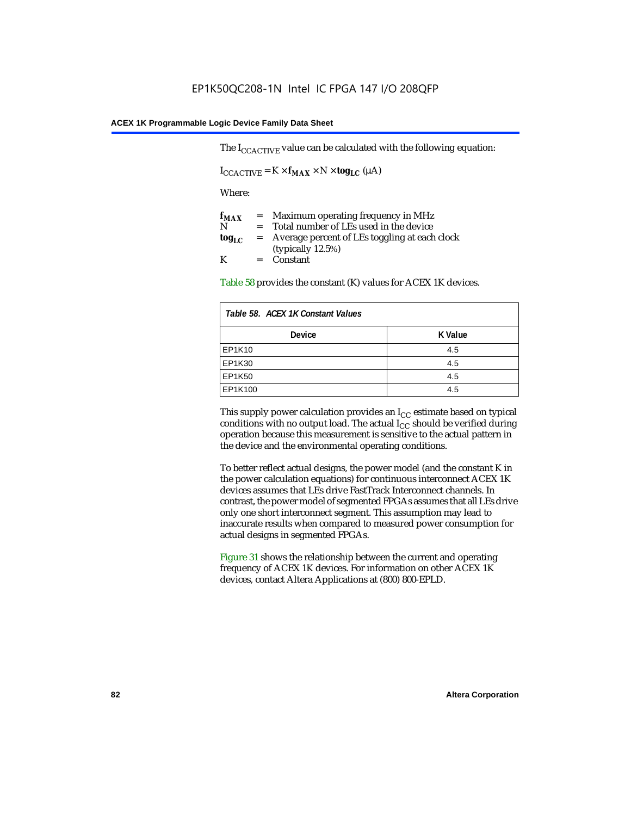The  $I_{CCACTIVE}$  value can be calculated with the following equation:

 $I_{\text{CCACTIVE}} = K \times f_{\text{MAX}} \times N \times \text{tog}_{\text{LC}} (\mu A)$ 

Where:

| $f_{MAX}$  | $=$     | Maximum operating frequency in MHz            |
|------------|---------|-----------------------------------------------|
| N          | $=$ $-$ | Total number of LEs used in the device        |
| $log_{LC}$ | $=$     | Average percent of LEs toggling at each clock |
|            |         | (typically $12.5\%$ )                         |
| K          |         | $=$ Constant                                  |

Table 58 provides the constant (K) values for ACEX 1K devices.

| Table 58. ACEX 1K Constant Values |         |  |  |  |
|-----------------------------------|---------|--|--|--|
| <b>Device</b>                     | K Value |  |  |  |
| EP1K10                            | 4.5     |  |  |  |
| EP1K30                            | 4.5     |  |  |  |
| EP1K50                            | 4.5     |  |  |  |
| EP1K100                           | 4.5     |  |  |  |

This supply power calculation provides an  $I_{CC}$  estimate based on typical conditions with no output load. The actual  $I_{CC}$  should be verified during operation because this measurement is sensitive to the actual pattern in the device and the environmental operating conditions.

To better reflect actual designs, the power model (and the constant K in the power calculation equations) for continuous interconnect ACEX 1K devices assumes that LEs drive FastTrack Interconnect channels. In contrast, the power model of segmented FPGAs assumes that all LEs drive only one short interconnect segment. This assumption may lead to inaccurate results when compared to measured power consumption for actual designs in segmented FPGAs.

Figure 31 shows the relationship between the current and operating frequency of ACEX 1K devices. For information on other ACEX 1K devices, contact Altera Applications at (800) 800-EPLD.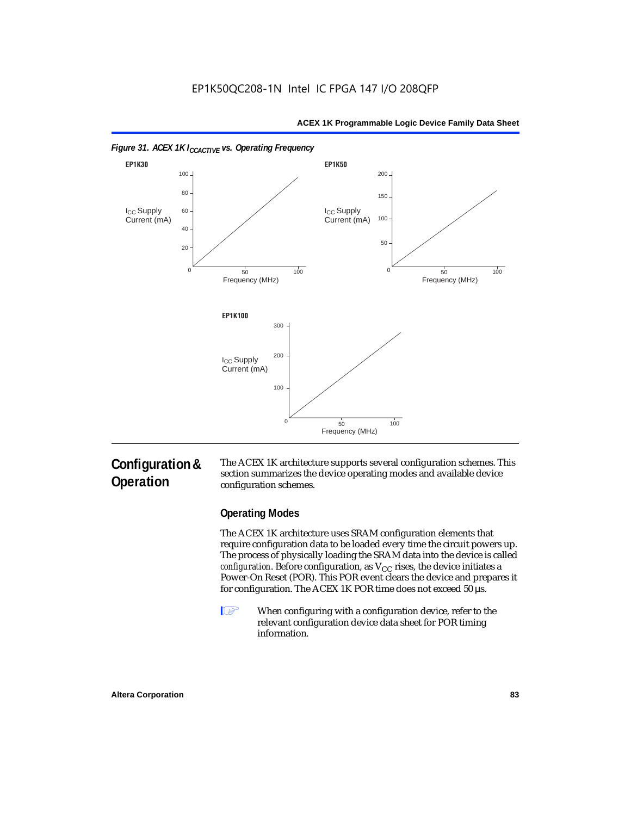

# **Configuration & Operation**

The ACEX 1K architecture supports several configuration schemes. This section summarizes the device operating modes and available device configuration schemes.

### **Operating Modes**

The ACEX 1K architecture uses SRAM configuration elements that require configuration data to be loaded every time the circuit powers up. The process of physically loading the SRAM data into the device is called *configuration*. Before configuration, as  $V_{CC}$  rises, the device initiates a Power-On Reset (POR). This POR event clears the device and prepares it for configuration. The ACEX 1K POR time does not exceed 50 µs.

**1** When configuring with a configuration device, refer to the relevant configuration device data sheet for POR timing information.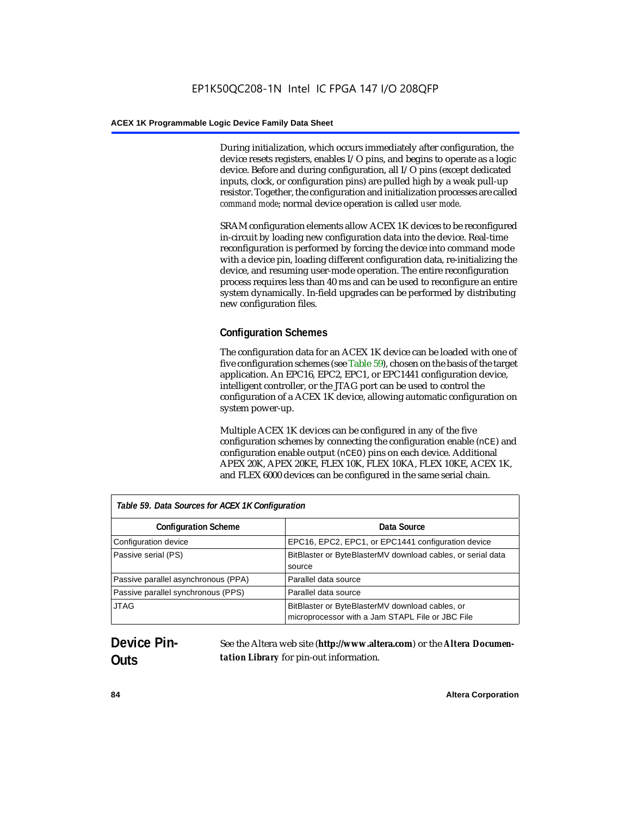During initialization, which occurs immediately after configuration, the device resets registers, enables I/O pins, and begins to operate as a logic device. Before and during configuration, all I/O pins (except dedicated inputs, clock, or configuration pins) are pulled high by a weak pull-up resistor. Together, the configuration and initialization processes are called *command mode*; normal device operation is called *user mode*.

SRAM configuration elements allow ACEX 1K devices to be reconfigured in-circuit by loading new configuration data into the device. Real-time reconfiguration is performed by forcing the device into command mode with a device pin, loading different configuration data, re-initializing the device, and resuming user-mode operation. The entire reconfiguration process requires less than 40 ms and can be used to reconfigure an entire system dynamically. In-field upgrades can be performed by distributing new configuration files.

# **Configuration Schemes**

The configuration data for an ACEX 1K device can be loaded with one of five configuration schemes (see Table 59), chosen on the basis of the target application. An EPC16, EPC2, EPC1, or EPC1441 configuration device, intelligent controller, or the JTAG port can be used to control the configuration of a ACEX 1K device, allowing automatic configuration on system power-up.

Multiple ACEX 1K devices can be configured in any of the five configuration schemes by connecting the configuration enable (nCE) and configuration enable output (nCEO) pins on each device. Additional APEX 20K, APEX 20KE, FLEX 10K, FLEX 10KA, FLEX 10KE, ACEX 1K, and FLEX 6000 devices can be configured in the same serial chain.

| Table 59. Data Sources for ACEX 1K Configuration |                                                                                                     |  |  |  |
|--------------------------------------------------|-----------------------------------------------------------------------------------------------------|--|--|--|
| <b>Configuration Scheme</b>                      | Data Source                                                                                         |  |  |  |
| Configuration device                             | EPC16, EPC2, EPC1, or EPC1441 configuration device                                                  |  |  |  |
| Passive serial (PS)                              | BitBlaster or ByteBlasterMV download cables, or serial data<br>source                               |  |  |  |
| Passive parallel asynchronous (PPA)              | Parallel data source                                                                                |  |  |  |
| Passive parallel synchronous (PPS)               | Parallel data source                                                                                |  |  |  |
| <b>JTAG</b>                                      | BitBlaster or ByteBlasterMV download cables, or<br>microprocessor with a Jam STAPL File or JBC File |  |  |  |

# **Device Pin-Outs**

See the Altera web site (**http://www.altera.com**) or the *Altera Documentation Library* for pin-out information.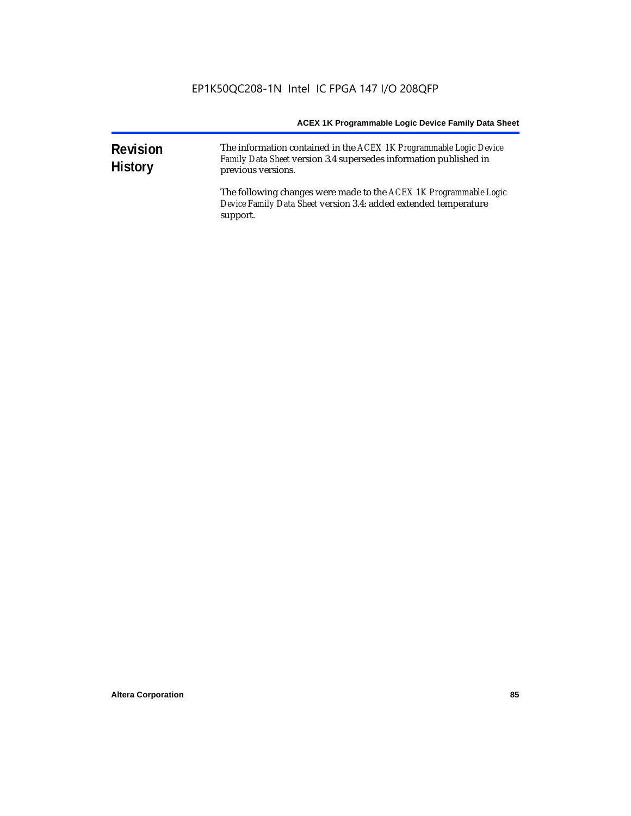| <b>Revision</b><br><b>History</b> | The information contained in the ACEX 1K Programmable Logic Device<br>Family Data Sheet version 3.4 supersedes information published in<br>previous versions. |
|-----------------------------------|---------------------------------------------------------------------------------------------------------------------------------------------------------------|
|                                   | The following changes were made to the ACEX 1K Programmable Logic<br>Device Family Data Sheet version 3.4: added extended temperature<br>support.             |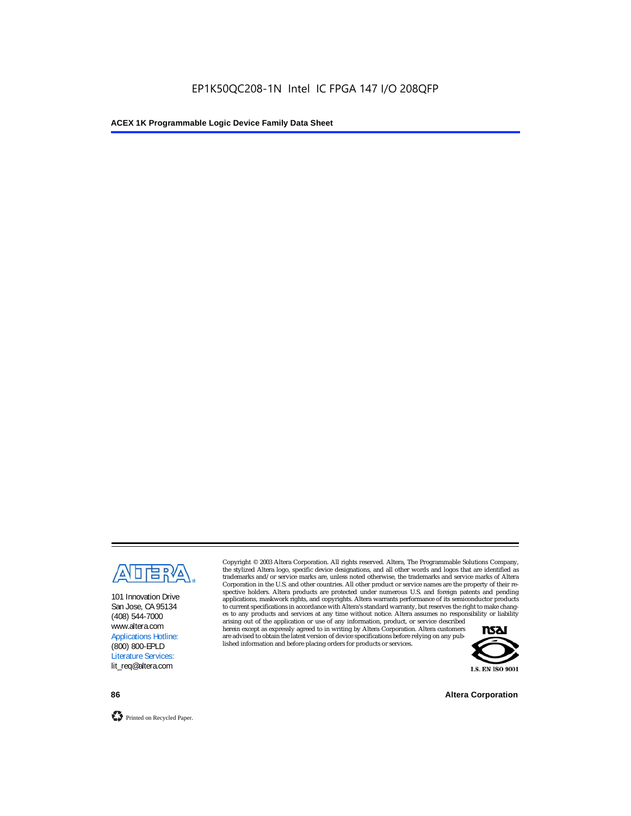

101 Innovation Drive San Jose, CA 95134 (408) 544-7000 www.altera.com Applications Hotline: (800) 800-EPLD Literature Services: lit\_req@altera.com

Copyright © 2003 Altera Corporation. All rights reserved. Altera, The Programmable Solutions Company, the stylized Altera logo, specific device designations, and all other words and logos that are identified as trademarks and/or service marks are, unless noted otherwise, the trademarks and service marks of Altera Corporation in the U.S. and other countries. All other product or service names are the property of their respective holders. Altera products are protected under numerous U.S. and foreign patents and pending applications, maskwork rights, and copyrights. Altera warrants performance of its semiconductor products to current specifications in accordance with Altera's standard warranty, but reserves the right to make changes to any products and services at any time without notice. Altera assumes no responsibility or liability

arising out of the application or use of any information, product, or service described herein except as expressly agreed to in writing by Altera Corporation. Altera customers are advised to obtain the latest version of device specifications before relying on any published information and before placing orders for products or services.



**86 Altera Corporation**